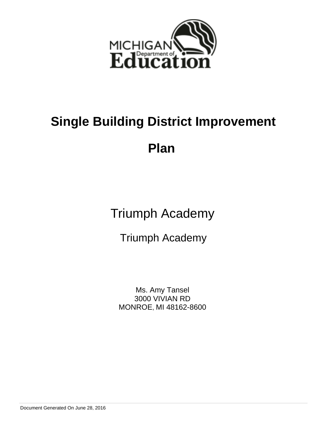

**Plan** 

Triumph Academy

Triumph Academy

Ms. Amy Tansel 3000 VIVIAN RD MONROE, MI 48162-8600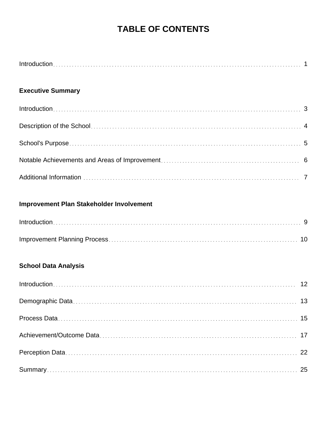# **TABLE OF CONTENTS**

## **Executive Summary**

## **Improvement Plan Stakeholder Involvement**

## **School Data Analysis**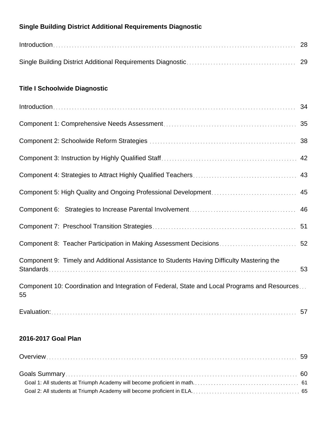## **Single Building District Additional Requirements Diagnostic**

| $Introduction \dots 28$ |  |
|-------------------------|--|
|                         |  |

## **Title I Schoolwide Diagnostic**

| Component 8: Teacher Participation in Making Assessment Decisions 52                                |    |
|-----------------------------------------------------------------------------------------------------|----|
| Component 9: Timely and Additional Assistance to Students Having Difficulty Mastering the           | 53 |
| Component 10: Coordination and Integration of Federal, State and Local Programs and Resources<br>55 |    |
|                                                                                                     |    |

## **2016-2017 Goal Plan**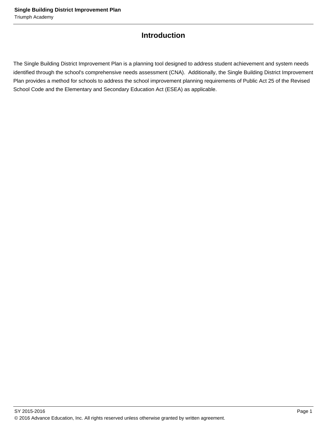## **Introduction**

The Single Building District Improvement Plan is a planning tool designed to address student achievement and system needs identified through the school's comprehensive needs assessment (CNA). Additionally, the Single Building District Improvement Plan provides a method for schools to address the school improvement planning requirements of Public Act 25 of the Revised School Code and the Elementary and Secondary Education Act (ESEA) as applicable.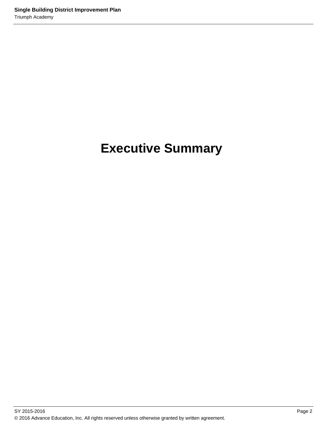# **Executive Summary**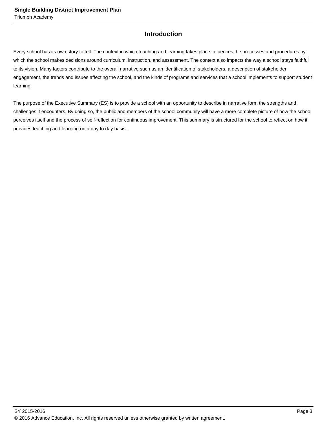## **Introduction**

Every school has its own story to tell. The context in which teaching and learning takes place influences the processes and procedures by which the school makes decisions around curriculum, instruction, and assessment. The context also impacts the way a school stays faithful to its vision. Many factors contribute to the overall narrative such as an identification of stakeholders, a description of stakeholder engagement, the trends and issues affecting the school, and the kinds of programs and services that a school implements to support student learning.

The purpose of the Executive Summary (ES) is to provide a school with an opportunity to describe in narrative form the strengths and challenges it encounters. By doing so, the public and members of the school community will have a more complete picture of how the school perceives itself and the process of self-reflection for continuous improvement. This summary is structured for the school to reflect on how it provides teaching and learning on a day to day basis.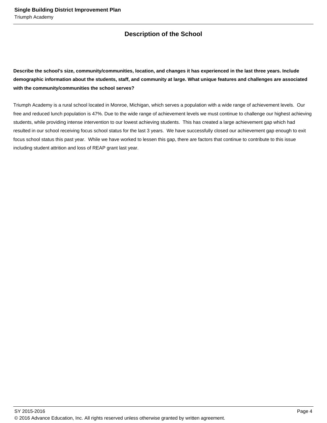## **Description of the School**

**Describe the school's size, community/communities, location, and changes it has experienced in the last three years. Include demographic information about the students, staff, and community at large. What unique features and challenges are associated with the community/communities the school serves?**

Triumph Academy is a rural school located in Monroe, Michigan, which serves a population with a wide range of achievement levels. Our free and reduced lunch population is 47%. Due to the wide range of achievement levels we must continue to challenge our highest achieving students, while providing intense intervention to our lowest achieving students. This has created a large achievement gap which had resulted in our school receiving focus school status for the last 3 years. We have successfully closed our achievement gap enough to exit focus school status this past year. While we have worked to lessen this gap, there are factors that continue to contribute to this issue including student attrition and loss of REAP grant last year.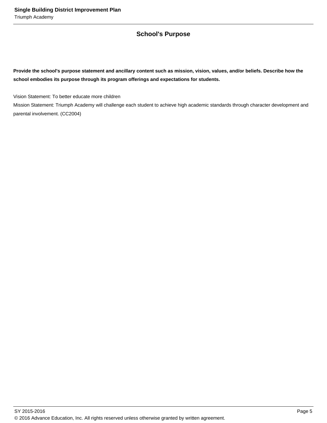## **School's Purpose**

**Provide the school's purpose statement and ancillary content such as mission, vision, values, and/or beliefs. Describe how the school embodies its purpose through its program offerings and expectations for students.**

Vision Statement: To better educate more children

Mission Statement: Triumph Academy will challenge each student to achieve high academic standards through character development and parental involvement. (CC2004)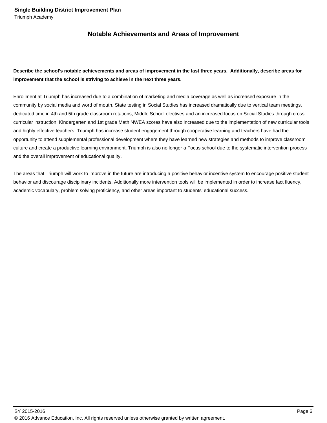## **Notable Achievements and Areas of Improvement**

## **Describe the school's notable achievements and areas of improvement in the last three years. Additionally, describe areas for improvement that the school is striving to achieve in the next three years.**

Enrollment at Triumph has increased due to a combination of marketing and media coverage as well as increased exposure in the community by social media and word of mouth. State testing in Social Studies has increased dramatically due to vertical team meetings, dedicated time in 4th and 5th grade classroom rotations, Middle School electives and an increased focus on Social Studies through cross curricular instruction. Kindergarten and 1st grade Math NWEA scores have also increased due to the implementation of new curricular tools and highly effective teachers. Triumph has increase student engagement through cooperative learning and teachers have had the opportunity to attend supplemental professional development where they have learned new strategies and methods to improve classroom culture and create a productive learning environment. Triumph is also no longer a Focus school due to the systematic intervention process and the overall improvement of educational quality.

The areas that Triumph will work to improve in the future are introducing a positive behavior incentive system to encourage positive student behavior and discourage disciplinary incidents. Additionally more intervention tools will be implemented in order to increase fact fluency, academic vocabulary, problem solving proficiency, and other areas important to students' educational success.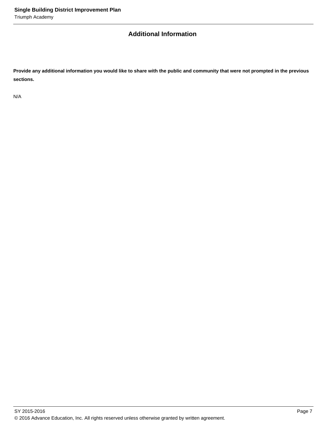## **Additional Information**

**Provide any additional information you would like to share with the public and community that were not prompted in the previous sections.**

N/A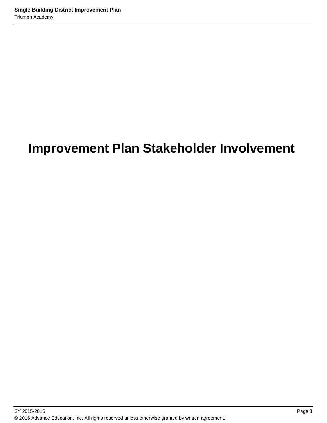# **Improvement Plan Stakeholder Involvement**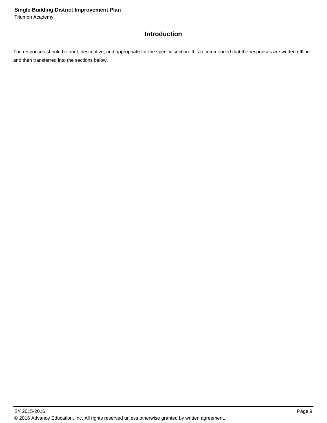## **Introduction**

The responses should be brief, descriptive, and appropriate for the specific section. It is recommended that the responses are written offline and then transferred into the sections below.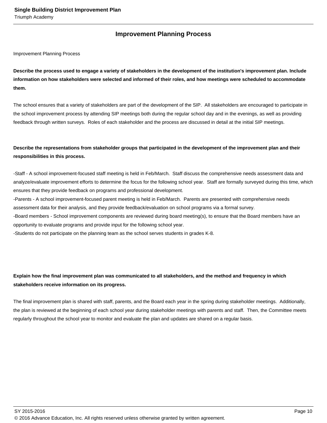## **Improvement Planning Process**

Improvement Planning Process

**Describe the process used to engage a variety of stakeholders in the development of the institution's improvement plan. Include information on how stakeholders were selected and informed of their roles, and how meetings were scheduled to accommodate them.** 

The school ensures that a variety of stakeholders are part of the development of the SIP. All stakeholders are encouraged to participate in the school improvement process by attending SIP meetings both during the regular school day and in the evenings, as well as providing feedback through written surveys. Roles of each stakeholder and the process are discussed in detail at the initial SIP meetings.

## **Describe the representations from stakeholder groups that participated in the development of the improvement plan and their responsibilities in this process.**

- Staff - A school improvement-focused staff meeting is held in Feb/March. Staff discuss the comprehensive needs assessment data and analyze/evaluate improvement efforts to determine the focus for the following school year. Staff are formally surveyed during this time, which ensures that they provide feedback on programs and professional development.

- Parents - A school improvement-focused parent meeting is held in Feb/March. Parents are presented with comprehensive needs assessment data for their analysis, and they provide feedback/evaluation on school programs via a formal survey.

- Board members - School improvement components are reviewed during board meeting(s), to ensure that the Board members have an opportunity to evaluate programs and provide input for the following school year.

- Students do not participate on the planning team as the school serves students in grades K-8.

## **Explain how the final improvement plan was communicated to all stakeholders, and the method and frequency in which stakeholders receive information on its progress.**

The final improvement plan is shared with staff, parents, and the Board each year in the spring during stakeholder meetings. Additionally, the plan is reviewed at the beginning of each school year during stakeholder meetings with parents and staff. Then, the Committee meets regularly throughout the school year to monitor and evaluate the plan and updates are shared on a regular basis.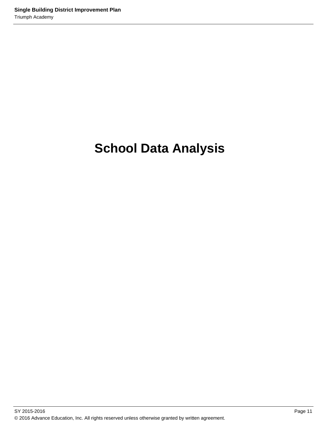# **School Data Analysis**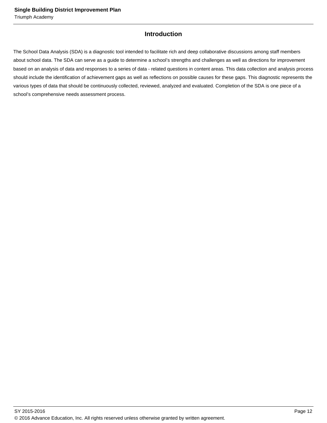## **Introduction**

The School Data Analysis (SDA) is a diagnostic tool intended to facilitate rich and deep collaborative discussions among staff members about school data. The SDA can serve as a guide to determine a school's strengths and challenges as well as directions for improvement based on an analysis of data and responses to a series of data - related questions in content areas. This data collection and analysis process should include the identification of achievement gaps as well as reflections on possible causes for these gaps. This diagnostic represents the various types of data that should be continuously collected, reviewed, analyzed and evaluated. Completion of the SDA is one piece of a school's comprehensive needs assessment process.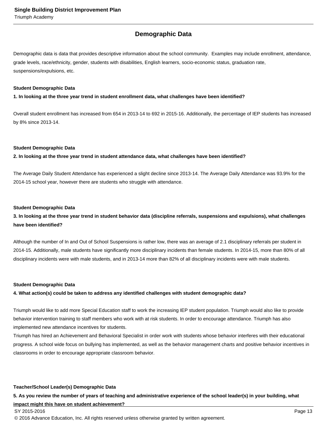## **Demographic Data**

Demographic data is data that provides descriptive information about the school community. Examples may include enrollment, attendance, grade levels, race/ethnicity, gender, students with disabilities, English learners, socio-economic status, graduation rate, suspensions/expulsions, etc.

#### **Student Demographic Data**

**1. In looking at the three year trend in student enrollment data, what challenges have been identified?**

Overall student enrollment has increased from 654 in 2013-14 to 692 in 2015-16. Additionally, the percentage of IEP students has increased by 8% since 2013-14.

#### **Student Demographic Data**

**2. In looking at the three year trend in student attendance data, what challenges have been identified?**

The Average Daily Student Attendance has experienced a slight decline since 2013-14. The Average Daily Attendance was 93.9% for the 2014-15 school year, however there are students who struggle with attendance.

#### **Student Demographic Data**

### **3. In looking at the three year trend in student behavior data (discipline referrals, suspensions and expulsions), what challenges have been identified?**

Although the number of In and Out of School Suspensions is rather low, there was an average of 2.1 disciplinary referrals per student in 2014-15. Additionally, male students have significantly more disciplinary incidents than female students. In 2014-15, more than 80% of all disciplinary incidents were with male students, and in 2013-14 more than 82% of all disciplinary incidents were with male students.

#### **Student Demographic Data**

#### **4. What action(s) could be taken to address any identified challenges with student demographic data?**

Triumph would like to add more Special Education staff to work the increasing IEP student population. Triumph would also like to provide behavior intervention training to staff members who work with at risk students. In order to encourage attendance. Triumph has also implemented new attendance incentives for students.

Triumph has hired an Achievement and Behavioral Specialist in order work with students whose behavior interferes with their educational progress. A school wide focus on bullying has implemented, as well as the behavior management charts and positive behavior incentives in classrooms in order to encourage appropriate classroom behavior.

#### **Teacher/School Leader(s) Demographic Data**

#### **5. As you review the number of years of teaching and administrative experience of the school leader(s) in your building, what**

#### **impact might this have on student achievement?**

#### SY 2015-2016 Page 13

© 2016 Advance Education, Inc. All rights reserved unless otherwise granted by written agreement.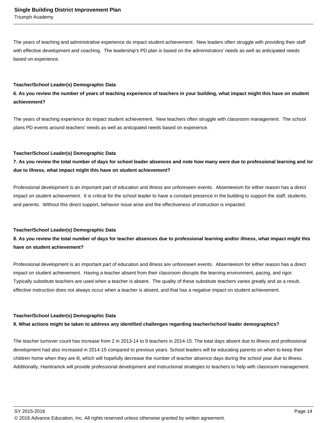Triumph Academy

The years of teaching and administrative experience do impact student achievement. New leaders often struggle with providing their staff with effective development and coaching. The leadership's PD plan is based on the administrators' needs as well as anticipated needs based on experience.

#### **Teacher/School Leader(s) Demographic Data**

### **6. As you review the number of years of teaching experience of teachers in your building, what impact might this have on student achievement?**

The years of teaching experience do impact student achievement. New teachers often struggle with classroom management. The school plans PD events around teachers' needs as well as anticipated needs based on experience.

#### **Teacher/School Leader(s) Demographic Data**

**7. As you review the total number of days for school leader absences and note how many were due to professional learning and /or due to illness, what impact might this have on student achievement?**

Professional development is an important part of education and illness are unforeseen events. Absenteeism for either reason has a direct impact on student achievement. It is critical for the school leader to have a constant presence in the building to support the staff, students, and parents. Without this direct support, behavior issue arise and the effectiveness of instruction is impacted.

#### **Teacher/School Leader(s) Demographic Data**

## **8. As you review the total number of days for teacher absences due to professional learning and/or illness, what impact might this have on student achievement?**

Professional development is an important part of education and illness are unforeseen events. Absenteeism for either reason has a direct impact on student achievement. Having a teacher absent from their classroom disrupts the learning environment, pacing, and rigor. Typically substitute teachers are used when a teacher is absent. The quality of these substitute teachers varies greatly and as a result, effective instruction does not always occur when a teacher is absent, and that has a negative impact on student achievement.

#### **Teacher/School Leader(s) Demographic Data**

#### **9. What actions might be taken to address any identified challenges regarding teacher/school leader demographics?**

The teacher turnover count has increase from 2 in 2013-14 to 9 teachers in 2014-15. The total days absent due to illness and professional development had also increased in 2014-15 compared to previous years. School leaders will be educating parents on when to keep their children home when they are ill, which will hopefully decrease the number of teacher absence days during the school year due to illness. Additionally, Hamtramck will provide professional development and instructional strategies to teachers to help with classroom management.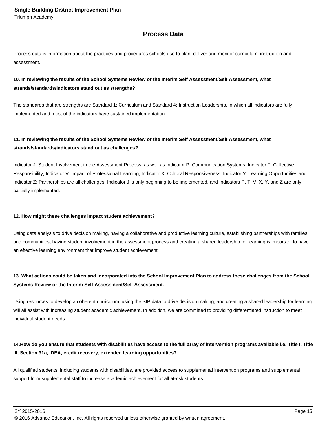## **Process Data**

Process data is information about the practices and procedures schools use to plan, deliver and monitor curriculum, instruction and assessment.

## **10. In reviewing the results of the School Systems Review or the Interim Self Assessment/Self Assessment, what strands/standards/indicators stand out as strengths?**

The standards that are strengths are Standard 1: Curriculum and Standard 4: Instruction Leadership, in which all indicators are fully implemented and most of the indicators have sustained implementation.

## **11. In reviewing the results of the School Systems Review or the Interim Self Assessment/Self Assessment, what strands/standards/indicators stand out as challenges?**

Indicator J: Student Involvement in the Assessment Process, as well as Indicator P: Communication Systems, Indicator T: Collective Responsibility, Indicator V: Impact of Professional Learning, Indicator X: Cultural Responsiveness, Indicator Y: Learning Opportunities and Indicator Z: Partnerships are all challenges. Indicator J is only beginning to be implemented, and Indicators P, T, V, X, Y, and Z are only partially implemented.

#### **12. How might these challenges impact student achievement?**

Using data analysis to drive decision making, having a collaborative and productive learning culture, establishing partnerships with families and communities, having student involvement in the assessment process and creating a shared leadership for learning is important to have an effective learning environment that improve student achievement.

## **13. What actions could be taken and incorporated into the School Improvement Plan to address these challenges from the School Systems Review or the Interim Self Assessment/Self Assessment.**

Using resources to develop a coherent curriculum, using the SIP data to drive decision making, and creating a shared leadership for learning will all assist with increasing student academic achievement. In addition, we are committed to providing differentiated instruction to meet individual student needs.

## 14. How do you ensure that students with disabilities have access to the full array of intervention programs available i.e. Title I, Title **III, Section 31a, IDEA, credit recovery, extended learning opportunities?**

All qualified students, including students with disabilities, are provided access to supplemental intervention programs and supplemental support from supplemental staff to increase academic achievement for all at-risk students.

 $\,$  SY 2015-2016  $\,$  Page 15  $\,$ 

© 2016 Advance Education, Inc. All rights reserved unless otherwise granted by written agreement.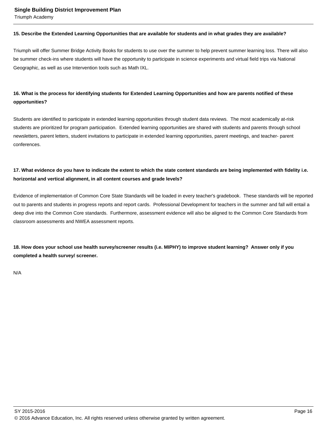Triumph Academy

#### **15. Describe the Extended Learning Opportunities that are available for students and in what grades they are available?**

Triumph will offer Summer Bridge Activity Books for students to use over the summer to help prevent summer learning loss. There will also be summer check-ins where students will have the opportunity to participate in science experiments and virtual field trips via National Geographic, as well as use Intervention tools such as Math IXL.

### **16. What is the process for identifying students for Extended Learning Opportunities and how are parents notified of these opportunities?**

Students are identified to participate in extended learning opportunities through student data reviews. The most academically at-risk students are prioritized for program participation. Extended learning opportunities are shared with students and parents through school newsletters, parent letters, student invitations to participate in extended learning opportunities, parent meetings, and teacher- parent conferences.

## **17. What evidence do you have to indicate the extent to which the state content standards are being implemented with fidelity i.e. horizontal and vertical alignment, in all content courses and grade levels?**

Evidence of implementation of Common Core State Standards will be loaded in every teacher's gradebook. These standards will be reported out to parents and students in progress reports and report cards. Professional Development for teachers in the summer and fall will entail a deep dive into the Common Core standards. Furthermore, assessment evidence will also be aligned to the Common Core Standards from classroom assessments and NWEA assessment reports.

**18. How does your school use health survey/screener results (i.e. MIPHY) to improve student learning? Answer only if you completed a health survey/ screener.**

N/A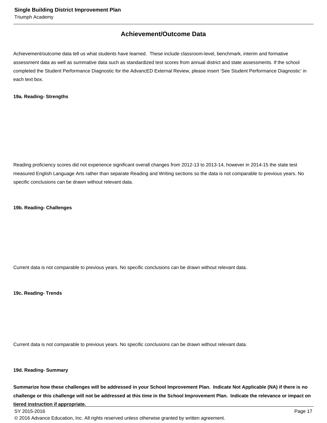## **Achievement/Outcome Data**

Achievement/outcome data tell us what students have learned. These include classroom-level, benchmark, interim and formative assessment data as well as summative data such as standardized test scores from annual district and state assessments. If the school completed the Student Performance Diagnostic for the AdvancED External Review, please insert 'See Student Performance Diagnostic' in each text box.

#### **19a. Reading- Strengths**

Reading proficiency scores did not experience significant overall changes from 2012-13 to 2013-14, however in 2014-15 the state test measured English Language Arts rather than separate Reading and Writing sections so the data is not comparable to previous years. No specific conclusions can be drawn without relevant data.

#### **19b. Reading- Challenges**

Current data is not comparable to previous years. No specific conclusions can be drawn without relevant data.

**19c. Reading- Trends**

Current data is not comparable to previous years. No specific conclusions can be drawn without relevant data.

#### **19d. Reading- Summary**

**Summarize how these challenges will be addressed in your School Improvement Plan. Indicate Not Applicable (NA) if there is no challenge or this challenge will not be addressed at this time in the School Improvement Plan. Indicate the relevance or impact on tiered instruction if appropriate.**

© 2016 Advance Education, Inc. All rights reserved unless otherwise granted by written agreement.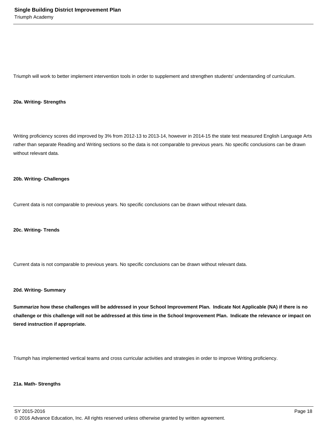Triumph will work to better implement intervention tools in order to supplement and strengthen students' understanding of curriculum.

#### **20a. Writing- Strengths**

Writing proficiency scores did improved by 3% from 2012-13 to 2013-14, however in 2014-15 the state test measured English Language Arts rather than separate Reading and Writing sections so the data is not comparable to previous years. No specific conclusions can be drawn without relevant data.

#### **20b. Writing- Challenges**

Current data is not comparable to previous years. No specific conclusions can be drawn without relevant data.

#### **20c. Writing- Trends**

Current data is not comparable to previous years. No specific conclusions can be drawn without relevant data.

#### **20d. Writing- Summary**

**Summarize how these challenges will be addressed in your School Improvement Plan. Indicate Not Applicable (NA) if there is no challenge or this challenge will not be addressed at this time in the School Improvement Plan. Indicate the relevance or impact on tiered instruction if appropriate.**

Triumph has implemented vertical teams and cross curricular activities and strategies in order to improve Writing proficiency.

#### **21a. Math- Strengths**

SY 2015-2016 Page 18 © 2016 Advance Education, Inc. All rights reserved unless otherwise granted by written agreement.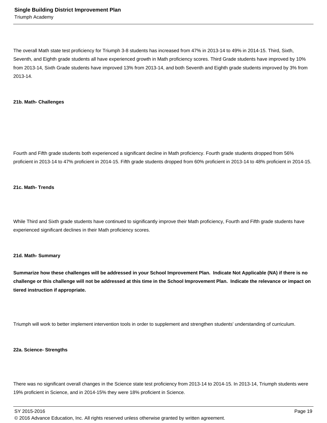The overall Math state test proficiency for Triumph 3-8 students has increased from 47% in 2013-14 to 49% in 2014-15. Third, Sixth, Seventh, and Eighth grade students all have experienced growth in Math proficiency scores. Third Grade students have improved by 10% from 2013-14, Sixth Grade students have improved 13% from 2013-14, and both Seventh and Eighth grade students improved by 3% from 2013-14.

#### **21b. Math- Challenges**

Fourth and Fifth grade students both experienced a significant decline in Math proficiency. Fourth grade students dropped from 56% proficient in 2013-14 to 47% proficient in 2014-15. Fifth grade students dropped from 60% proficient in 2013-14 to 48% proficient in 2014-15.

#### **21c. Math- Trends**

While Third and Sixth grade students have continued to significantly improve their Math proficiency, Fourth and Fifth grade students have experienced significant declines in their Math proficiency scores.

#### **21d. Math- Summary**

**Summarize how these challenges will be addressed in your School Improvement Plan. Indicate Not Applicable (NA) if there is no challenge or this challenge will not be addressed at this time in the School Improvement Plan. Indicate the relevance or impact on tiered instruction if appropriate.**

Triumph will work to better implement intervention tools in order to supplement and strengthen students' understanding of curriculum.

#### **22a. Science- Strengths**

There was no significant overall changes in the Science state test proficiency from 2013-14 to 2014-15. In 2013-14, Triumph students were 19% proficient in Science, and in 2014-15% they were 18% proficient in Science.

SY 2015-2016 Page 19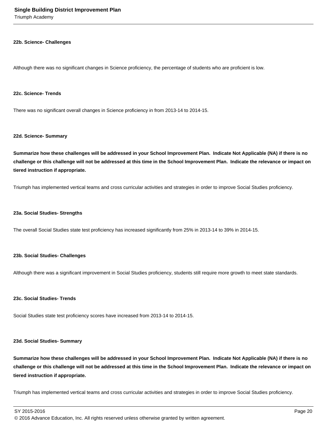Triumph Academy

#### **22b. Science- Challenges**

Although there was no significant changes in Science proficiency, the percentage of students who are proficient is low.

#### **22c. Science- Trends**

There was no significant overall changes in Science proficiency in from 2013-14 to 2014-15.

#### **22d. Science- Summary**

**Summarize how these challenges will be addressed in your School Improvement Plan. Indicate Not Applicable (NA) if there is no challenge or this challenge will not be addressed at this time in the School Improvement Plan. Indicate the relevance or impact on tiered instruction if appropriate.**

Triumph has implemented vertical teams and cross curricular activities and strategies in order to improve Social Studies proficiency.

#### **23a. Social Studies- Strengths**

The overall Social Studies state test proficiency has increased significantly from 25% in 2013-14 to 39% in 2014-15.

#### **23b. Social Studies- Challenges**

Although there was a significant improvement in Social Studies proficiency, students still require more growth to meet state standards.

#### **23c. Social Studies- Trends**

Social Studies state test proficiency scores have increased from 2013-14 to 2014-15.

#### **23d. Social Studies- Summary**

**Summarize how these challenges will be addressed in your School Improvement Plan. Indicate Not Applicable (NA) if there is no challenge or this challenge will not be addressed at this time in the School Improvement Plan. Indicate the relevance or impact on tiered instruction if appropriate.**

Triumph has implemented vertical teams and cross curricular activities and strategies in order to improve Social Studies proficiency.

SY 2015-2016 Page 20

© 2016 Advance Education, Inc. All rights reserved unless otherwise granted by written agreement.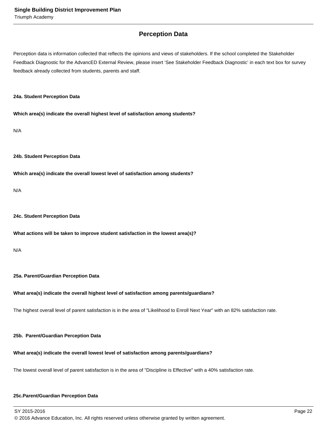## **Perception Data**

Perception data is information collected that reflects the opinions and views of stakeholders. If the school completed the Stakeholder Feedback Diagnostic for the AdvancED External Review, please insert 'See Stakeholder Feedback Diagnostic' in each text box for survey feedback already collected from students, parents and staff.

#### **24a. Student Perception Data**

**Which area(s) indicate the overall highest level of satisfaction among students?**

N/A

#### **24b. Student Perception Data**

**Which area(s) indicate the overall lowest level of satisfaction among students?**

N/A

#### **24c. Student Perception Data**

#### **What actions will be taken to improve student satisfaction in the lowest area(s)?**

N/A

#### **25a. Parent/Guardian Perception Data**

#### **What area(s) indicate the overall highest level of satisfaction among parents/guardians?**

The highest overall level of parent satisfaction is in the area of "Likelihood to Enroll Next Year" with an 82% satisfaction rate.

#### **25b. Parent/Guardian Perception Data**

#### **What area(s) indicate the overall lowest level of satisfaction among parents/guardians?**

The lowest overall level of parent satisfaction is in the area of "Discipline is Effective" with a 40% satisfaction rate.

#### **25c. Parent/Guardian Perception Data**

SY 2015-2016 Page 22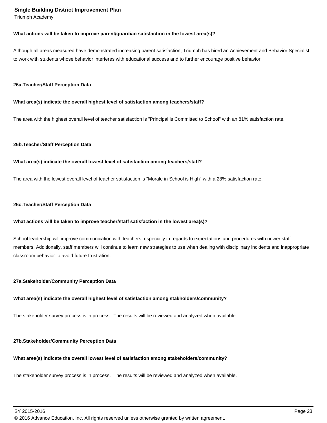Triumph Academy

#### **What actions will be taken to improve parent/guardian satisfaction in the lowest area(s)?**

Although all areas measured have demonstrated increasing parent satisfaction, Triumph has hired an Achievement and Behavior Specialist to work with students whose behavior interferes with educational success and to further encourage positive behavior.

#### **26a. Teacher/Staff Perception Data**

#### **What area(s) indicate the overall highest level of satisfaction among teachers/staff?**

The area with the highest overall level of teacher satisfaction is "Principal is Committed to School" with an 81% satisfaction rate.

#### **26b. Teacher/Staff Perception Data**

#### **What area(s) indicate the overall lowest level of satisfaction among teachers/staff?**

The area with the lowest overall level of teacher satisfaction is "Morale in School is High" with a 28% satisfaction rate.

#### **26c. Teacher/Staff Perception Data**

#### **What actions will be taken to improve teacher/staff satisfaction in the lowest area(s)?**

School leadership will improve communication with teachers, especially in regards to expectations and procedures with newer staff members. Additionally, staff members will continue to learn new strategies to use when dealing with disciplinary incidents and inappropriate classroom behavior to avoid future frustration.

#### **27a. Stakeholder/Community Perception Data**

#### **What area(s) indicate the overall highest level of satisfaction among stakholders/community?**

The stakeholder survey process is in process. The results will be reviewed and analyzed when available.

#### **27b. Stakeholder/Community Perception Data**

#### **What area(s) indicate the overall lowest level of satisfaction among stakeholders/community?**

The stakeholder survey process is in process. The results will be reviewed and analyzed when available.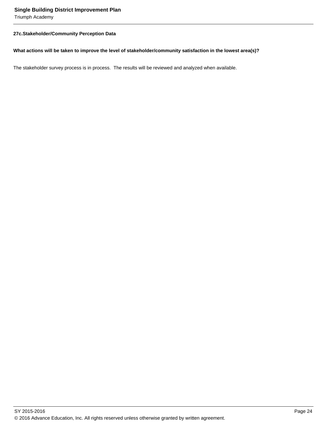Triumph Academy

#### **27c. Stakeholder/Community Perception Data**

#### **What actions will be taken to improve the level of stakeholder/community satisfaction in the lowest area(s)?**

The stakeholder survey process is in process. The results will be reviewed and analyzed when available.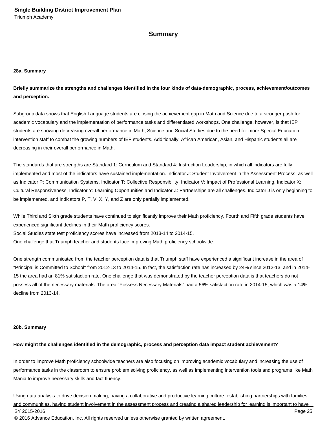#### **Summary**

#### **28a. Summary**

**Briefly summarize the strengths and challenges identified in the four kinds of data-demographic, process, achievement/outcomes and perception.**

Subgroup data shows that English Language students are closing the achievement gap in Math and Science due to a stronger push for academic vocabulary and the implementation of performance tasks and differentiated workshops. One challenge, however, is that IEP students are showing decreasing overall performance in Math, Science and Social Studies due to the need for more Special Education intervention staff to combat the growing numbers of IEP students. Additionally, African American, Asian, and Hispanic students all are decreasing in their overall performance in Math.

The standards that are strengths are Standard 1: Curriculum and Standard 4: Instruction Leadership, in which all indicators are fully implemented and most of the indicators have sustained implementation. Indicator J: Student Involvement in the Assessment Process, as well as Indicator P: Communication Systems, Indicator T: Collective Responsibility, Indicator V: Impact of Professional Learning, Indicator X: Cultural Responsiveness, Indicator Y: Learning Opportunities and Indicator Z: Partnerships are all challenges. Indicator J is only beginning to be implemented, and Indicators P, T, V, X, Y, and Z are only partially implemented.

While Third and Sixth grade students have continued to significantly improve their Math proficiency, Fourth and Fifth grade students have experienced significant declines in their Math proficiency scores. Social Studies state test proficiency scores have increased from 2013-14 to 2014-15. One challenge that Triumph teacher and students face improving Math proficiency schoolwide.

One strength communicated from the teacher perception data is that Triumph staff have experienced a significant increase in the area of "Principal is Committed to School" from 2012-13 to 2014-15. In fact, the satisfaction rate has increased by 24% since 2012-13, and in 2014- 15 the area had an 81% satisfaction rate. One challenge that was demonstrated by the teacher perception data is that teachers do not possess all of the necessary materials. The area "Possess Necessary Materials" had a 56% satisfaction rate in 2014-15, which was a 14% decline from 2013-14.

#### **28b. Summary**

#### **How might the challenges identified in the demographic, process and perception data impact student achievement?**

In order to improve Math proficiency schoolwide teachers are also focusing on improving academic vocabulary and increasing the use of performance tasks in the classroom to ensure problem solving proficiency, as well as implementing intervention tools and programs like Math Mania to improve necessary skills and fact fluency.

Using data analysis to drive decision making, having a collaborative and productive learning culture, establishing partnerships with families and communities, having student involvement in the assessment process and creating a shared leadership for learning is important to have SY 2015-2016 Page 25 © 2016 Advance Education, Inc. All rights reserved unless otherwise granted by written agreement.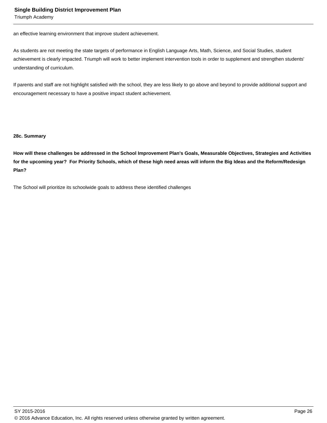Triumph Academy

an effective learning environment that improve student achievement.

As students are not meeting the state targets of performance in English Language Arts, Math, Science, and Social Studies, student achievement is clearly impacted. Triumph will work to better implement intervention tools in order to supplement and strengthen students' understanding of curriculum.

If parents and staff are not highlight satisfied with the school, they are less likely to go above and beyond to provide additional support and encouragement necessary to have a positive impact student achievement.

#### **28c. Summary**

**How will these challenges be addressed in the School Improvement Plan's Goals, Measurable Objectives, Strategies and Activities for the upcoming year? For Priority Schools, which of these high need areas will inform the Big Ideas and the Reform/Redesign Plan?**

The School will prioritize its schoolwide goals to address these identified challenges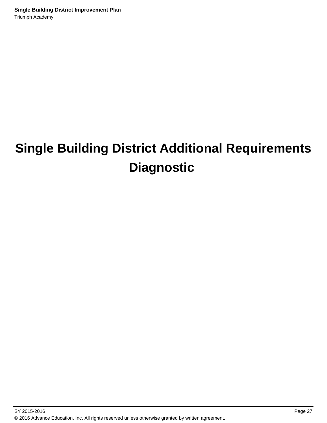# **Single Building District Additional Requirements Diagnostic**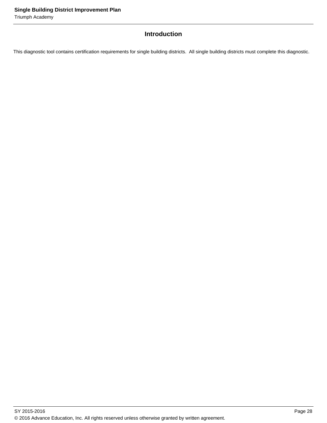Triumph Academy

## **Introduction**

This diagnostic tool contains certification requirements for single building districts. All single building districts must complete this diagnostic.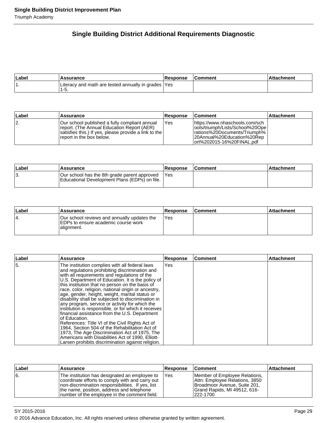## **Single Building District Additional Requirements Diagnostic**

| Label | <b>\ssurance</b>                                             | <b>Response</b> | Comment | hment |
|-------|--------------------------------------------------------------|-----------------|---------|-------|
|       | Literacy and math are tested annually in grades  Yes<br>ס-י. |                 |         |       |

| Label | Assurance                                                                                                                                                                         | <b>Response</b> | <b>Comment</b>                                                                                                                                                     | <b>Attachment</b> |
|-------|-----------------------------------------------------------------------------------------------------------------------------------------------------------------------------------|-----------------|--------------------------------------------------------------------------------------------------------------------------------------------------------------------|-------------------|
| 12.   | IOur school published a fully compliant annual<br>report. (The Annual Education Report (AER)<br>satisfies this.) If yes, please provide a link to the<br>report in the box below. | <b>Yes</b>      | lhttps://www.nhaschools.com/sch<br>lools/triumph/Lists/School%20Opel<br>lrations%20Documents/Triumph%<br>l20Annual%20Education%20Rep<br>lort%202015-16%20FINAL.pdf |                   |

| Label | <b>Assurance</b>                                                                              | <b>Response</b> | <b>Comment</b> | ⊺Attachment |
|-------|-----------------------------------------------------------------------------------------------|-----------------|----------------|-------------|
| ΙЗ.   | Our school has the 8th grade parent approved<br>Educational Development Plans (EDPs) on file. | <b>IYes</b>     |                |             |

| Label | <b>Assurance</b>                                                                                  | <b>Response</b> | <b>Comment</b> | Attachment |
|-------|---------------------------------------------------------------------------------------------------|-----------------|----------------|------------|
| 14.   | Our school reviews and annually updates the<br>IEDPs to ensure academic course work<br>alignment. | lYes            |                |            |

| ∣Label | <b>Assurance</b>                                                                                                                                                                                                                                                                                                                                                                                                                                                                                                                                                                                                                                                                                                                                                                                                                                                    | <b>Response</b> | Comment | <b>Attachment</b> |
|--------|---------------------------------------------------------------------------------------------------------------------------------------------------------------------------------------------------------------------------------------------------------------------------------------------------------------------------------------------------------------------------------------------------------------------------------------------------------------------------------------------------------------------------------------------------------------------------------------------------------------------------------------------------------------------------------------------------------------------------------------------------------------------------------------------------------------------------------------------------------------------|-----------------|---------|-------------------|
| 15.    | The institution complies with all federal laws<br>and regulations prohibiting discrimination and<br>with all requirements and regulations of the<br>U.S. Department of Education. It is the policy of<br>this institution that no person on the basis of<br>race, color, religion, national origin or ancestry,<br>age, gender, height, weight, marital status or<br>disability shall be subjected to discrimination in<br>any program, service or activity for which the<br>institution is responsible, or for which it receives<br>financial assistance from the U.S. Department<br>of Education.<br>References: Title VI of the Civil Rights Act of<br>1964, Section 504 of the Rehabilitation Act of<br>1973, The Age Discrimination Act of 1975, The<br>Americans with Disabilities Act of 1990, Elliott-<br>Larsen prohibits discrimination against religion. | Yes             |         |                   |

| Label | <b>Assurance</b>                                                                                                                                                                                                                                     | <b>Response</b> | <b>Comment</b>                                                                                                                              | ∣Attachment |
|-------|------------------------------------------------------------------------------------------------------------------------------------------------------------------------------------------------------------------------------------------------------|-----------------|---------------------------------------------------------------------------------------------------------------------------------------------|-------------|
| 6.    | The institution has designated an employee to<br>coordinate efforts to comply with and carry out<br>Inon-discrimination responsibilities. If yes, list<br>the name, position, address and telephone<br>Inumber of the employee in the comment field. | IYes            | Member of Employee Relations,<br>Attn: Employee Relations, 3850<br>Broadmoor Avenue, Suite 201,<br>Grand Rapids, MI 49512, 616-<br>222-1700 |             |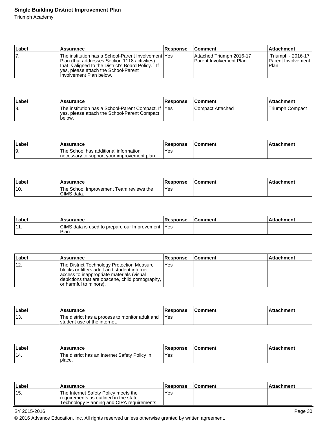Triumph Academy

| Label | <b>Assurance</b>                                                                                                                                                                                                                | <b>Response</b> | <b>Comment</b>                                             | <b>Attachment</b>                                        |
|-------|---------------------------------------------------------------------------------------------------------------------------------------------------------------------------------------------------------------------------------|-----------------|------------------------------------------------------------|----------------------------------------------------------|
|       | The institution has a School-Parent Involvement lYes<br> Plan (that addresses Section 1118 activities)<br>that is aligned to the District's Board Policy. If<br>ves, please attach the School-Parent<br>Hnvolvement Plan below. |                 | Attached Triumph 2016-17<br><b>Parent Involvement Plan</b> | Triumph - 2016-17<br><b>Parent Involvement</b><br>l Plan |

| ∣Label | <b>Assurance</b>                                                                                                | Response | <b>Comment</b>    | ⊺Attachment      |
|--------|-----------------------------------------------------------------------------------------------------------------|----------|-------------------|------------------|
| 18.    | The institution has a School-Parent Compact. If  Yes<br>yes, please attach the School-Parent Compact<br>'below. |          | lCompact Attached | lTriumph Compact |

| ∣Labe | Assurance                                                                             | Response | Comment | achment |
|-------|---------------------------------------------------------------------------------------|----------|---------|---------|
| 19.   | The School has additional information<br>Inecessary to support your improvement plan. | Yes      |         |         |

| ∣Label | Assurance                                             | <b>Response</b> | l Comment | Attachment |
|--------|-------------------------------------------------------|-----------------|-----------|------------|
| 110.   | The School Improvement Team reviews the<br>CIMS data. | Yes             |           |            |

| Label   | Assurance                                               | <b>Response</b> | <b>IComment</b> | <b>Attachment</b> |
|---------|---------------------------------------------------------|-----------------|-----------------|-------------------|
| 14<br>. | CIMS data is used to prepare our Improvement '<br>Plan. | l Yes           |                 |                   |

| Label | Assurance                                                                                                                                                                                                              | <b>Response</b> | <b>Comment</b> | <b>Attachment</b> |
|-------|------------------------------------------------------------------------------------------------------------------------------------------------------------------------------------------------------------------------|-----------------|----------------|-------------------|
| 112.  | The District Technology Protection Measure<br>blocks or filters adult and student internet<br>access to inappropriate materials (visual<br>depictions that are obscene, child pornography,  <br>or harmful to minors). | Yes             |                |                   |

| Labe         | Assurance                                                                       | Response | <b>Comment</b> | <b>Attachment</b> |
|--------------|---------------------------------------------------------------------------------|----------|----------------|-------------------|
| -4.9<br>.ن ا | The district has a process to monitor adult and<br>student use of the internet. | Yes      |                |                   |

| ∣Label | Assurance                                               | <b>Response</b> | ∣Comment | ∣Attachment |
|--------|---------------------------------------------------------|-----------------|----------|-------------|
| '14.   | The district has an Internet Safety Policy in<br>place. | Yes             |          |             |

| ∣Label | Assurance                                                                                                                    | <b>Response</b> | l Comment | ∣Attachment∶ |
|--------|------------------------------------------------------------------------------------------------------------------------------|-----------------|-----------|--------------|
| '15.   | The Internet Safety Policy meets the<br>requirements as outlined in the state<br>'Technology Planning and CIPA requirements. | Yes             |           |              |

SY 2015-2016 Page 30

© 2016 Advance Education, Inc. All rights reserved unless otherwise granted by written agreement.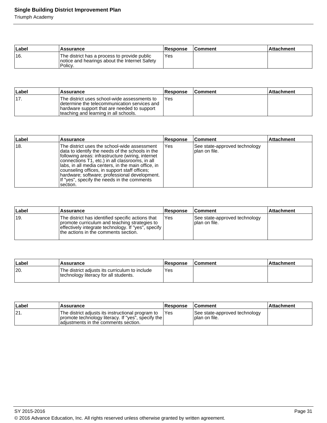Triumph Academy

| Label | Assurance                                                                                                 | <b>Response</b> | <b>Comment</b> | ∣Attachment |
|-------|-----------------------------------------------------------------------------------------------------------|-----------------|----------------|-------------|
| 16.   | The district has a process to provide public<br>Inotice and hearings about the Internet Safety<br>Policy. | 'Yes            |                |             |

| ∣Label | Assurance                                                                                                                                                                             | <b>Response</b> | <b>Comment</b> | ∣Attachment |
|--------|---------------------------------------------------------------------------------------------------------------------------------------------------------------------------------------|-----------------|----------------|-------------|
| '17.   | The district uses school-wide assessments to<br>Idetermine the telecommunication services and<br>hardware support that are needed to support<br>teaching and learning in all schools. | Yes             |                |             |

| Label | <b>Assurance</b>                                                                                                                                                                                                                                                                                                                                                                                                             | <b>Response</b> | ∣Comment                                        | <b>Attachment</b> |
|-------|------------------------------------------------------------------------------------------------------------------------------------------------------------------------------------------------------------------------------------------------------------------------------------------------------------------------------------------------------------------------------------------------------------------------------|-----------------|-------------------------------------------------|-------------------|
| 18.   | The district uses the school-wide assessment<br>data to identify the needs of the schools in the<br>following areas: infrastructure (wiring, internet<br>connections T1, etc.) in all classrooms, in all<br>Ilabs, in all media centers, in the main office, in<br>counseling offices, in support staff offices;<br>hardware; software; professional development.<br>If "yes", specify the needs in the comments<br>section. | IYes            | See state-approved technology<br>Iplan on file. |                   |

| Label | <b>Assurance</b>                                                                                                                                                                                    | <b>Response</b> | <b>Comment</b>                                  | <b>Attachment</b> |
|-------|-----------------------------------------------------------------------------------------------------------------------------------------------------------------------------------------------------|-----------------|-------------------------------------------------|-------------------|
| ±19.  | The district has identified specific actions that<br>promote curriculum and teaching strategies to<br>effectively integrate technology. If "yes", specify  <br>the actions in the comments section. | Yes             | See state-approved technology<br>Iplan on file. |                   |

| ∣Label | Assurance                                                                               | Response | <b>Comment</b> | Attachment |
|--------|-----------------------------------------------------------------------------------------|----------|----------------|------------|
| 20.    | The district adjusts its curriculum to include<br>technology literacy for all students. | Yes      |                |            |

| ∣Label | <b>Assurance</b>                                                                                                                                 | <b>Response</b> | <b>Comment</b>                                  | <b>Attachment</b> |
|--------|--------------------------------------------------------------------------------------------------------------------------------------------------|-----------------|-------------------------------------------------|-------------------|
| 21.    | The district adjusts its instructional program to<br>promote technology literacy. If "yes", specify the<br>ladiustments in the comments section. | IYes            | See state-approved technology<br>Iplan on file. |                   |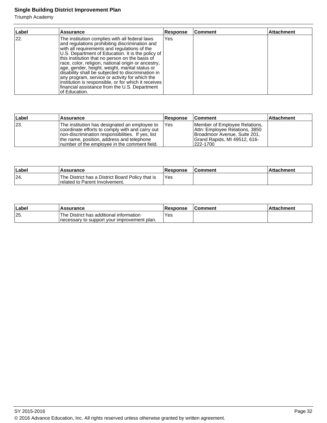Triumph Academy

| Label | <b>Assurance</b>                                                                                                                                                                                                                                                                                                                                                                                                                                                                                                                                                                                     | <b>Response</b> | Comment | <b>Attachment</b> |
|-------|------------------------------------------------------------------------------------------------------------------------------------------------------------------------------------------------------------------------------------------------------------------------------------------------------------------------------------------------------------------------------------------------------------------------------------------------------------------------------------------------------------------------------------------------------------------------------------------------------|-----------------|---------|-------------------|
| 22.   | The institution complies with all federal laws<br>and regulations prohibiting discrimination and<br>with all requirements and regulations of the<br>U.S. Department of Education. It is the policy of<br>this institution that no person on the basis of<br>race, color, religion, national origin or ancestry,<br>age, gender, height, weight, marital status or<br>disability shall be subjected to discrimination in<br>any program, service or activity for which the<br>institution is responsible, or for which it receives<br>financial assistance from the U.S. Department<br>Iof Education. | Yes             |         |                   |

| ∣Label | <b>Assurance</b>                                                                                                                                                                                                                                     | <b>Response</b> | <b>Comment</b>                                                                                                                              | ∣Attachment |
|--------|------------------------------------------------------------------------------------------------------------------------------------------------------------------------------------------------------------------------------------------------------|-----------------|---------------------------------------------------------------------------------------------------------------------------------------------|-------------|
| 23.    | The institution has designated an employee to<br>coordinate efforts to comply with and carry out<br>Inon-discrimination responsibilities. If yes, list<br>the name, position, address and telephone<br>Inumber of the employee in the comment field. | <b>IYes</b>     | Member of Employee Relations,<br>Attn: Employee Relations, 3850<br>Broadmoor Avenue, Suite 201,<br>Grand Rapids, MI 49512, 616-<br>222-1700 |             |

| Label | <b>Assurance</b>                                                                     | <b>Response</b> | <b>Comment</b> | ⊺Attachment |
|-------|--------------------------------------------------------------------------------------|-----------------|----------------|-------------|
| 24.   | The District has a District Board Policy that is<br>I related to Parent Involvement. | 'Yes            |                |             |

| ∣Labe | <b>Assurance</b>                                                                         | <b>Response</b> | <b>Comment</b> | <b>Attachment</b> |
|-------|------------------------------------------------------------------------------------------|-----------------|----------------|-------------------|
| 25.   | 'The District has additional information<br>Inecessary to support your improvement plan. | Yes:            |                |                   |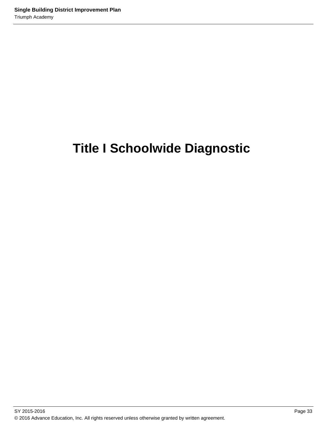# **Title I Schoolwide Diagnostic**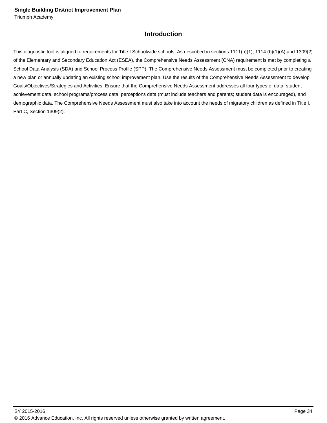## **Introduction**

This diagnostic tool is aligned to requirements for Title I Schoolwide schools. As described in sections 1111(b)(1), 1114 (b)(1)(A) and 1309(2) of the Elementary and Secondary Education Act (ESEA), the Comprehensive Needs Assessment (CNA) requirement is met by completing a School Data Analysis (SDA) and School Process Profile (SPP). The Comprehensive Needs Assessment must be completed prior to creating a new plan or annually updating an existing school improvement plan. Use the results of the Comprehensive Needs Assessment to develop Goals/Objectives/Strategies and Activities. Ensure that the Comprehensive Needs Assessment addresses all four types of data: student achievement data, school programs/process data, perceptions data (must include teachers and parents; student data is encouraged), and demographic data. The Comprehensive Needs Assessment must also take into account the needs of migratory children as defined in Title I, Part C, Section 1309(2).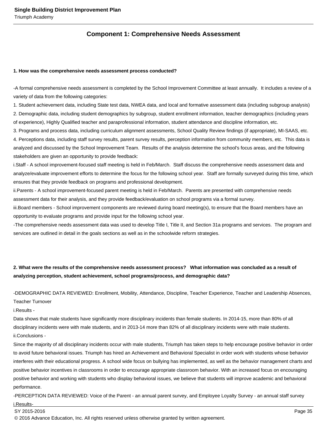## **Component 1: Comprehensive Needs Assessment**

#### **1. How was the comprehensive needs assessment process conducted?**

- A formal comprehensive needs assessment is completed by the School Improvement Committee at least annually. It includes a review of a variety of data from the following categories:

1. Student achievement data, including State test data, NWEA data, and local and formative assessment data (including subgroup analysis) 2. Demographic data, including student demographics by subgroup, student enrollment information, teacher demographics (including years of experience), Highly Qualified teacher and paraprofessional information, student attendance and discipline information, etc.

3. Programs and process data, including curriculum alignment assessments, School Quality Review findings (if appropriate), MI-SAAS, etc. 4. Perceptions data, including staff survey results, parent survey results, perception information from community members, etc. This data is analyzed and discussed by the School Improvement Team. Results of the analysis determine the school's focus areas, and the following stakeholders are given an opportunity to provide feedback:

i. Staff - A school improvement-focused staff meeting is held in Feb/March. Staff discuss the comprehensive needs assessment data and analyze/evaluate improvement efforts to determine the focus for the following school year. Staff are formally surveyed during this time, which ensures that they provide feedback on programs and professional development.

ii. Parents - A school improvement-focused parent meeting is held in Feb/March. Parents are presented with comprehensive needs assessment data for their analysis, and they provide feedback/evaluation on school programs via a formal survey.

iii. Board members - School improvement components are reviewed during board meeting(s), to ensure that the Board members have an opportunity to evaluate programs and provide input for the following school year.

- The comprehensive needs assessment data was used to develop Title I, Title II, and Section 31a programs and services. The program and services are outlined in detail in the goals sections as well as in the schoolwide reform strategies.

## **2. What were the results of the comprehensive needs assessment process? What information was concluded as a result of analyzing perception, student achievement, school programs/process, and demographic data?**

- DEMOGRAPHIC DATA REVIEWED: Enrollment, Mobility, Attendance, Discipline, Teacher Experience, Teacher and Leadership Absences,

Teacher Turnover

i. Results -

Data shows that male students have significantly more disciplinary incidents than female students. In 2014-15, more than 80% of all disciplinary incidents were with male students, and in 2013-14 more than 82% of all disciplinary incidents were with male students. ii. Conclusions -

Since the majority of all disciplinary incidents occur with male students, Triumph has taken steps to help encourage positive behavior in order to avoid future behavioral issues. Triumph has hired an Achievement and Behavioral Specialist in order work with students whose behavior interferes with their educational progress. A school wide focus on bullying has implemented, as well as the behavior management charts and positive behavior incentives in classrooms in order to encourage appropriate classroom behavior. With an increased focus on encouraging positive behavior and working with students who display behavioral issues, we believe that students will improve academic and behavioral performance.

- PERCEPTION DATA REVIEWED: Voice of the Parent - an annual parent survey, and Employee Loyalty Survey - an annual staff survey

#### i. Results-

#### SY 2015-2016 Page 35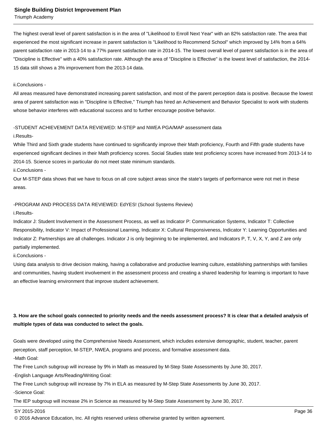Triumph Academy

The highest overall level of parent satisfaction is in the area of "Likelihood to Enroll Next Year" with an 82% satisfaction rate. The area that experienced the most significant increase in parent satisfaction is "Likelihood to Recommend School" which improved by 14% from a 64% parent satisfaction rate in 2013-14 to a 77% parent satisfaction rate in 2014-15. The lowest overall level of parent satisfaction is in the area of "Discipline is Effective" with a 40% satisfaction rate. Although the area of "Discipline is Effective" is the lowest level of satisfaction, the 2014- 15 data still shows a 3% improvement from the 2013-14 data.

#### ii. Conclusions -

All areas measured have demonstrated increasing parent satisfaction, and most of the parent perception data is positive. Because the lowest area of parent satisfaction was in "Discipline is Effective," Triumph has hired an Achievement and Behavior Specialist to work with students whose behavior interferes with educational success and to further encourage positive behavior.

#### - STUDENT ACHIEVEMENT DATA REVIEWED: M-STEP and NWEA PGA/MAP assessment data

#### i. Results-

While Third and Sixth grade students have continued to significantly improve their Math proficiency, Fourth and Fifth grade students have experienced significant declines in their Math proficiency scores. Social Studies state test proficiency scores have increased from 2013-14 to 2014-15. Science scores in particular do not meet state minimum standards.

ii. Conclusions -

Our M-STEP data shows that we have to focus on all core subject areas since the state's targets of performance were not met in these areas.

#### - PROGRAM AND PROCESS DATA REVIEWED: EdYES! (School Systems Review)

#### i. Results-

Indicator J: Student Involvement in the Assessment Process, as well as Indicator P: Communication Systems, Indicator T: Collective Responsibility, Indicator V: Impact of Professional Learning, Indicator X: Cultural Responsiveness, Indicator Y: Learning Opportunities and Indicator Z: Partnerships are all challenges. Indicator J is only beginning to be implemented, and Indicators P, T, V, X, Y, and Z are only partially implemented.

ii. Conclusions -

Using data analysis to drive decision making, having a collaborative and productive learning culture, establishing partnerships with families and communities, having student involvement in the assessment process and creating a shared leadership for learning is important to have an effective learning environment that improve student achievement.

## **3. How are the school goals connected to priority needs and the needs assessment process? It is clear that a detailed analysis of multiple types of data was conducted to select the goals.**

Goals were developed using the Comprehensive Needs Assessment, which includes extensive demographic, student, teacher, parent perception, staff perception, M-STEP, NWEA, programs and process, and formative assessment data.

- Math Goal:

The Free Lunch subgroup will increase by 9% in Math as measured by M-Step State Assessments by June 30, 2017.

- English Language Arts/Reading/Writing Goal:

The Free Lunch subgroup will increase by 7% in ELA as measured by M-Step State Assessments by June 30, 2017.

- Science Goal:

The IEP subgroup will increase 2% in Science as measured by M-Step State Assessment by June 30, 2017.

SY 2015-2016 Page 36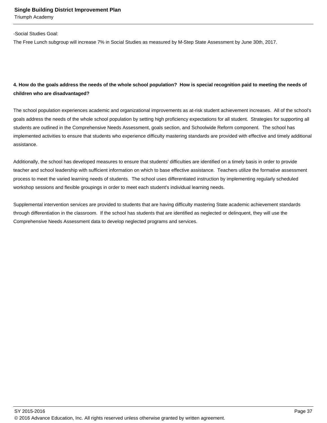Triumph Academy

#### - Social Studies Goal:

The Free Lunch subgroup will increase 7% in Social Studies as measured by M-Step State Assessment by June 30th, 2017.

## **4. How do the goals address the needs of the whole school population? How is special recognition paid to meeting the needs of children who are disadvantaged?**

The school population experiences academic and organizational improvements as at-risk student achievement increases. All of the school's goals address the needs of the whole school population by setting high proficiency expectations for all student. Strategies for supporting all students are outlined in the Comprehensive Needs Assessment, goals section, and Schoolwide Reform component. The school has implemented activities to ensure that students who experience difficulty mastering standards are provided with effective and timely additional assistance.

Additionally, the school has developed measures to ensure that students' difficulties are identified on a timely basis in order to provide teacher and school leadership with sufficient information on which to base effective assistance. Teachers utilize the formative assessment process to meet the varied learning needs of students. The school uses differentiated instruction by implementing regularly scheduled workshop sessions and flexible groupings in order to meet each student's individual learning needs.

Supplemental intervention services are provided to students that are having difficulty mastering State academic achievement standards through differentiation in the classroom. If the school has students that are identified as neglected or delinquent, they will use the Comprehensive Needs Assessment data to develop neglected programs and services.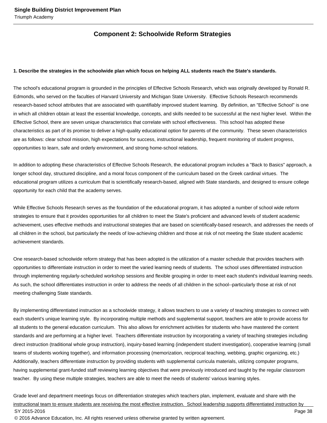## **Component 2: Schoolwide Reform Strategies**

#### **1. Describe the strategies in the schoolwide plan which focus on helping ALL students reach the State's standards.**

The school's educational program is grounded in the principles of Effective Schools Research, which was originally developed by Ronald R. Edmonds, who served on the faculties of Harvard University and Michigan State University. Effective Schools Research recommends research-based school attributes that are associated with quantifiably improved student learning. By definition, an "Effective School" is one in which all children obtain at least the essential knowledge, concepts, and skills needed to be successful at the next higher level. Within the Effective School, there are seven unique characteristics that correlate with school effectiveness. This school has adopted these characteristics as part of its promise to deliver a high-quality educational option for parents of the community. These seven characteristics are as follows: clear school mission, high expectations for success, instructional leadership, frequent monitoring of student progress, opportunities to learn, safe and orderly environment, and strong home-school relations.

In addition to adopting these characteristics of Effective Schools Research, the educational program includes a "Back to Basics" approach, a longer school day, structured discipline, and a moral focus component of the curriculum based on the Greek cardinal virtues. The educational program utilizes a curriculum that is scientifically research-based, aligned with State standards, and designed to ensure college opportunity for each child that the academy serves.

While Effective Schools Research serves as the foundation of the educational program, it has adopted a number of school wide reform strategies to ensure that it provides opportunities for all children to meet the State's proficient and advanced levels of student academic achievement, uses effective methods and instructional strategies that are based on scientifically-based research, and addresses the needs of all children in the school, but particularly the needs of low-achieving children and those at risk of not meeting the State student academic achievement standards.

One research-based schoolwide reform strategy that has been adopted is the utilization of a master schedule that provides teachers with opportunities to differentiate instruction in order to meet the varied learning needs of students. The school uses differentiated instruction through implementing regularly-scheduled workshop sessions and flexible grouping in order to meet each student's individual learning needs. As such, the school differentiates instruction in order to address the needs of all children in the school--particularly those at risk of not meeting challenging State standards.

By implementing differentiated instruction as a schoolwide strategy, it allows teachers to use a variety of teaching strategies to connect with each student's unique learning style. By incorporating multiple methods and supplemental support, teachers are able to provide access for all students to the general education curriculum. This also allows for enrichment activities for students who have mastered the content standards and are performing at a higher level. Teachers differentiate instruction by incorporating a variety of teaching strategies including direct instruction (traditional whole group instruction), inquiry-based learning (independent student investigation), cooperative learning (small teams of students working together), and information processing (memorization, reciprocal teaching, webbing, graphic organizing, etc.) Additionally, teachers differentiate instruction by providing students with supplemental curricula materials, utilizing computer programs, having supplemental grant-funded staff reviewing learning objectives that were previously introduced and taught by the regular classroom teacher. By using these multiple strategies, teachers are able to meet the needs of students' various learning styles.

Grade level and department meetings focus on differentiation strategies which teachers plan, implement, evaluate and share with the instructional team to ensure students are receiving the most effective instruction. School leadership supports differentiated instruction by SY 2015-2016 Page 38 © 2016 Advance Education, Inc. All rights reserved unless otherwise granted by written agreement.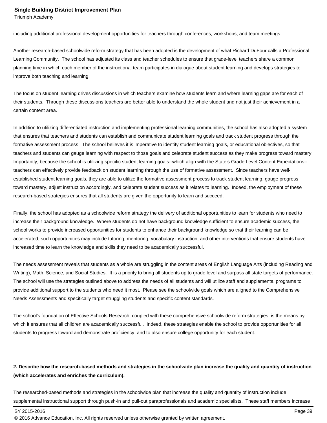Triumph Academy

including additional professional development opportunities for teachers through conferences, workshops, and team meetings.

Another research-based schoolwide reform strategy that has been adopted is the development of what Richard DuFour calls a Professional Learning Community. The school has adjusted its class and teacher schedules to ensure that grade-level teachers share a common planning time in which each member of the instructional team participates in dialogue about student learning and develops strategies to improve both teaching and learning.

The focus on student learning drives discussions in which teachers examine how students learn and where learning gaps are for each of their students. Through these discussions teachers are better able to understand the whole student and not just their achievement in a certain content area.

In addition to utilizing differentiated instruction and implementing professional learning communities, the school has also adopted a system that ensures that teachers and students can establish and communicate student learning goals and track student progress through the formative assessment process. The school believes it is imperative to identify student learning goals, or educational objectives, so that teachers and students can gauge learning with respect to those goals and celebrate student success as they make progress toward mastery. Importantly, because the school is utilizing specific student learning goals--which align with the State's Grade Level Content Expectations- teachers can effectively provide feedback on student learning through the use of formative assessment. Since teachers have wellestablished student learning goals, they are able to utilize the formative assessment process to track student learning, gauge progress toward mastery, adjust instruction accordingly, and celebrate student success as it relates to learning. Indeed, the employment of these research-based strategies ensures that all students are given the opportunity to learn and succeed.

Finally, the school has adopted as a schoolwide reform strategy the delivery of additional opportunities to learn for students who need to increase their background knowledge. Where students do not have background knowledge sufficient to ensure academic success, the school works to provide increased opportunities for students to enhance their background knowledge so that their learning can be accelerated; such opportunities may include tutoring, mentoring, vocabulary instruction, and other interventions that ensure students have increased time to learn the knowledge and skills they need to be academically successful.

The needs assessment reveals that students as a whole are struggling in the content areas of English Language Arts (including Reading and Writing), Math, Science, and Social Studies. It is a priority to bring all students up to grade level and surpass all state targets of performance. The school will use the strategies outlined above to address the needs of all students and will utilize staff and supplemental programs to provide additional support to the students who need it most. Please see the schoolwide goals which are aligned to the Comprehensive Needs Assessments and specifically target struggling students and specific content standards.

The school's foundation of Effective Schools Research, coupled with these comprehensive schoolwide reform strategies, is the means by which it ensures that all children are academically successful. Indeed, these strategies enable the school to provide opportunities for all students to progress toward and demonstrate proficiency, and to also ensure college opportunity for each student.

## **2. Describe how the research-based methods and strategies in the schoolwide plan increase the quality and quantity of instruction (which accelerates and enriches the curriculum).**

The researched-based methods and strategies in the schoolwide plan that increase the quality and quantity of instruction include supplemental instructional support through push-in and pull-out paraprofessionals and academic specialists. These staff members increase

<sup>© 2016</sup> Advance Education, Inc. All rights reserved unless otherwise granted by written agreement.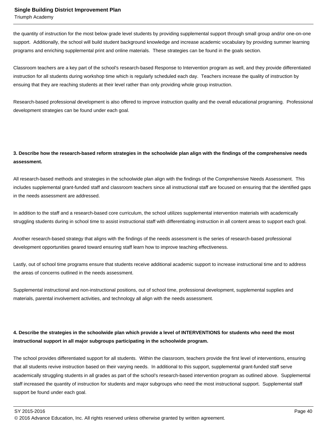Triumph Academy

the quantity of instruction for the most below grade level students by providing supplemental support through small group and/or one-on-one support. Additionally, the school will build student background knowledge and increase academic vocabulary by providing summer learning programs and enriching supplemental print and online materials. These strategies can be found in the goals section.

Classroom teachers are a key part of the school's research-based Response to Intervention program as well, and they provide differentiated instruction for all students during workshop time which is regularly scheduled each day. Teachers increase the quality of instruction by ensuing that they are reaching students at their level rather than only providing whole group instruction.

Research-based professional development is also offered to improve instruction quality and the overall educational programing. Professional development strategies can be found under each goal.

## **3. Describe how the research-based reform strategies in the schoolwide plan align with the findings of the comprehensive needs assessment.**

All research-based methods and strategies in the schoolwide plan align with the findings of the Comprehensive Needs Assessment. This includes supplemental grant-funded staff and classroom teachers since all instructional staff are focused on ensuring that the identified gaps in the needs assessment are addressed.

In addition to the staff and a research-based core curriculum, the school utilizes supplemental intervention materials with academically struggling students during in school time to assist instructional staff with differentiating instruction in all content areas to support each goal.

Another research-based strategy that aligns with the findings of the needs assessment is the series of research-based professional development opportunities geared toward ensuring staff learn how to improve teaching effectiveness.

Lastly, out of school time programs ensure that students receive additional academic support to increase instructional time and to address the areas of concerns outlined in the needs assessment.

Supplemental instructional and non-instructional positions, out of school time, professional development, supplemental supplies and materials, parental involvement activities, and technology all align with the needs assessment.

## **4. Describe the strategies in the schoolwide plan which provide a level of INTERVENTIONS for students who need the most instructional support in all major subgroups participating in the schoolwide program.**

The school provides differentiated support for all students. Within the classroom, teachers provide the first level of interventions, ensuring that all students revive instruction based on their varying needs. In additional to this support, supplemental grant-funded staff serve academically struggling students in all grades as part of the school's research-based intervention program as outlined above. Supplemental staff increased the quantity of instruction for students and major subgroups who need the most instructional support. Supplemental staff support be found under each goal.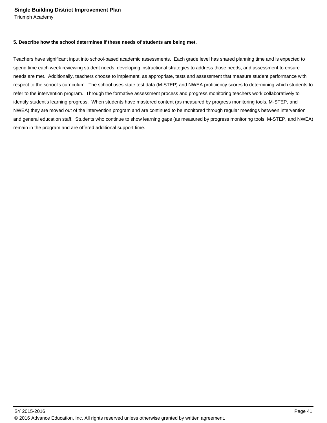Triumph Academy

#### **5. Describe how the school determines if these needs of students are being met.**

Teachers have significant input into school-based academic assessments. Each grade level has shared planning time and is expected to spend time each week reviewing student needs, developing instructional strategies to address those needs, and assessment to ensure needs are met. Additionally, teachers choose to implement, as appropriate, tests and assessment that measure student performance with respect to the school's curriculum. The school uses state test data (M-STEP) and NWEA proficiency scores to determining which students to refer to the intervention program. Through the formative assessment process and progress monitoring teachers work collaboratively to identify student's learning progress. When students have mastered content (as measured by progress monitoring tools, M-STEP, and NWEA) they are moved out of the intervention program and are continued to be monitored through regular meetings between intervention and general education staff. Students who continue to show learning gaps (as measured by progress monitoring tools, M-STEP, and NWEA) remain in the program and are offered additional support time.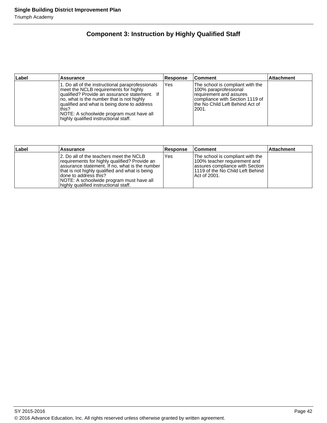## **Component 3: Instruction by Highly Qualified Staff**

| ∣Label | <b>Assurance</b>                                                                                                                                                                                                                                                                                                                     | Response | <b>Comment</b>                                                                                                                                                         | <b>Attachment</b> |
|--------|--------------------------------------------------------------------------------------------------------------------------------------------------------------------------------------------------------------------------------------------------------------------------------------------------------------------------------------|----------|------------------------------------------------------------------------------------------------------------------------------------------------------------------------|-------------------|
|        | 1. Do all of the instructional paraprofessionals<br>meet the NCLB requirements for highly<br>qualified? Provide an assurance statement. If<br>no, what is the number that is not highly<br>qualified and what is being done to address<br>this?<br>NOTE: A schoolwide program must have all<br>highly qualified instructional staff. | Yes      | The school is compliant with the<br>100% paraprofessional<br>requirement and assures<br>Icompliance with Section 1119 of<br>lthe No Child Left Behind Act of<br>l2001. |                   |

| Label | <b>Assurance</b>                                                                                                                                                                                                                                                                                             | <b>Response</b> | ∣Comment                                                                                                                                                  | <b>Attachment</b> |
|-------|--------------------------------------------------------------------------------------------------------------------------------------------------------------------------------------------------------------------------------------------------------------------------------------------------------------|-----------------|-----------------------------------------------------------------------------------------------------------------------------------------------------------|-------------------|
|       | 12. Do all of the teachers meet the NCLB<br>requirements for highly qualified? Provide an<br>assurance statement. If no, what is the number<br>that is not highly qualified and what is being<br>Idone to address this?<br>NOTE: A schoolwide program must have all<br>highly qualified instructional staff. | Yes             | The school is compliant with the<br>100% teacher requirement and<br>lassures compliance with Section<br>11119 of the No Child Left Behind<br>Act of 2001. |                   |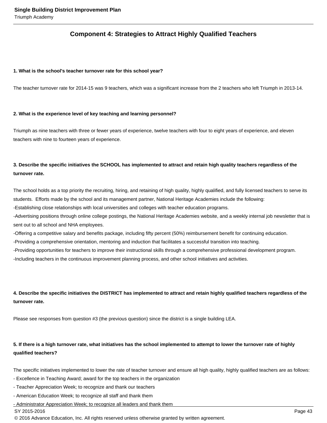## **Component 4: Strategies to Attract Highly Qualified Teachers**

#### **1. What is the school's teacher turnover rate for this school year?**

The teacher turnover rate for 2014-15 was 9 teachers, which was a significant increase from the 2 teachers who left Triumph in 2013-14.

#### **2. What is the experience level of key teaching and learning personnel?**

Triumph as nine teachers with three or fewer years of experience, twelve teachers with four to eight years of experience, and eleven teachers with nine to fourteen years of experience.

## **3. Describe the specific initiatives the SCHOOL has implemented to attract and retain high quality teachers regardless of the turnover rate.**

The school holds as a top priority the recruiting, hiring, and retaining of high quality, highly qualified, and fully licensed teachers to serve its students. Efforts made by the school and its management partner, National Heritage Academies include the following:

- Establishing close relationships with local universities and colleges with teacher education programs.

- Advertising positions through online college postings, the National Heritage Academies website, and a weekly internal job newsletter that is sent out to all school and NHA employees.

- Offering a competitive salary and benefits package, including fifty percent (50%) reimbursement benefit for continuing education.

- Providing a comprehensive orientation, mentoring and induction that facilitates a successful transition into teaching.

- Providing opportunities for teachers to improve their instructional skills through a comprehensive professional development program.

- Including teachers in the continuous improvement planning process, and other school initiatives and activities.

## **4. Describe the specific initiatives the DISTRICT has implemented to attract and retain highly qualified teachers regardless of the turnover rate.**

Please see responses from question #3 (the previous question) since the district is a single building LEA.

## **5. If there is a high turnover rate, what initiatives has the school implemented to attempt to lower the turnover rate of highly qualified teachers?**

The specific initiatives implemented to lower the rate of teacher turnover and ensure all high quality, highly qualified teachers are as follows:

- Excellence in Teaching Award; award for the top teachers in the organization
- Teacher Appreciation Week; to recognize and thank our teachers
- American Education Week; to recognize all staff and thank them

- Administrator Appreciation Week; to recognize all leaders and thank them

#### SY 2015-2016 Page 43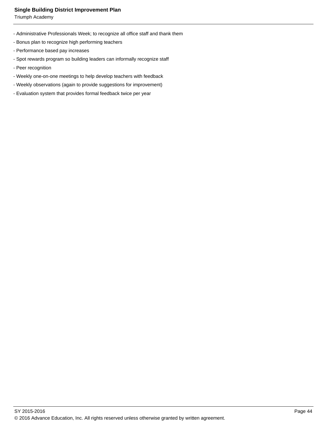Triumph Academy

- Administrative Professionals Week; to recognize all office staff and thank them
- Bonus plan to recognize high performing teachers
- Performance based pay increases
- Spot rewards program so building leaders can informally recognize staff
- Peer recognition
- Weekly one-on-one meetings to help develop teachers with feedback
- Weekly observations (again to provide suggestions for improvement)
- Evaluation system that provides formal feedback twice per year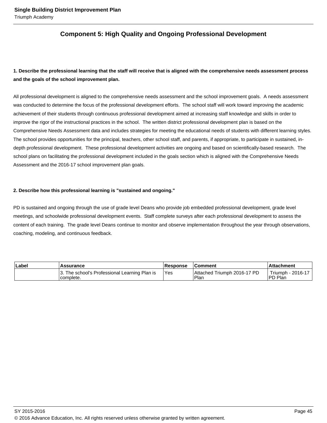## **Component 5: High Quality and Ongoing Professional Development**

## **1. Describe the professional learning that the staff will receive that is aligned with the comprehensive needs assessment process and the goals of the school improvement plan.**

All professional development is aligned to the comprehensive needs assessment and the school improvement goals. A needs assessment was conducted to determine the focus of the professional development efforts. The school staff will work toward improving the academic achievement of their students through continuous professional development aimed at increasing staff knowledge and skills in order to improve the rigor of the instructional practices in the school. The written district professional development plan is based on the Comprehensive Needs Assessment data and includes strategies for meeting the educational needs of students with different learning styles. The school provides opportunities for the principal, teachers, other school staff, and parents, if appropriate, to participate in sustained, indepth professional development. These professional development activities are ongoing and based on scientifically-based research. The school plans on facilitating the professional development included in the goals section which is aligned with the Comprehensive Needs Assessment and the 2016-17 school improvement plan goals.

#### **2. Describe how this professional learning is "sustained and ongoing."**

PD is sustained and ongoing through the use of grade level Deans who provide job embedded professional development, grade level meetings, and schoolwide professional development events. Staff complete surveys after each professional development to assess the content of each training. The grade level Deans continue to monitor and observe implementation throughout the year through observations, coaching, modeling, and continuous feedback.

| ∣Label | Assurance                                                  | <b>Response</b> | ⊺Comment                            | ∣Attachment                   |  |
|--------|------------------------------------------------------------|-----------------|-------------------------------------|-------------------------------|--|
|        | 3. The school's Professional Learning Plan is<br>complete. | 'Yes            | Attached Triumph 2016-17 PD<br>Plar | Triumph - 2016-17<br>IPD Plan |  |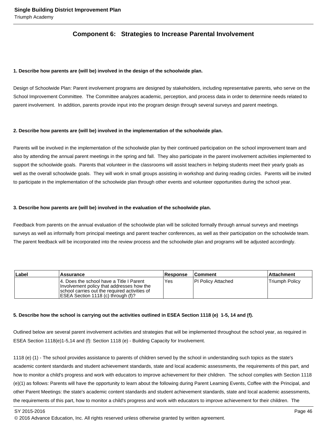## **Component 6: Strategies to Increase Parental Involvement**

#### **1. Describe how parents are (will be) involved in the design of the schoolwide plan.**

Design of Schoolwide Plan: Parent involvement programs are designed by stakeholders, including representative parents, who serve on the School Improvement Committee. The Committee analyzes academic, perception, and process data in order to determine needs related to parent involvement. In addition, parents provide input into the program design through several surveys and parent meetings.

#### **2. Describe how parents are (will be) involved in the implementation of the schoolwide plan.**

Parents will be involved in the implementation of the schoolwide plan by their continued participation on the school improvement team and also by attending the annual parent meetings in the spring and fall. They also participate in the parent involvement activities implemented to support the schoolwide goals. Parents that volunteer in the classrooms will assist teachers in helping students meet their yearly goals as well as the overall schoolwide goals. They will work in small groups assisting in workshop and during reading circles. Parents will be invited to participate in the implementation of the schoolwide plan through other events and volunteer opportunities during the school year.

#### **3. Describe how parents are (will be) involved in the evaluation of the schoolwide plan.**

Feedback from parents on the annual evaluation of the schoolwide plan will be solicited formally through annual surveys and meetings surveys as well as informally from principal meetings and parent teacher conferences, as well as their participation on the schoolwide team. The parent feedback will be incorporated into the review process and the schoolwide plan and programs will be adjusted accordingly.

| Label | <b>Assurance</b>                                                                                                                                                               | Response   | <b>Comment</b>            | <b>Attachment</b>     |
|-------|--------------------------------------------------------------------------------------------------------------------------------------------------------------------------------|------------|---------------------------|-----------------------|
|       | 14. Does the school have a Title I Parent<br>Involvement policy that addresses how the<br>school carries out the required activities of<br>IESEA Section 1118 (c) through (f)? | <b>Yes</b> | <b>PI Policy Attached</b> | <b>Triumph Policy</b> |

#### **5. Describe how the school is carrying out the activities outlined in ESEA Section 1118 (e) 1-5, 14 and (f).**

Outlined below are several parent involvement activities and strategies that will be implemented throughout the school year, as required in ESEA Section 1118(e)1-5,14 and (f): Section 1118 (e) - Building Capacity for Involvement.

1118 (e) (1) - The school provides assistance to parents of children served by the school in understanding such topics as the state's academic content standards and student achievement standards, state and local academic assessments, the requirements of this part, and how to monitor a child's progress and work with educators to improve achievement for their children. The school complies with Section 1118 (e)(1) as follows: Parents will have the opportunity to learn about the following during Parent Learning Events, Coffee with the Principal, and other Parent Meetings: the state's academic content standards and student achievement standards, state and local academic assessments, the requirements of this part, how to monitor a child's progress and work with educators to improve achievement for their children. The

SY 2015-2016 Page 46

<sup>© 2016</sup> Advance Education, Inc. All rights reserved unless otherwise granted by written agreement.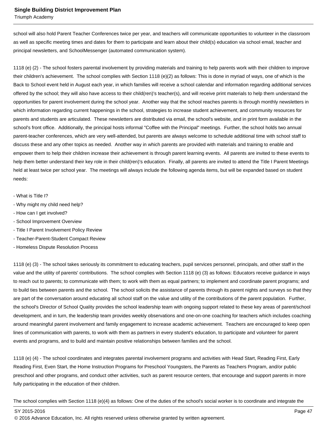Triumph Academy

school will also hold Parent Teacher Conferences twice per year, and teachers will communicate opportunities to volunteer in the classroom as well as specific meeting times and dates for them to participate and learn about their child(s) education via school email, teacher and principal newsletters, and SchoolMessenger (automated communication system).

1118 (e) (2) - The school fosters parental involvement by providing materials and training to help parents work with their children to improve their children's achievement. The school complies with Section 1118 (e)(2) as follows: This is done in myriad of ways, one of which is the Back to School event held in August each year, in which families will receive a school calendar and information regarding additional services offered by the school; they will also have access to their child(ren)'s teacher(s), and will receive print materials to help them understand the opportunities for parent involvement during the school year. Another way that the school reaches parents is through monthly newsletters in which information regarding current happenings in the school, strategies to increase student achievement, and community resources for parents and students are articulated. These newsletters are distributed via email, the school's website, and in print form available in the school's front office. Additionally, the principal hosts informal "Coffee with the Principal" meetings. Further, the school holds two annual parent-teacher conferences, which are very well-attended, but parents are always welcome to schedule additional time with school staff to discuss these and any other topics as needed. Another way in which parents are provided with materials and training to enable and empower them to help their children increase their achievement is through parent learning events. All parents are invited to these events to help them better understand their key role in their child(ren)'s education. Finally, all parents are invited to attend the Title I Parent Meetings held at least twice per school year. The meetings will always include the following agenda items, but will be expanded based on student needs:

- What is Title I?
- Why might my child need help?
- How can I get involved?
- School Improvement Overview
- Title I Parent Involvement Policy Review
- Teacher-Parent-Student Compact Review
- Homeless Dispute Resolution Process

1118 (e) (3) - The school takes seriously its commitment to educating teachers, pupil services personnel, principals, and other staff in the value and the utility of parents' contributions. The school complies with Section 1118 (e) (3) as follows: Educators receive guidance in ways to reach out to parents; to communicate with them; to work with them as equal partners; to implement and coordinate parent programs; and to build ties between parents and the school. The school solicits the assistance of parents through its parent nights and surveys so that they are part of the conversation around educating all school staff on the value and utility of the contributions of the parent population. Further, the school's Director of School Quality provides the school leadership team with ongoing support related to these key areas of parent/school development, and in turn, the leadership team provides weekly observations and one-on-one coaching for teachers which includes coaching around meaningful parent involvement and family engagement to increase academic achievement. Teachers are encouraged to keep open lines of communication with parents, to work with them as partners in every student's education, to participate and volunteer for parent events and programs, and to build and maintain positive relationships between families and the school.

1118 (e) (4) - The school coordinates and integrates parental involvement programs and activities with Head Start, Reading First, Early Reading First, Even Start, the Home Instruction Programs for Preschool Youngsters, the Parents as Teachers Program, and/or public preschool and other programs, and conduct other activities, such as parent resource centers, that encourage and support parents in more fully participating in the education of their children.

The school complies with Section 1118 (e)(4) as follows: One of the duties of the school's social worker is to coordinate and integrate the

SY 2015-2016 Page 47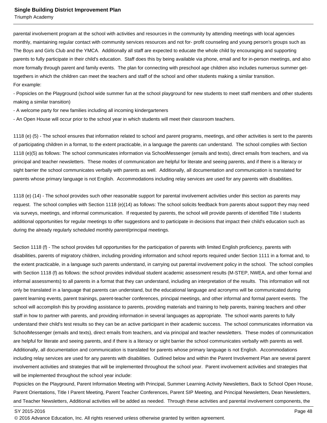Triumph Academy

parental involvement program at the school with activities and resources in the community by attending meetings with local agencies monthly, maintaining regular contact with community services resources and not for- profit counseling and young person's groups such as The Boys and Girls Club and the YMCA. Additionally all staff are expected to educate the whole child by encouraging and supporting parents to fully participate in their child's education. Staff does this by being available via phone, email and for in-person meetings, and also more formally through parent and family events. The plan for connecting with preschool age children also includes numerous summer gettogethers in which the children can meet the teachers and staff of the school and other students making a similar transition. For example:

- Popsicles on the Playground (school wide summer fun at the school playground for new students to meet staff members and other students making a similar transition)

- A welcome party for new families including all incoming kindergarteners

- An Open House will occur prior to the school year in which students will meet their classroom teachers.

1118 (e) (5) - The school ensures that information related to school and parent programs, meetings, and other activities is sent to the parents of participating children in a format, to the extent practicable, in a language the parents can understand. The school complies with Section 1118 (e)(5) as follows: The school communicates information via SchoolMessenger (emails and texts), direct emails from teachers, and via principal and teacher newsletters. These modes of communication are helpful for literate and seeing parents, and if there is a literacy or sight barrier the school communicates verbally with parents as well. Additionally, all documentation and communication is translated for parents whose primary language is not English. Accommodations including relay services are used for any parents with disabilities.

1118 (e) (14) - The school provides such other reasonable support for parental involvement activities under this section as parents may request. The school complies with Section 1118 (e)(14) as follows: The school solicits feedback from parents about support they may need via surveys, meetings, and informal communication. If requested by parents, the school will provide parents of identified Title I students additional opportunities for regular meetings to offer suggestions and to participate in decisions that impact their child's education such as during the already regularly scheduled monthly parent/principal meetings.

Section 1118 (f) - The school provides full opportunities for the participation of parents with limited English proficiency, parents with disabilities, parents of migratory children, including providing information and school reports required under Section 1111 in a format and, to the extent practicable, in a language such parents understand, in carrying out parental involvement policy in the school. The school complies with Section 1118 (f) as follows: the school provides individual student academic assessment results (M-STEP, NWEA, and other formal and informal assessments) to all parents in a format that they can understand, including an interpretation of the results. This information will not only be translated in a language that parents can understand, but the educational language and acronyms will be communicated during parent learning events, parent trainings, parent-teacher conferences, principal meetings, and other informal and formal parent events. The school will accomplish this by providing assistance to parents, providing materials and training to help parents, training teachers and other staff in how to partner with parents, and providing information in several languages as appropriate. The school wants parents to fully understand their child's test results so they can be an active participant in their academic success. The school communicates information via SchoolMessenger (emails and texts), direct emails from teachers, and via principal and teacher newsletters. These modes of communication are helpful for literate and seeing parents, and if there is a literacy or sight barrier the school communicates verbally with parents as well. Additionally, all documentation and communication is translated for parents whose primary language is not English. Accommodations including relay services are used for any parents with disabilities. Outlined below and within the Parent Involvement Plan are several parent involvement activities and strategies that will be implemented throughout the school year. Parent involvement activities and strategies that will be implemented throughout the school year include:

Popsicles on the Playground, Parent Information Meeting with Principal, Summer Learning Activity Newsletters, Back to School Open House, Parent Orientations, Title I Parent Meeting, Parent Teacher Conferences, Parent SIP Meeting, and Principal Newsletters, Dean Newsletters, and Teacher Newsletters, Additional activities will be added as needed. Through these activities and parental involvement components, the

<sup>© 2016</sup> Advance Education, Inc. All rights reserved unless otherwise granted by written agreement.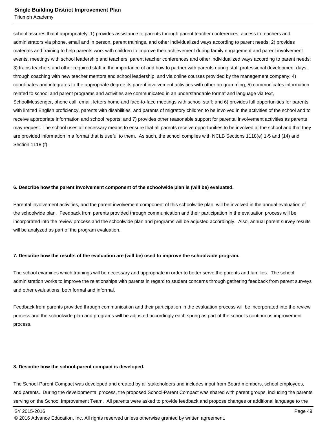Triumph Academy

school assures that it appropriately: 1) provides assistance to parents through parent teacher conferences, access to teachers and administrators via phone, email and in person, parent trainings, and other individualized ways according to parent needs; 2) provides materials and training to help parents work with children to improve their achievement during family engagement and parent involvement events, meetings with school leadership and teachers, parent teacher conferences and other individualized ways according to parent needs; 3) trains teachers and other required staff in the importance of and how to partner with parents during staff professional development days, through coaching with new teacher mentors and school leadership, and via online courses provided by the management company; 4) coordinates and integrates to the appropriate degree its parent involvement activities with other programming; 5) communicates information related to school and parent programs and activities are communicated in an understandable format and language via text, SchoolMessenger, phone call, email, letters home and face-to-face meetings with school staff; and 6) provides full opportunities for parents with limited English proficiency, parents with disabilities, and parents of migratory children to be involved in the activities of the school and to receive appropriate information and school reports; and 7) provides other reasonable support for parental involvement activities as parents may request. The school uses all necessary means to ensure that all parents receive opportunities to be involved at the school and that they are provided information in a format that is useful to them. As such, the school complies with NCLB Sections 1118(e) 1-5 and (14) and Section 1118 (f).

#### **6. Describe how the parent involvement component of the schoolwide plan is (will be) evaluated.**

Parental involvement activities, and the parent involvement component of this schoolwide plan, will be involved in the annual evaluation of the schoolwide plan. Feedback from parents provided through communication and their participation in the evaluation process will be incorporated into the review process and the schoolwide plan and programs will be adjusted accordingly. Also, annual parent survey results will be analyzed as part of the program evaluation.

#### **7. Describe how the results of the evaluation are (will be) used to improve the schoolwide program.**

The school examines which trainings will be necessary and appropriate in order to better serve the parents and families. The school administration works to improve the relationships with parents in regard to student concerns through gathering feedback from parent surveys and other evaluations, both formal and informal.

Feedback from parents provided through communication and their participation in the evaluation process will be incorporated into the review process and the schoolwide plan and programs will be adjusted accordingly each spring as part of the school's continuous improvement process.

#### **8. Describe how the school-parent compact is developed.**

The School-Parent Compact was developed and created by all stakeholders and includes input from Board members, school employees, and parents. During the developmental process, the proposed School-Parent Compact was shared with parent groups, including the parents serving on the School Improvement Team. All parents were asked to provide feedback and propose changes or additional language to the

<sup>© 2016</sup> Advance Education, Inc. All rights reserved unless otherwise granted by written agreement.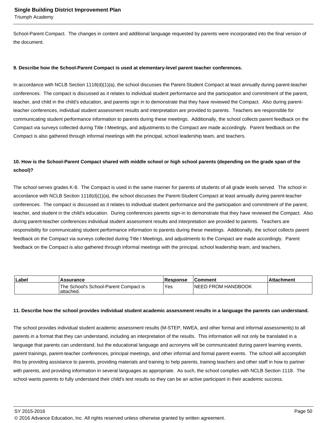Triumph Academy

School-Parent Compact. The changes in content and additional language requested by parents were incorporated into the final version of the document.

#### **9. Describe how the School-Parent Compact is used at elementary-level parent teacher conferences.**

In accordance with NCLB Section 1118(d)(1)(a), the school discusses the Parent-Student Compact at least annually during parent-teacher conferences. The compact is discussed as it relates to individual student performance and the participation and commitment of the parent, teacher, and child in the child's education, and parents sign in to demonstrate that they have reviewed the Compact. Also during parentteacher conferences, individual student assessment results and interpretation are provided to parents. Teachers are responsible for communicating student performance information to parents during these meetings. Additionally, the school collects parent feedback on the Compact via surveys collected during Title I Meetings, and adjustments to the Compact are made accordingly. Parent feedback on the Compact is also gathered through informal meetings with the principal, school leadership team, and teachers.

## **10. How is the School-Parent Compact shared with middle school or high school parents (depending on the grade span of the school)?**

The school serves grades K-8. The Compact is used in the same manner for parents of students of all grade levels served. The school in accordance with NCLB Section 1118(d)(1)(a), the school discusses the Parent-Student Compact at least annually during parent-teacher conferences. The compact is discussed as it relates to individual student performance and the participation and commitment of the parent, teacher, and student in the child's education. During conferences parents sign-in to demonstrate that they have reviewed the Compact. Also during parent-teacher conferences individual student assessment results and interpretation are provided to parents. Teachers are responsibility for communicating student performance information to parents during these meetings. Additionally, the school collects parent feedback on the Compact via surveys collected during Title I Meetings, and adjustments to the Compact are made accordingly. Parent feedback on the Compact is also gathered through informal meetings with the principal, school leadership team, and teachers.

| Label | Assurance                                           | <b>Response</b> | ∣Comment                   | .Attachment |
|-------|-----------------------------------------------------|-----------------|----------------------------|-------------|
|       | The School's School-Parent Compact is<br>'attached. | Yes             | <b>INEED FROM HANDBOOK</b> |             |

#### **11. Describe how the school provides individual student academic assessment results in a language the parents can understand.**

The school provides individual student academic assessment results (M-STEP, NWEA, and other formal and informal assessments) to all parents in a format that they can understand, including an interpretation of the results. This information will not only be translated in a language that parents can understand, but the educational language and acronyms will be communicated during parent learning events, parent trainings, parent-teacher conferences, principal meetings, and other informal and formal parent events. The school will accomplish this by providing assistance to parents, providing materials and training to help parents, training teachers and other staff in how to partner with parents, and providing information in several languages as appropriate. As such, the school complies with NCLB Section 1118. The school wants parents to fully understand their child's test results so they can be an active participant in their academic success.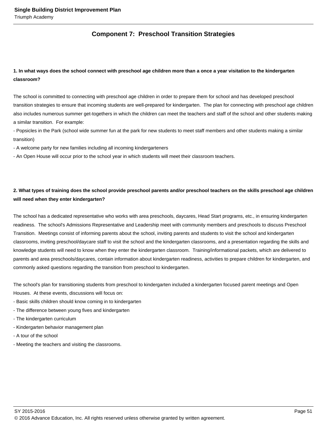## **Component 7: Preschool Transition Strategies**

## **1. In what ways does the school connect with preschool age children more than a once a year visitation to the kindergarten classroom?**

The school is committed to connecting with preschool age children in order to prepare them for school and has developed preschool transition strategies to ensure that incoming students are well-prepared for kindergarten. The plan for connecting with preschool age children also includes numerous summer get-togethers in which the children can meet the teachers and staff of the school and other students making a similar transition. For example:

- Popsicles in the Park (school wide summer fun at the park for new students to meet staff members and other students making a similar transition)

- A welcome party for new families including all incoming kindergarteners

- An Open House will occur prior to the school year in which students will meet their classroom teachers.

## **2. What types of training does the school provide preschool parents and/or preschool teachers on the skills preschool age children will need when they enter kindergarten?**

The school has a dedicated representative who works with area preschools, daycares, Head Start programs, etc., in ensuring kindergarten readiness. The school's Admissions Representative and Leadership meet with community members and preschools to discuss Preschool Transition. Meetings consist of informing parents about the school, inviting parents and students to visit the school and kindergarten classrooms, inviting preschool/daycare staff to visit the school and the kindergarten classrooms, and a presentation regarding the skills and knowledge students will need to know when they enter the kindergarten classroom. Training/informational packets, which are delivered to parents and area preschools/daycares, contain information about kindergarten readiness, activities to prepare children for kindergarten, and commonly asked questions regarding the transition from preschool to kindergarten.

The school's plan for transitioning students from preschool to kindergarten included a kindergarten focused parent meetings and Open Houses. At these events, discussions will focus on:

- Basic skills children should know coming in to kindergarten
- The difference between young fives and kindergarten
- The kindergarten curriculum
- Kindergarten behavior management plan
- A tour of the school
- Meeting the teachers and visiting the classrooms.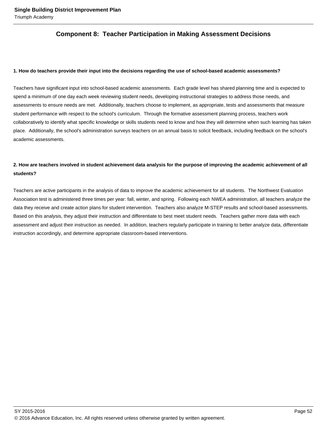## **Component 8: Teacher Participation in Making Assessment Decisions**

#### **1. How do teachers provide their input into the decisions regarding the use of school-based academic assessments?**

Teachers have significant input into school-based academic assessments. Each grade level has shared planning time and is expected to spend a minimum of one day each week reviewing student needs, developing instructional strategies to address those needs, and assessments to ensure needs are met. Additionally, teachers choose to implement, as appropriate, tests and assessments that measure student performance with respect to the school's curriculum. Through the formative assessment planning process, teachers work collaboratively to identify what specific knowledge or skills students need to know and how they will determine when such learning has taken place. Additionally, the school's administration surveys teachers on an annual basis to solicit feedback, including feedback on the school's academic assessments.

## **2. How are teachers involved in student achievement data analysis for the purpose of improving the academic achievement of all students?**

Teachers are active participants in the analysis of data to improve the academic achievement for all students. The Northwest Evaluation Association test is administered three times per year: fall, winter, and spring. Following each NWEA administration, all teachers analyze the data they receive and create action plans for student intervention. Teachers also analyze M-STEP results and school-based assessments. Based on this analysis, they adjust their instruction and differentiate to best meet student needs. Teachers gather more data with each assessment and adjust their instruction as needed. In addition, teachers regularly participate in training to better analyze data, differentiate instruction accordingly, and determine appropriate classroom-based interventions.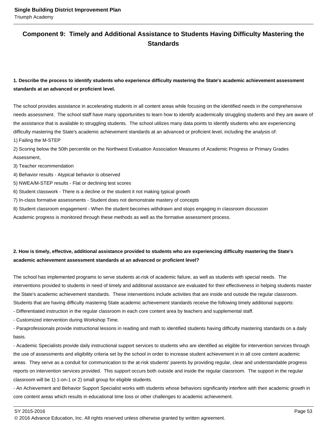## **Component 9: Timely and Additional Assistance to Students Having Difficulty Mastering the Standards**

## **1. Describe the process to identify students who experience difficulty mastering the State's academic achievement assessment standards at an advanced or proficient level.**

The school provides assistance in accelerating students in all content areas while focusing on the identified needs in the comprehensive needs assessment. The school staff have many opportunities to learn how to identify academically struggling students and they are aware of the assistance that is available to struggling students. The school utilizes many data points to identify students who are experiencing difficulty mastering the State's academic achievement standards at an advanced or proficient level, including the analysis of:

1) Failing the M-STEP

2) Scoring below the 50th percentile on the Northwest Evaluation Association Measures of Academic Progress or Primary Grades Assessment,

3) Teacher recommendation

4) Behavior results - Atypical behavior is observed

5) NWEA/M-STEP results - Flat or declining test scores

6) Student classwork - There is a decline or the student it not making typical growth

7) In-class formative assessments - Student does not demonstrate mastery of concepts

8) Student classroom engagement - When the student becomes withdrawn and stops engaging in classroom discussion

Academic progress is monitored through these methods as well as the formative assessment process.

## **2. How is timely, effective, additional assistance provided to students who are experiencing difficulty mastering the State's academic achievement assessment standards at an advanced or proficient level?**

The school has implemented programs to serve students at-risk of academic failure, as well as students with special needs. The interventions provided to students in need of timely and additional assistance are evaluated for their effectiveness in helping students master the State's academic achievement standards. These interventions include activities that are inside and outside the regular classroom. Students that are having difficulty mastering State academic achievement standards receive the following timely additional supports:

- Differentiated instruction in the regular classroom in each core content area by teachers and supplemental staff.

- Customized intervention during Workshop Time.

- Paraprofessionals provide instructional lessons in reading and math to identified students having difficulty mastering standards on a daily basis.

- Academic Specialists provide daily instructional support services to students who are identified as eligible for intervention services through the use of assessments and eligibility criteria set by the school in order to increase student achievement in in all core content academic areas. They serve as a conduit for communication to the at-risk students' parents by providing regular, clear and understandable progress reports on intervention services provided. This support occurs both outside and inside the regular classroom. The support in the regular classroom will be 1) 1-on-1 or 2) small group for eligible students.

- An Achievement and Behavior Support Specialist works with students whose behaviors significantly interfere with their academic growth in core content areas which results in educational time loss or other challenges to academic achievement.

<sup>© 2016</sup> Advance Education, Inc. All rights reserved unless otherwise granted by written agreement.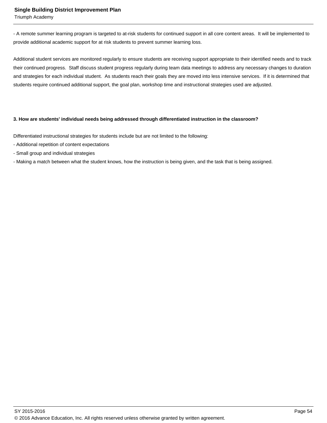Triumph Academy

- A remote summer learning program is targeted to at-risk students for continued support in all core content areas. It will be implemented to provide additional academic support for at risk students to prevent summer learning loss.

Additional student services are monitored regularly to ensure students are receiving support appropriate to their identified needs and to track their continued progress. Staff discuss student progress regularly during team data meetings to address any necessary changes to duration and strategies for each individual student. As students reach their goals they are moved into less intensive services. If it is determined that students require continued additional support, the goal plan, workshop time and instructional strategies used are adjusted.

#### **3. How are students' individual needs being addressed through differentiated instruction in the classroom?**

Differentiated instructional strategies for students include but are not limited to the following:

- Additional repetition of content expectations
- Small group and individual strategies
- Making a match between what the student knows, how the instruction is being given, and the task that is being assigned.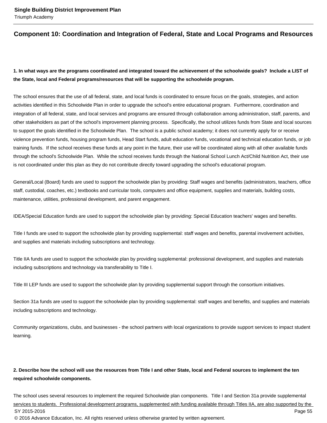## **Component 10: Coordination and Integration of Federal, State and Local Programs and Resources**

## **1. In what ways are the programs coordinated and integrated toward the achievement of the schoolwide goals? Include a LIST of the State, local and Federal programs/resources that will be supporting the schoolwide program.**

The school ensures that the use of all federal, state, and local funds is coordinated to ensure focus on the goals, strategies, and action activities identified in this Schoolwide Plan in order to upgrade the school's entire educational program. Furthermore, coordination and integration of all federal, state, and local services and programs are ensured through collaboration among administration, staff, parents, and other stakeholders as part of the school's improvement planning process. Specifically, the school utilizes funds from State and local sources to support the goals identified in the Schoolwide Plan. The school is a public school academy; it does not currently apply for or receive violence prevention funds, housing program funds, Head Start funds, adult education funds, vocational and technical education funds, or job training funds. If the school receives these funds at any point in the future, their use will be coordinated along with all other available funds through the school's Schoolwide Plan. While the school receives funds through the National School Lunch Act/Child Nutrition Act, their use is not coordinated under this plan as they do not contribute directly toward upgrading the school's educational program.

General/Local (Board) funds are used to support the schoolwide plan by providing: Staff wages and benefits (administrators, teachers, office staff, custodial, coaches, etc.) textbooks and curricular tools, computers and office equipment, supplies and materials, building costs, maintenance, utilities, professional development, and parent engagement.

IDEA/Special Education funds are used to support the schoolwide plan by providing: Special Education teachers' wages and benefits.

Title I funds are used to support the schoolwide plan by providing supplemental: staff wages and benefits, parental involvement activities, and supplies and materials including subscriptions and technology.

Title IIA funds are used to support the schoolwide plan by providing supplemental: professional development, and supplies and materials including subscriptions and technology via transferability to Title I.

Title III LEP funds are used to support the schoolwide plan by providing supplemental support through the consortium initiatives.

Section 31a funds are used to support the schoolwide plan by providing supplemental: staff wages and benefits, and supplies and materials including subscriptions and technology.

Community organizations, clubs, and businesses - the school partners with local organizations to provide support services to impact student learning.

## **2. Describe how the school will use the resources from Title I and other State, local and Federal sources to implement the ten required schoolwide components.**

The school uses several resources to implement the required Schoolwide plan components. Title I and Section 31a provide supplemental services to students. Professional development programs, supplemented with funding available through Titles IIA, are also supported by the SY 2015-2016 Page 55 © 2016 Advance Education, Inc. All rights reserved unless otherwise granted by written agreement.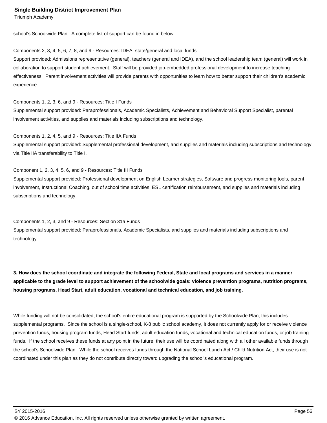Triumph Academy

school's Schoolwide Plan. A complete list of support can be found in below.

#### Components 2, 3, 4, 5, 6, 7, 8, and 9 - Resources: IDEA, state/general and local funds

Support provided: Admissions representative (general), teachers (general and IDEA), and the school leadership team (general) will work in collaboration to support student achievement. Staff will be provided job-embedded professional development to increase teaching effectiveness. Parent involvement activities will provide parents with opportunities to learn how to better support their children's academic experience.

Components 1, 2, 3, 6, and 9 - Resources: Title I Funds Supplemental support provided: Paraprofessionals, Academic Specialists, Achievement and Behavioral Support Specialist, parental involvement activities, and supplies and materials including subscriptions and technology.

Components 1, 2, 4, 5, and 9 - Resources: Title IIA Funds

Supplemental support provided: Supplemental professional development, and supplies and materials including subscriptions and technology via Title IIA transferability to Title I.

#### Component 1, 2, 3, 4, 5, 6, and 9 - Resources: Title III Funds

Supplemental support provided: Professional development on English Learner strategies, Software and progress monitoring tools, parent involvement, Instructional Coaching, out of school time activities, ESL certification reimbursement, and supplies and materials including subscriptions and technology.

#### Components 1, 2, 3, and 9 - Resources: Section 31a Funds

Supplemental support provided: Paraprofessionals, Academic Specialists, and supplies and materials including subscriptions and technology.

**3. How does the school coordinate and integrate the following Federal, State and local programs and services in a manner applicable to the grade level to support achievement of the schoolwide goals: violence prevention programs, nutrition programs, housing programs, Head Start, adult education, vocational and technical education, and job training.** 

While funding will not be consolidated, the school's entire educational program is supported by the Schoolwide Plan; this includes supplemental programs. Since the school is a single-school, K-8 public school academy, it does not currently apply for or receive violence prevention funds, housing program funds, Head Start funds, adult education funds, vocational and technical education funds, or job training funds. If the school receives these funds at any point in the future, their use will be coordinated along with all other available funds through the school's Schoolwide Plan. While the school receives funds through the National School Lunch Act / Child Nutrition Act, their use is not coordinated under this plan as they do not contribute directly toward upgrading the school's educational program.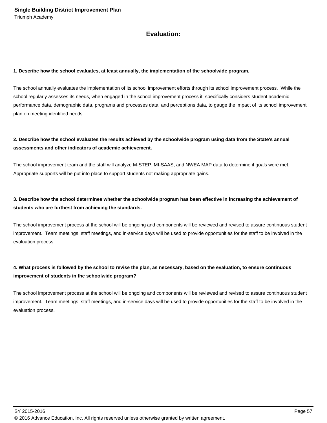## **Evaluation:**

#### **1. Describe how the school evaluates, at least annually, the implementation of the schoolwide program.**

The school annually evaluates the implementation of its school improvement efforts through its school improvement process. While the school regularly assesses its needs, when engaged in the school improvement process it specifically considers student academic performance data, demographic data, programs and processes data, and perceptions data, to gauge the impact of its school improvement plan on meeting identified needs.

## **2. Describe how the school evaluates the results achieved by the schoolwide program using data from the State's annual assessments and other indicators of academic achievement.**

The school improvement team and the staff will analyze M-STEP, MI-SAAS, and NWEA MAP data to determine if goals were met. Appropriate supports will be put into place to support students not making appropriate gains.

## **3. Describe how the school determines whether the schoolwide program has been effective in increasing the achievement of students who are furthest from achieving the standards.**

The school improvement process at the school will be ongoing and components will be reviewed and revised to assure continuous student improvement. Team meetings, staff meetings, and in-service days will be used to provide opportunities for the staff to be involved in the evaluation process.

## **4. What process is followed by the school to revise the plan, as necessary, based on the evaluation, to ensure continuous improvement of students in the schoolwide program?**

The school improvement process at the school will be ongoing and components will be reviewed and revised to assure continuous student improvement. Team meetings, staff meetings, and in-service days will be used to provide opportunities for the staff to be involved in the evaluation process.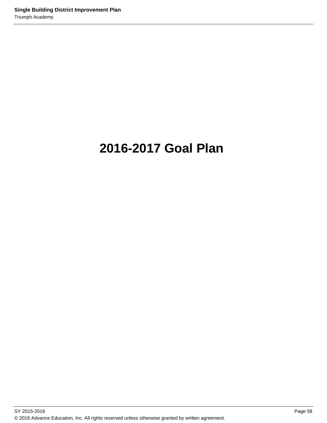# **2016-2017 Goal Plan**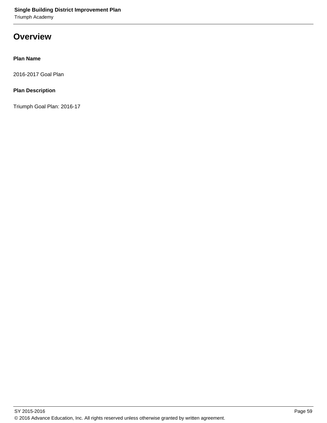Triumph Academy

# **Overview**

## **Plan Name**

2016-2017 Goal Plan

## **Plan Description**

Triumph Goal Plan: 2016-17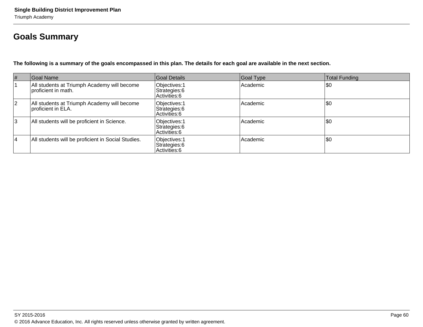# **Goals Summary**

**The following is a summary of the goals encompassed in this plan. The details for each goal are available in the next section.**

| $\vert \#$ | Goal Name                                                           | Goal Details                                    | Goal Type | Total Funding |
|------------|---------------------------------------------------------------------|-------------------------------------------------|-----------|---------------|
|            | All students at Triumph Academy will become<br>Iproficient in math. | Objectives: 1<br>Strategies: 6<br>Activities: 6 | Academic  | \$0           |
| 12         | All students at Triumph Academy will become<br>proficient in ELA.   | Objectives: 1<br>Strategies: 6<br>Activities: 6 | Academic  | \$0           |
| 3          | All students will be proficient in Science.                         | Objectives: 1<br>Strategies: 6<br>Activities: 6 | Academic  | \$0           |
| 14         | All students will be proficient in Social Studies.                  | Objectives: 1<br>Strategies: 6<br>Activities: 6 | Academic  | \$0           |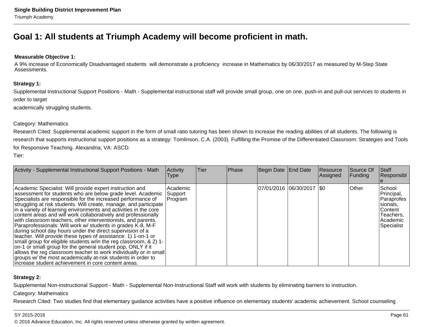# **Goal 1: All students at Triumph Academy will become proficient in math.**

## **Measurable Objective 1:**

A 9% increase of Economically Disadvantaged students will demonstrate a proficiency increase in Mathematics by 06/30/2017 as measured by M-Step StateAssessments.

## **Strategy 1:**

Supplemental Instructional Support Positions - Math - Supplemental instructional staff will provide small group, one on one, push-in and pull-out services to students in order to target

academically struggling students.

#### Category: Mathematics

Research Cited: Supplemental academic support in the form of small ratio tutoring has been shown to increase the reading abilities of all students. The following is research that supports instructional support positions as a strategy: Tomlinson, C.A. (2003). Fulfilling the Promise of the Differentiated Classroom: Strategies and Tools for Responsive Teaching. Alexandria, VA: ASCD.

Tier:

| Activity - Supplemental Instructional Support Positions - Math                                                                                                                                                                                                                                                                                                                                                                                                                                                                                                                                                                                                                                                                                                                                                                                                                                                                                                                                   | Activity<br>Type               | lTier. | <b>Phase</b> | Begin Date End Date         | Resource<br>Assigned | Source Of<br>Funding | <b>Staff</b><br>Responsibl                                                                       |
|--------------------------------------------------------------------------------------------------------------------------------------------------------------------------------------------------------------------------------------------------------------------------------------------------------------------------------------------------------------------------------------------------------------------------------------------------------------------------------------------------------------------------------------------------------------------------------------------------------------------------------------------------------------------------------------------------------------------------------------------------------------------------------------------------------------------------------------------------------------------------------------------------------------------------------------------------------------------------------------------------|--------------------------------|--------|--------------|-----------------------------|----------------------|----------------------|--------------------------------------------------------------------------------------------------|
| Academic Specialist: Will provide expert instruction and<br>assessment for students who are below grade level. Academic<br>Specialists are responsible for the increased performance of<br>struggling at risk students. Will create, manage, and participate<br>in a variety of learning environments and activities in the core<br>content areas and will work collaboratively and professionally<br>with classroom teachers, other interventionists, and parents.<br>Paraprofessionals: Will work w/ students in grades K-8, M-F<br>during school day hours under the direct supervision of a<br>teacher. Will provide these types of assistance: 1) 1-on-1 or<br>small group for eligible students w/in the reg classroom, & 2) 1-<br>on-1 or small group for the general student pop, ONLY if it<br>allows the reg classroom teacher to work individually or in small<br>groups w/ the most academically at-risk students in order to<br>increase student achievement in core content areas. | Academic<br>Support<br>Program |        |              | 07/01/2016 06/30/2017   \$0 |                      | <b>Other</b>         | School<br>Principal,<br>Paraprofes<br>sionals,<br>Content<br>Teachers,<br>Academic<br>Specialist |

## **Strategy 2:**

Supplemental Non-instructional Support - Math - Supplemental Non-Instructional Staff will work with students by eliminating barriers to instruction.

Category: Mathematics

Research Cited: Two studies find that elementary guidance activities have a positive influence on elementary students' academic achievement. School counseling

#### SY 2015-2016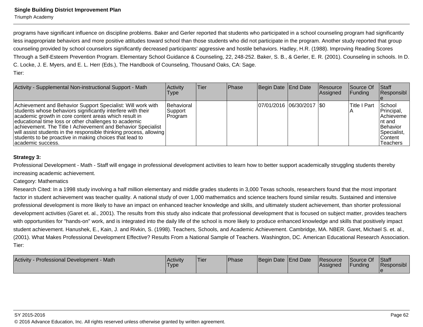programs have significant influence on discipline problems. Baker and Gerler reported that students who participated in a school counseling program had significantlyless inappropriate behaviors and more positive attitudes toward school than those students who did not participate in the program. Another study reported that groupcounseling provided by school counselors significantly decreased participants' aggressive and hostile behaviors. Hadley, H.R. (1988). Improving Reading ScoresThrough a Self-Esteem Prevention Program. Elementary School Guidance & Counseling, 22, 248-252. Baker, S. B., & Gerler, E. R. (2001). Counseling in schools. In D.C. Locke, J. E. Myers, and E. L. Herr (Eds.), The Handbook of Counseling, Thousand Oaks, CA: Sage.Tier:

| Activity - Supplemental Non-instructional Support - Math                                                                                                                                                                                                                                                                                                                                                                                                            | Activity<br>Type                   | <b>Tier</b> | <b>Phase</b> | Begin Date End Date         | Resource<br>Assigned | Source Of<br>IFundina | <b>Staff</b><br>Responsibl                                                                             |
|---------------------------------------------------------------------------------------------------------------------------------------------------------------------------------------------------------------------------------------------------------------------------------------------------------------------------------------------------------------------------------------------------------------------------------------------------------------------|------------------------------------|-------------|--------------|-----------------------------|----------------------|-----------------------|--------------------------------------------------------------------------------------------------------|
| Achievement and Behavior Support Specialist: Will work with<br>students whose behaviors significantly interfere with their<br>academic growth in core content areas which result in<br>educational time loss or other challenges to academic<br>achievement. The Title I Achievement and Behavior Specialist<br>will assist students in the responsible thinking process, allowing<br>students to be proactive in making choices that lead to<br>lacademic success. | Behavioral<br> Support<br> Program |             |              | 07/01/2016 06/30/2017   \$0 |                      | lTitle I Part         | School<br>Principal,<br>Achieveme<br>Int and<br>Behavior<br>Specialist,<br>IContent<br><b>Teachers</b> |

## **Strategy 3:**

Professional Development - Math - Staff will engage in professional development activities to learn how to better support academically struggling students therebyincreasing academic achievement.

#### Category: Mathematics

Research Cited: In a 1998 study involving a half million elementary and middle grades students in 3,000 Texas schools, researchers found that the most importantfactor in student achievement was teacher quality. A national study of over 1,000 mathematics and science teachers found similar results. Sustained and intensiveprofessional development is more likely to have an impact on enhanced teacher knowledge and skills, and ultimately student achievement, than shorter professionaldevelopment activities (Garet et. al., 2001). The results from this study also indicate that professional development that is focused on subject matter, provides teacherswith opportunities for "hands-on" work, and is integrated into the daily life of the school is more likely to produce enhanced knowledge and skills that positively impact student achievement. Hanushek, E., Kain, J. and Rivkin, S. (1998). Teachers, Schools, and Academic Achievement. Cambridge, MA. NBER. Garet, Michael S. et. al.,(2001). What Makes Professional Development Effective? Results From a National Sample of Teachers. Washington, DC. American Educational Research Association.Tier:

| Activity - Professional Development - Math | Activity<br><b>Type</b> | 'Tier | <b>Phase</b> | Begin Date End Date |  | <b>Resource</b><br><b>Assigned</b> | Source Of<br><b>Funding</b> | Staff<br>Responsibl |
|--------------------------------------------|-------------------------|-------|--------------|---------------------|--|------------------------------------|-----------------------------|---------------------|
|--------------------------------------------|-------------------------|-------|--------------|---------------------|--|------------------------------------|-----------------------------|---------------------|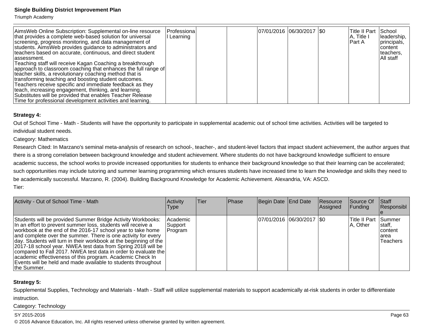Triumph Academy

| AimsWeb Online Subscription: Supplemental on-line resource<br>that provides a complete web-based solution for universal<br>screening, progress monitoring, and data management of<br>students. Aims Web provides guidance to administrators and<br>teachers based on accurate, continuous, and direct student<br>lassessment.<br>Teaching staff will receive Kagan Coaching a breakthrough<br>approach to classroom coaching that enhances the full range of<br>teacher skills, a revolutionary coaching method that is<br>transforming teaching and boosting student outcomes.<br>Teachers receive specific and immediate feedback as they<br>teach, increasing engagement, thinking, and learning.<br>Substitutes will be provided that enables Teacher Release | Professiona<br>Learning |  | 07/01/2016 06/30/2017   \$0 |  | Title II Part School<br>IA, Title I<br>IPart A | leadership,<br>principals,<br>Icontent<br>Iteachers,<br>IAll staff |
|-------------------------------------------------------------------------------------------------------------------------------------------------------------------------------------------------------------------------------------------------------------------------------------------------------------------------------------------------------------------------------------------------------------------------------------------------------------------------------------------------------------------------------------------------------------------------------------------------------------------------------------------------------------------------------------------------------------------------------------------------------------------|-------------------------|--|-----------------------------|--|------------------------------------------------|--------------------------------------------------------------------|
| Time for professional development activities and learning.                                                                                                                                                                                                                                                                                                                                                                                                                                                                                                                                                                                                                                                                                                        |                         |  |                             |  |                                                |                                                                    |

#### **Strategy 4:**

Out of School Time - Math - Students will have the opportunity to participate in supplemental academic out of school time activities. Activities will be targeted toindividual student needs.

## Category: Mathematics

Research Cited: In Marzano's seminal meta-analysis of research on school-, teacher-, and student-level factors that impact student achievement, the author argues thatthere is a strong correlation between background knowledge and student achievement. Where students do not have background knowledge sufficient to ensure academic success, the school works to provide increased opportunities for students to enhance their background knowledge so that their learning can be accelerated;such opportunities may include tutoring and summer learning programming which ensures students have increased time to learn the knowledge and skills they need to be academically successful. Marzano, R. (2004). Building Background Knowledge for Academic Achievement. Alexandria, VA: ASCD.Tier:

| Activity - Out of School Time - Math                                                                                                                                                                                                                                                                                                                                                                                                                                                                                                                                                                            | Activity<br>Type                 | lTier. | Phase | Begin Date End Date        | Resource<br>Assigned | Source Of<br><b>Funding</b> | <b>Staff</b><br>Responsibl                                |
|-----------------------------------------------------------------------------------------------------------------------------------------------------------------------------------------------------------------------------------------------------------------------------------------------------------------------------------------------------------------------------------------------------------------------------------------------------------------------------------------------------------------------------------------------------------------------------------------------------------------|----------------------------------|--------|-------|----------------------------|----------------------|-----------------------------|-----------------------------------------------------------|
| Students will be provided Summer Bridge Activity Workbooks:<br>In an effort to prevent summer loss, students will receive a<br>workbook at the end of the 2016-17 school year to take home<br>and complete over the summer. There is one activity for every<br>day. Students will turn in their workbook at the beginning of the<br>2017-18 school year. NWEA test data from Spring 2018 will be<br>compared to Fall 2017. NWEA test data in order to evaluate the<br>academic effectiveness of this program. Academic Check In<br>Events will be held and made available to students throughout<br>the Summer. | Academic<br> Support_<br>Program |        |       | 07/01/2016 06/30/2017 \\$0 |                      | Title II Part<br>A, Other   | <b>Summer</b><br>Istaff.<br>Icontent<br>larea<br>Teachers |

## **Strategy 5:**

Supplemental Supplies, Technology and Materials - Math - Staff will utilize supplemental materials to support academically at-risk students in order to differentiateinstruction.

Category: Technology

#### SY 2015-2016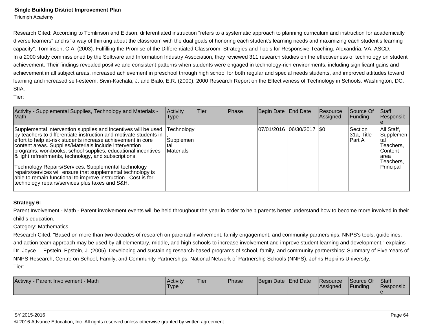Triumph Academy

Research Cited: According to Tomlinson and Eidson, differentiated instruction "refers to a systematic approach to planning curriculum and instruction for academically diverse learners" and is "a way of thinking about the classroom with the dual goals of honoring each student's learning needs and maximizing each student's learningcapacity". Tomlinson, C.A. (2003). Fulfilling the Promise of the Differentiated Classroom: Strategies and Tools for Responsive Teaching. Alexandria, VA: ASCD.In a 2000 study commissioned by the Software and Information Industry Association, they reviewed 311 research studies on the effectiveness of technology on studentachievement. Their findings revealed positive and consistent patterns when students were engaged in technology-rich environments, including significant gains andachievement in all subject areas, increased achievement in preschool through high school for both regular and special needs students, and improved attitudes toward learning and increased self-esteem. Sivin-Kachala, J. and Bialo, E.R. (2000). 2000 Research Report on the Effectiveness of Technology in Schools. Washington, DC.SIIA.

Tier:

| Activity - Supplemental Supplies, Technology and Materials -<br><b>Math</b>                                                                                                                                                                                                                                                                                                                                                                                                                                                                                                                                                       | Activity<br>l ype                    | lTier | Phase | Begin Date End Date         | Resource<br>Assigned | Source Of<br><b>Funding</b>         | <b>Staff</b><br>Responsibl                                                                        |
|-----------------------------------------------------------------------------------------------------------------------------------------------------------------------------------------------------------------------------------------------------------------------------------------------------------------------------------------------------------------------------------------------------------------------------------------------------------------------------------------------------------------------------------------------------------------------------------------------------------------------------------|--------------------------------------|-------|-------|-----------------------------|----------------------|-------------------------------------|---------------------------------------------------------------------------------------------------|
| Supplemental intervention supplies and incentives will be used<br>by teachers to differentiate instruction and motivate students in<br>effort to help at-risk students increase achievement in core<br>content areas. Supplies/Materials include intervention<br>programs, workbooks, school supplies, educational incentives<br>& light refreshments, technology, and subscriptions.<br>Technology Repairs/Services: Supplemental technology<br>repairs/services will ensure that supplemental technology is<br>able to remain functional to improve instruction. Cost is for<br>technology repairs/services plus taxes and S&H. | Technology<br>Supplemen<br>Materials |       |       | 07/01/2016  06/30/2017  \$0 |                      | Section<br>$ 31a,$ Title<br>IPart A | All Staff,<br>Supplemen<br>ltal<br>Teachers,<br><b>Content</b><br>larea<br>Teachers,<br>Principal |

## **Strategy 6:**

Parent Involvement - Math - Parent involvement events will be held throughout the year in order to help parents better understand how to become more involved in their child's education.

## Category: Mathematics

Research Cited: "Based on more than two decades of research on parental involvement, family engagement, and community partnerships, NNPS's tools, guidelines,and action team approach may be used by all elementary, middle, and high schools to increase involvement and improve student learning and development," explainsDr. Joyce L. Epstein. Epstein, J. (2005). Developing and sustaining research-based programs of school, family, and community partnerships: Summary of Five Years ofNNPS Research, Centre on School, Family, and Community Partnerships. National Network of Partnership Schools (NNPS), Johns Hopkins University.Tier:

| <b>Activity</b><br>v - Parent Involvement - Math | <b>Activity</b><br><b>Type</b> | <sup>1</sup> Tier | <b>Phase</b> | Begin Date End Date | Resource<br><b>Assigned</b> | Source Of<br>Funding | <b>Staff</b><br>Responsibl |
|--------------------------------------------------|--------------------------------|-------------------|--------------|---------------------|-----------------------------|----------------------|----------------------------|
|                                                  |                                |                   |              |                     |                             |                      |                            |

en and the set of the set of the set of the set of the set of the set of the set of the set of the set of the set of the set of the set of the set of the set of the set of the set of the set of the set of the set of the se © 2016 Advance Education, Inc. All rights reserved unless otherwise granted by written agreement.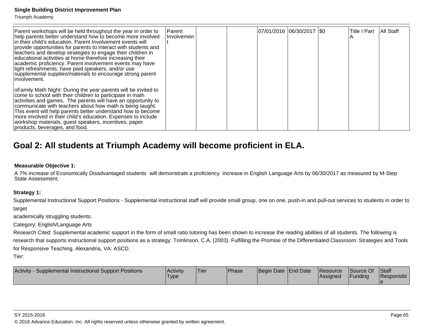Triumph Academy

| Parent workshops will be held throughout the year in order to<br>help parents better understand how to become more involved<br>in their child's education. Parent Involvement events will<br>provide opportunities for parents to interact with students and<br>teachers and develop strategies to engage their children in<br>educational activities at home therefore increasing their<br>academic proficiency. Parent involvement events may have<br>light refreshments, have paid speakers, and/or use<br>supplemental supplies/materials to encourage strong parent<br>linvolvement. | Parent <br>Involvemen | 07/01/2016  06/30/2017  \$0 |  | <b>Title I Part</b> | All Staff |
|-------------------------------------------------------------------------------------------------------------------------------------------------------------------------------------------------------------------------------------------------------------------------------------------------------------------------------------------------------------------------------------------------------------------------------------------------------------------------------------------------------------------------------------------------------------------------------------------|-----------------------|-----------------------------|--|---------------------|-----------|
| o Family Math Night: During the year parents will be invited to<br>come to school with their children to participate in math<br>activities and games. The parents will have an opportunity to<br>communicate with teachers about how math is being taught.<br>This event will help parents better understand how to become<br>more involved in their child's education. Expenses to include<br>workshop materials, guest speakers, incentives, paper<br>products, beverages, and food.                                                                                                    |                       |                             |  |                     |           |

# **Goal 2: All students at Triumph Academy will become proficient in ELA.**

### **Measurable Objective 1:**

 A 7% increase of Economically Disadvantaged students will demonstrate a proficiency increase in English Language Arts by 06/30/2017 as measured by M-StepState Assessment.

## **Strategy 1:**

Supplemental Instructional Support Positions - Supplemental instructional staff will provide small group, one on one, push-in and pull-out services to students in order to target

academically struggling students.

Category: English/Language Arts

Research Cited: Supplemental academic support in the form of small ratio tutoring has been shown to increase the reading abilities of all students. The following is research that supports instructional support positions as a strategy: Tomlinson, C.A. (2003). Fulfilling the Promise of the Differentiated Classroom: Strategies and Tools for Responsive Teaching. Alexandria, VA: ASCD.

Tier:

| Activity - Supplemental Instructional Support Positions | <b>Activity</b><br><b>Type</b> | 'Tier | <b>Phase</b> | Begin Date End Date |  | Resource<br><b>Assigned</b> | Source Of<br>Funding | <b>Staff</b><br>Responsibl |
|---------------------------------------------------------|--------------------------------|-------|--------------|---------------------|--|-----------------------------|----------------------|----------------------------|
|---------------------------------------------------------|--------------------------------|-------|--------------|---------------------|--|-----------------------------|----------------------|----------------------------|

6 and the contract of the contract of the contract of the contract of the contract of the contract of the contract of the contract of the contract of the contract of the contract of the contract of the contract of the cont © 2016 Advance Education, Inc. All rights reserved unless otherwise granted by written agreement.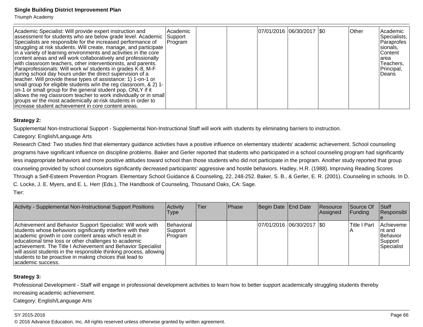Triumph Academy

| Academic Specialist: Will provide expert instruction and<br>assessment for students who are below grade level. Academic<br>Specialists are responsible for the increased performance of<br>struggling at risk students. Will create, manage, and participate<br>in a variety of learning environments and activities in the core<br>content areas and will work collaboratively and professionally<br>with classroom teachers, other interventionists, and parents.<br>Paraprofessionals: Will work w/ students in grades K-8, M-F<br>during school day hours under the direct supervision of a<br>teacher. Will provide these types of assistance: 1) 1-on-1 or<br>small group for eligible students w/in the reg classroom, & 2) 1-<br>on-1 or small group for the general student pop, ONLY if it<br>allows the reg classroom teacher to work individually or in small<br>groups w/ the most academically at-risk students in order to<br>increase student achievement in core content areas. | Academic<br>Support<br>Program |  | 07/01/2016  06/30/2017  \$0 |  | <b>Other</b> | lAcademic<br>Specialists,<br>Paraprofes<br>Isionals.<br>lContent<br>larea<br>Teachers,<br>Principal,<br>l Deans |
|--------------------------------------------------------------------------------------------------------------------------------------------------------------------------------------------------------------------------------------------------------------------------------------------------------------------------------------------------------------------------------------------------------------------------------------------------------------------------------------------------------------------------------------------------------------------------------------------------------------------------------------------------------------------------------------------------------------------------------------------------------------------------------------------------------------------------------------------------------------------------------------------------------------------------------------------------------------------------------------------------|--------------------------------|--|-----------------------------|--|--------------|-----------------------------------------------------------------------------------------------------------------|
|--------------------------------------------------------------------------------------------------------------------------------------------------------------------------------------------------------------------------------------------------------------------------------------------------------------------------------------------------------------------------------------------------------------------------------------------------------------------------------------------------------------------------------------------------------------------------------------------------------------------------------------------------------------------------------------------------------------------------------------------------------------------------------------------------------------------------------------------------------------------------------------------------------------------------------------------------------------------------------------------------|--------------------------------|--|-----------------------------|--|--------------|-----------------------------------------------------------------------------------------------------------------|

## **Strategy 2:**

Supplemental Non-Instructional Support - Supplemental Non-Instructional Staff will work with students by eliminating barriers to instruction.

## Category: English/Language Arts

Research Cited: Two studies find that elementary guidance activities have a positive influence on elementary students' academic achievement. School counseling programs have significant influence on discipline problems. Baker and Gerler reported that students who participated in a school counseling program had significantlyless inappropriate behaviors and more positive attitudes toward school than those students who did not participate in the program. Another study reported that group counseling provided by school counselors significantly decreased participants' aggressive and hostile behaviors. Hadley, H.R. (1988). Improving Reading Scores Through a Self-Esteem Prevention Program. Elementary School Guidance & Counseling, 22, 248-252. Baker, S. B., & Gerler, E. R. (2001). Counseling in schools. In D.C. Locke, J. E. Myers, and E. L. Herr (Eds.), The Handbook of Counseling, Thousand Oaks, CA: Sage.Tier:

| Activity - Supplemental Non-Instructional Support Positions                                                                                                                                                                                                                                                                                                                                                                                                        | Activity<br>Type                   | lTier. | <b>Phase</b> | Begin Date End Date        | Resource<br>Assigned | Source Of<br> Funding | Start<br>Responsibl                                       |
|--------------------------------------------------------------------------------------------------------------------------------------------------------------------------------------------------------------------------------------------------------------------------------------------------------------------------------------------------------------------------------------------------------------------------------------------------------------------|------------------------------------|--------|--------------|----------------------------|----------------------|-----------------------|-----------------------------------------------------------|
| Achievement and Behavior Support Specialist: Will work with<br>students whose behaviors significantly interfere with their<br>academic growth in core content areas which result in<br>educational time loss or other challenges to academic<br>achievement. The Title I Achievement and Behavior Specialist<br>will assist students in the responsible thinking process, allowing<br>students to be proactive in making choices that lead to<br>academic success. | Behavioral<br> Support<br> Program |        |              | 07/01/2016 06/30/2017 \\$0 |                      | <b>Title I Part</b>   | Achieveme<br>Int and<br>Behavior<br>Support<br>Specialist |

## **Strategy 3:**

Professional Development - Staff will engage in professional development activities to learn how to better support academically struggling students therebyincreasing academic achievement.

Category: English/Language Arts

#### SY 2015-2016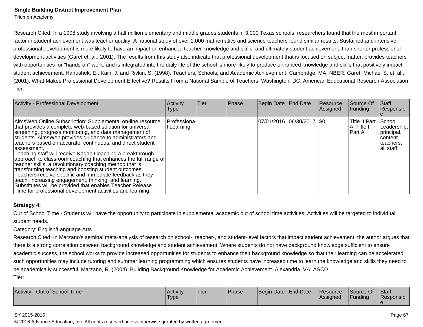Triumph Academy

Research Cited: In a 1998 study involving a half million elementary and middle grades students in 3,000 Texas schools, researchers found that the most importantfactor in student achievement was teacher quality. A national study of over 1,000 mathematics and science teachers found similar results. Sustained and intensive professional development is more likely to have an impact on enhanced teacher knowledge and skills, and ultimately student achievement, than shorter professionaldevelopment activities (Garet et. al., 2001). The results from this study also indicate that professional development that is focused on subject matter, provides teacherswith opportunities for "hands-on" work, and is integrated into the daily life of the school is more likely to produce enhanced knowledge and skills that positively impact student achievement. Hanushek, E., Kain, J. and Rivkin, S. (1998). Teachers, Schools, and Academic Achievement. Cambridge, MA. NBER. Garet, Michael S. et. al.,(2001). What Makes Professional Development Effective? Results From a National Sample of Teachers. Washington, DC. American Educational Research Association.Tier:

| Activity - Professional Development                                                                                                                                                                                                                                                                                                                                                                                                                                                                                                                                                                                                                                                                                                                                                                                            | Activity<br>Type        | Tier | Phase | Begin Date End Date         | Resource<br>Assigned | Source Of<br> Funding                   | <b>Staff</b><br>Responsibl                                                 |
|--------------------------------------------------------------------------------------------------------------------------------------------------------------------------------------------------------------------------------------------------------------------------------------------------------------------------------------------------------------------------------------------------------------------------------------------------------------------------------------------------------------------------------------------------------------------------------------------------------------------------------------------------------------------------------------------------------------------------------------------------------------------------------------------------------------------------------|-------------------------|------|-------|-----------------------------|----------------------|-----------------------------------------|----------------------------------------------------------------------------|
| AimsWeb Online Subscription: Supplemental on-line resource<br>that provides a complete web-based solution for universal<br>screening, progress monitoring, and data management of<br>students. AimsWeb provides guidance to administrators and<br>teachers based on accurate, continuous, and direct student<br>lassessment.<br>Teaching staff will receive Kagan Coaching a breakthrough<br>approach to classroom coaching that enhances the full range of<br>teacher skills, a revolutionary coaching method that is<br>transforming teaching and boosting student outcomes.<br>Teachers receive specific and immediate feedback as they<br>teach, increasing engagement, thinking, and learning.<br>Substitutes will be provided that enables Teacher Release<br>Time for professional development activities and learning. | Professiona<br>Learning |      |       | 07/01/2016  06/30/2017  \$0 |                      | ITitle II Part<br>A, Title I<br>IPart A | School<br>Leadership,<br> principal,<br>Icontent<br>teachers,<br>all staff |

#### **Strategy 4:**

Out of School Time - Students will have the opportunity to participate in supplemental academic out of school time activities. Activities will be targeted to individualstudent needs.

#### Category: English/Language Arts

Research Cited: In Marzano's seminal meta-analysis of research on school-, teacher-, and student-level factors that impact student achievement, the author argues thatthere is a strong correlation between background knowledge and student achievement. Where students do not have background knowledge sufficient to ensure academic success, the school works to provide increased opportunities for students to enhance their background knowledge so that their learning can be accelerated;such opportunities may include tutoring and summer learning programming which ensures students have increased time to learn the knowledge and skills they need tobe academically successful. Marzano, R. (2004). Building Background Knowledge for Academic Achievement. Alexandria, VA: ASCD.Tier:

| Out of School Time<br>Activity | Activity<br><b>Type</b> | <b>Tier</b> | Phase | Begin Date End Date |  | Resource<br><b>Assigned</b> | Source Of<br>Funding | Staff<br>Responsibl |
|--------------------------------|-------------------------|-------------|-------|---------------------|--|-----------------------------|----------------------|---------------------|
|--------------------------------|-------------------------|-------------|-------|---------------------|--|-----------------------------|----------------------|---------------------|

#### SY 2015-2016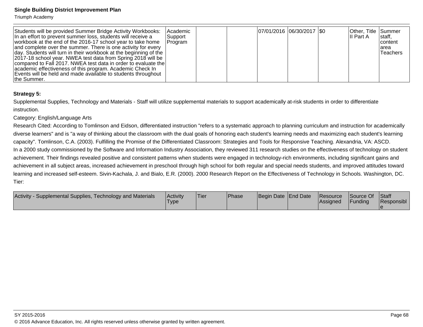Triumph Academy

| Students will be provided Summer Bridge Activity Workbooks:<br>In an effort to prevent summer loss, students will receive a<br>workbook at the end of the 2016-17 school year to take home<br>and complete over the summer. There is one activity for every<br>day. Students will turn in their workbook at the beginning of the<br>2017-18 school year. NWEA test data from Spring 2018 will be<br>compared to Fall 2017. NWEA test data in order to evaluate the<br>academic effectiveness of this program. Academic Check In<br>Events will be held and made available to students throughout | Academic<br> Support<br> Program | 07/01/2016 06/30/2017 \\$0 |  | Other, Title Summer<br>III Part A | staff,<br><b>Icontent</b><br>larea<br>lTeachers |
|--------------------------------------------------------------------------------------------------------------------------------------------------------------------------------------------------------------------------------------------------------------------------------------------------------------------------------------------------------------------------------------------------------------------------------------------------------------------------------------------------------------------------------------------------------------------------------------------------|----------------------------------|----------------------------|--|-----------------------------------|-------------------------------------------------|
| the Summer.                                                                                                                                                                                                                                                                                                                                                                                                                                                                                                                                                                                      |                                  |                            |  |                                   |                                                 |

## **Strategy 5:**

Supplemental Supplies, Technology and Materials - Staff will utilize supplemental materials to support academically at-risk students in order to differentiateinstruction.

#### Category: English/Language Arts

Research Cited: According to Tomlinson and Eidson, differentiated instruction "refers to a systematic approach to planning curriculum and instruction for academically diverse learners" and is "a way of thinking about the classroom with the dual goals of honoring each student's learning needs and maximizing each student's learningcapacity". Tomlinson, C.A. (2003). Fulfilling the Promise of the Differentiated Classroom: Strategies and Tools for Responsive Teaching. Alexandria, VA: ASCD.In a 2000 study commissioned by the Software and Information Industry Association, they reviewed 311 research studies on the effectiveness of technology on student achievement. Their findings revealed positive and consistent patterns when students were engaged in technology-rich environments, including significant gains and achievement in all subject areas, increased achievement in preschool through high school for both regular and special needs students, and improved attitudes toward learning and increased self-esteem. Sivin-Kachala, J. and Bialo, E.R. (2000). 2000 Research Report on the Effectiveness of Technology in Schools. Washington, DC.Tier:

| Activity -<br>- Supplemental Supplies, Technology and Materials | Activity<br>'Type | <sup>1</sup> Tier | <b>Phase</b> | Begin Date End Date | Resource<br>lAssianed | Source Of<br>Funding | Staff<br>Responsibl |
|-----------------------------------------------------------------|-------------------|-------------------|--------------|---------------------|-----------------------|----------------------|---------------------|
|                                                                 |                   |                   |              |                     |                       |                      |                     |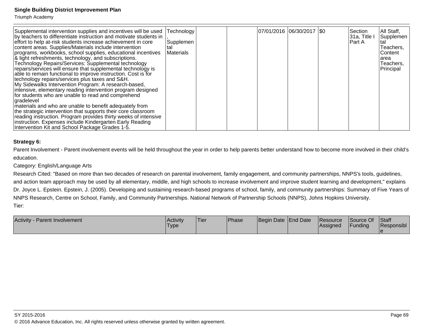Triumph Academy

| Supplemental intervention supplies and incentives will be used<br>by teachers to differentiate instruction and motivate students in<br>effort to help at-risk students increase achievement in core<br>content areas. Supplies/Materials include intervention<br>programs, workbooks, school supplies, educational incentives<br>& light refreshments, technology, and subscriptions.<br>Technology Repairs/Services: Supplemental technology<br>repairs/services will ensure that supplemental technology is<br>able to remain functional to improve instruction. Cost is for<br>technology repairs/services plus taxes and S&H.<br>My Sidewalks Intervention Program: A research-based,<br>intensive, elementary reading intervention program designed<br>for students who are unable to read and comprehend<br>gradelevel<br>materials and who are unable to benefit adequately from<br>the strategic intervention that supports their core classroom<br>reading instruction. Program provides thirty weeks of intensive<br>instruction. Expenses include Kindergarten Early Reading | Technology<br>Supplemen<br>≀tal<br>Materials | 07/01/2016 06/30/2017   \$0 |  | Section<br> 31a, Title<br> Part A | All Staff,<br>Supplemen<br>tal<br>Teachers,<br>Content<br>larea<br>Teachers,<br>Principal |
|-----------------------------------------------------------------------------------------------------------------------------------------------------------------------------------------------------------------------------------------------------------------------------------------------------------------------------------------------------------------------------------------------------------------------------------------------------------------------------------------------------------------------------------------------------------------------------------------------------------------------------------------------------------------------------------------------------------------------------------------------------------------------------------------------------------------------------------------------------------------------------------------------------------------------------------------------------------------------------------------------------------------------------------------------------------------------------------------|----------------------------------------------|-----------------------------|--|-----------------------------------|-------------------------------------------------------------------------------------------|
| Intervention Kit and School Package Grades 1-5.                                                                                                                                                                                                                                                                                                                                                                                                                                                                                                                                                                                                                                                                                                                                                                                                                                                                                                                                                                                                                                         |                                              |                             |  |                                   |                                                                                           |

#### **Strategy 6:**

Parent Involvement - Parent involvement events will be held throughout the year in order to help parents better understand how to become more involved in their child's education.

Category: English/Language Arts

 Research Cited: "Based on more than two decades of research on parental involvement, family engagement, and community partnerships, NNPS's tools, guidelines,and action team approach may be used by all elementary, middle, and high schools to increase involvement and improve student learning and development," explainsDr. Joyce L. Epstein. Epstein, J. (2005). Developing and sustaining research-based programs of school, family, and community partnerships: Summary of Five Years of NNPS Research, Centre on School, Family, and Community Partnerships. National Network of Partnership Schools (NNPS), Johns Hopkins University.Tier:

| Activity<br><b>Parent Involvement</b> | <b>Activity</b><br><b>Type</b> | Tier | <b>IPhase</b> | Begin Date End Date | Resource<br><b>IAssigned</b> | Source Of<br>Funding | Staff<br>Responsibl |
|---------------------------------------|--------------------------------|------|---------------|---------------------|------------------------------|----------------------|---------------------|
|                                       |                                |      |               |                     |                              |                      |                     |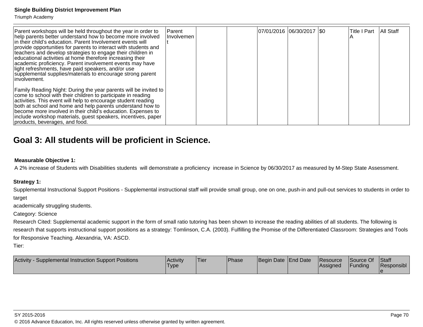Triumph Academy

| Parent workshops will be held throughout the year in order to<br>help parents better understand how to become more involved<br>In their child's education. Parent Involvement events will<br>provide opportunities for parents to interact with students and<br>teachers and develop strategies to engage their children in<br>educational activities at home therefore increasing their<br>academic proficiency. Parent involvement events may have<br>light refreshments, have paid speakers, and/or use<br>supplemental supplies/materials to encourage strong parent<br>linvolvement. | Parent<br>Involvemen |  | 07/01/2016 06/30/2017   \$0 |  | <b>Title I Part</b> | All Staff |
|-------------------------------------------------------------------------------------------------------------------------------------------------------------------------------------------------------------------------------------------------------------------------------------------------------------------------------------------------------------------------------------------------------------------------------------------------------------------------------------------------------------------------------------------------------------------------------------------|----------------------|--|-----------------------------|--|---------------------|-----------|
| Family Reading Night: During the year parents will be invited to<br>come to school with their children to participate in reading<br>activities. This event will help to encourage student reading<br>both at school and home and help parents understand how to<br>become more involved in their child's education. Expenses to<br>include workshop materials, guest speakers, incentives, paper<br>products, beverages, and food.                                                                                                                                                        |                      |  |                             |  |                     |           |

# **Goal 3: All students will be proficient in Science.**

#### **Measurable Objective 1:**

A 2% increase of Students with Disabilities students will demonstrate a proficiency increase in Science by 06/30/2017 as measured by M-Step State Assessment.

#### **Strategy 1:**

Supplemental Instructional Support Positions - Supplemental instructional staff will provide small group, one on one, push-in and pull-out services to students in order totarget

academically struggling students.

Category: Science

Research Cited: Supplemental academic support in the form of small ratio tutoring has been shown to increase the reading abilities of all students. The following is research that supports instructional support positions as a strategy: Tomlinson, C.A. (2003). Fulfilling the Promise of the Differentiated Classroom: Strategies and Tools for Responsive Teaching. Alexandria, VA: ASCD.

Tier:

| Supplemental Instruction Support Positions<br><b>Activity</b> | Activity<br>Турє | <sup>I</sup> Tier | <b>Phase</b> | Begin Date End Date | <b>Resource</b><br><b>Assigned</b> | Source Of<br>Funding | <b>Staff</b><br>Responsibl |
|---------------------------------------------------------------|------------------|-------------------|--------------|---------------------|------------------------------------|----------------------|----------------------------|
|                                                               |                  |                   |              |                     |                                    |                      |                            |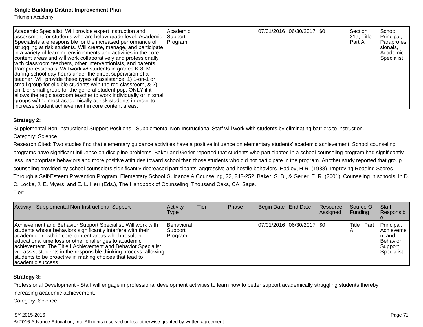Triumph Academy

| Academic Specialist: Will provide expert instruction and<br>assessment for students who are below grade level. Academic<br>Specialists are responsible for the increased performance of<br>struggling at risk students. Will create, manage, and participate<br>in a variety of learning environments and activities in the core<br>content areas and will work collaboratively and professionally<br>with classroom teachers, other interventionists, and parents.<br>Paraprofessionals: Will work w/ students in grades K-8, M-F<br>during school day hours under the direct supervision of a<br>teacher. Will provide these types of assistance: 1) 1-on-1 or<br>small group for eligible students w/in the reg classroom, & 2) 1-<br>on-1 or small group for the general student pop, ONLY if it<br>allows the reg classroom teacher to work individually or in small<br>groups w/ the most academically at-risk students in order to | Academic<br>Support<br>Program |  | 07/01/2016 06/30/2017   \$0 |  | Section<br> 31a, Title I<br>IPart A | School<br>Principal,<br>Paraprofes<br>sionals,<br>lAcademic<br>Specialist |
|-------------------------------------------------------------------------------------------------------------------------------------------------------------------------------------------------------------------------------------------------------------------------------------------------------------------------------------------------------------------------------------------------------------------------------------------------------------------------------------------------------------------------------------------------------------------------------------------------------------------------------------------------------------------------------------------------------------------------------------------------------------------------------------------------------------------------------------------------------------------------------------------------------------------------------------------|--------------------------------|--|-----------------------------|--|-------------------------------------|---------------------------------------------------------------------------|
| increase student achievement in core content areas.                                                                                                                                                                                                                                                                                                                                                                                                                                                                                                                                                                                                                                                                                                                                                                                                                                                                                       |                                |  |                             |  |                                     |                                                                           |

#### **Strategy 2:**

Supplemental Non-Instructional Support Positions - Supplemental Non-Instructional Staff will work with students by eliminating barriers to instruction.

#### Category: Science

Research Cited: Two studies find that elementary guidance activities have a positive influence on elementary students' academic achievement. School counseling programs have significant influence on discipline problems. Baker and Gerler reported that students who participated in a school counseling program had significantlyless inappropriate behaviors and more positive attitudes toward school than those students who did not participate in the program. Another study reported that group counseling provided by school counselors significantly decreased participants' aggressive and hostile behaviors. Hadley, H.R. (1988). Improving Reading Scores Through a Self-Esteem Prevention Program. Elementary School Guidance & Counseling, 22, 248-252. Baker, S. B., & Gerler, E. R. (2001). Counseling in schools. In D.C. Locke, J. E. Myers, and E. L. Herr (Eds.), The Handbook of Counseling, Thousand Oaks, CA: Sage.Tier:

| Activity - Supplemental Non-Instructional Support                                                                                                                                                                                                                                                                                                                                                                                                                  | <b>Activity</b><br>Type             | lTier. | <b>IPhase</b> | Begin Date End Date           | Resource<br>Assigned | Source Of<br>IFundina | Start<br><b>Responsibl</b>                                                      |
|--------------------------------------------------------------------------------------------------------------------------------------------------------------------------------------------------------------------------------------------------------------------------------------------------------------------------------------------------------------------------------------------------------------------------------------------------------------------|-------------------------------------|--------|---------------|-------------------------------|----------------------|-----------------------|---------------------------------------------------------------------------------|
| Achievement and Behavior Support Specialist: Will work with<br>students whose behaviors significantly interfere with their<br>academic growth in core content areas which result in<br>educational time loss or other challenges to academic<br>achievement. The Title I Achievement and Behavior Specialist<br>will assist students in the responsible thinking process, allowing<br>students to be proactive in making choices that lead to<br>academic success. | Behavioral<br>Support<br>lProgram i |        |               | $ 07/01/2016 06/30/2017 $ \$0 |                      | <b>Title I Part</b>   | Principal,<br><b>Achieveme</b><br>Int and<br>Behavior<br> Support<br>Specialist |

#### **Strategy 3:**

Professional Development - Staff will engage in professional development activities to learn how to better support academically struggling students therebyincreasing academic achievement.

Category: Science

#### SY 2015-2016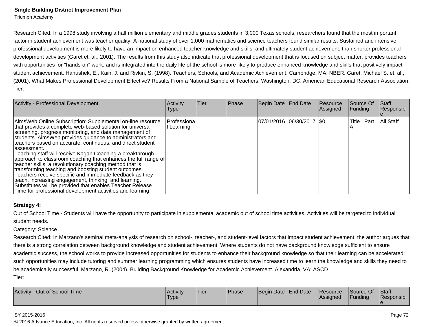Triumph Academy

Research Cited: In a 1998 study involving a half million elementary and middle grades students in 3,000 Texas schools, researchers found that the most importantfactor in student achievement was teacher quality. A national study of over 1,000 mathematics and science teachers found similar results. Sustained and intensive professional development is more likely to have an impact on enhanced teacher knowledge and skills, and ultimately student achievement, than shorter professionaldevelopment activities (Garet et. al., 2001). The results from this study also indicate that professional development that is focused on subject matter, provides teacherswith opportunities for "hands-on" work, and is integrated into the daily life of the school is more likely to produce enhanced knowledge and skills that positively impact student achievement. Hanushek, E., Kain, J. and Rivkin, S. (1998). Teachers, Schools, and Academic Achievement. Cambridge, MA. NBER. Garet, Michael S. et. al.,(2001). What Makes Professional Development Effective? Results From a National Sample of Teachers. Washington, DC. American Educational Research Association.Tier:

| <b>Activity - Professional Development</b>                                                                                                                                                                                                                                                                                                                                                                                                                                                                                                                                                                                                                                                                                                                                                                                      | <b>Activity</b><br><b>Type</b> | <b>Tier</b> | <b>Phase</b> | Begin Date End Date         | Resource<br>Assigned | Source Of<br><b>Funding</b> | Staff<br>Responsibl |
|---------------------------------------------------------------------------------------------------------------------------------------------------------------------------------------------------------------------------------------------------------------------------------------------------------------------------------------------------------------------------------------------------------------------------------------------------------------------------------------------------------------------------------------------------------------------------------------------------------------------------------------------------------------------------------------------------------------------------------------------------------------------------------------------------------------------------------|--------------------------------|-------------|--------------|-----------------------------|----------------------|-----------------------------|---------------------|
| AimsWeb Online Subscription: Supplemental on-line resource<br>that provides a complete web-based solution for universal<br>screening, progress monitoring, and data management of<br>students. Aims Web provides guidance to administrators and<br>teachers based on accurate, continuous, and direct student<br>lassessment.<br>Teaching staff will receive Kagan Coaching a breakthrough<br>approach to classroom coaching that enhances the full range of<br>teacher skills, a revolutionary coaching method that is<br>transforming teaching and boosting student outcomes.<br>Teachers receive specific and immediate feedback as they<br>teach, increasing engagement, thinking, and learning.<br>Substitutes will be provided that enables Teacher Release<br>Time for professional development activities and learning. | l Professiona<br>Learning      |             |              | 07/01/2016 06/30/2017   \$0 |                      | Title I Part                | <b>All Staff</b>    |

#### **Strategy 4:**

Out of School Time - Students will have the opportunity to participate in supplemental academic out of school time activities. Activities will be targeted to individualstudent needs.

#### Category: Science

Research Cited: In Marzano's seminal meta-analysis of research on school-, teacher-, and student-level factors that impact student achievement, the author argues thatthere is a strong correlation between background knowledge and student achievement. Where students do not have background knowledge sufficient to ensure academic success, the school works to provide increased opportunities for students to enhance their background knowledge so that their learning can be accelerated;such opportunities may include tutoring and summer learning programming which ensures students have increased time to learn the knowledge and skills they need tobe academically successful. Marzano, R. (2004). Building Background Knowledge for Academic Achievement. Alexandria, VA: ASCD.Tier:

| Out of School Time<br><b>Activity</b> | <b>Activity</b><br>'Type | Tier | <b>Phase</b> | Begin Date End Date |  | <b>Resource</b><br><b>IAssigned</b> | Source Of<br><b>Funding</b> | Staff<br>Responsibl |
|---------------------------------------|--------------------------|------|--------------|---------------------|--|-------------------------------------|-----------------------------|---------------------|
|---------------------------------------|--------------------------|------|--------------|---------------------|--|-------------------------------------|-----------------------------|---------------------|

#### SY 2015-2016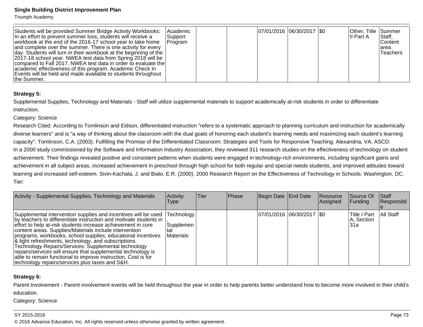Triumph Academy

| Students will be provided Summer Bridge Activity Workbooks:<br>In an effort to prevent summer loss, students will receive a<br>workbook at the end of the 2016-17 school year to take home<br>and complete over the summer. There is one activity for every<br>  day. Students will turn in their workbook at the beginning of the | Academic<br>Support<br><b>Program</b> | 07/01/2016 06/30/2017 \\$0 | Other, Title Summer<br>III Part A | Staff,<br><b>IContent</b><br>larea<br>Teachers |
|------------------------------------------------------------------------------------------------------------------------------------------------------------------------------------------------------------------------------------------------------------------------------------------------------------------------------------|---------------------------------------|----------------------------|-----------------------------------|------------------------------------------------|
| 2017-18 school year. NWEA test data from Spring 2018 will be<br>compared to Fall 2017. NWEA test data in order to evaluate the<br>academic effectiveness of this program. Academic Check In<br>Events will be held and made available to students throughout<br>the Summer.                                                        |                                       |                            |                                   |                                                |

#### **Strategy 5:**

Supplemental Supplies, Technology and Materials - Staff will utilize supplemental materials to support academically at-risk students in order to differentiateinstruction.

#### Category: Science

Research Cited: According to Tomlinson and Eidson, differentiated instruction "refers to a systematic approach to planning curriculum and instruction for academicallydiverse learners" and is "a way of thinking about the classroom with the dual goals of honoring each student's learning needs and maximizing each student's learningcapacity". Tomlinson, C.A. (2003). Fulfilling the Promise of the Differentiated Classroom: Strategies and Tools for Responsive Teaching. Alexandria, VA: ASCD.In a 2000 study commissioned by the Software and Information Industry Association, they reviewed 311 research studies on the effectiveness of technology on student achievement. Their findings revealed positive and consistent patterns when students were engaged in technology-rich environments, including significant gains and achievement in all subject areas, increased achievement in preschool through high school for both regular and special needs students, and improved attitudes toward learning and increased self-esteem. Sivin-Kachala, J. and Bialo, E.R. (2000). 2000 Research Report on the Effectiveness of Technology in Schools. Washington, DC.Tier:

| Activity - Supplemental Supplies, Technology and Materials                                                                                                                                                                                                                                                                                                                                                                                                                                                                                                                                                                         | Activity<br><b>Type</b>                | lTier. | Phase | Begin Date End Date         | Resource<br>Assigned | Source Of<br><b>Funding</b>         | <b>Staff</b><br>Responsibl |
|------------------------------------------------------------------------------------------------------------------------------------------------------------------------------------------------------------------------------------------------------------------------------------------------------------------------------------------------------------------------------------------------------------------------------------------------------------------------------------------------------------------------------------------------------------------------------------------------------------------------------------|----------------------------------------|--------|-------|-----------------------------|----------------------|-------------------------------------|----------------------------|
| Supplemental intervention supplies and incentives will be used<br>by teachers to differentiate instruction and motivate students in<br>effort to help at-risk students increase achievement in core<br>content areas. Supplies/Materials include intervention<br>programs, workbooks, school supplies, educational incentives<br> & light refreshments, technology, and subscriptions.<br>Technology Repairs/Services: Supplemental technology<br>repairs/services will ensure that supplemental technology is<br>able to remain functional to improve instruction. Cost is for<br>technology repairs/services plus taxes and S&H. | Technology  <br>Supplemen<br>Materials |        |       | 07/01/2016 06/30/2017   \$0 |                      | lTitle I Part<br>A, Section<br>l31a | All Staff                  |

#### **Strategy 6:**

Parent Involvement - Parent involvement events will be held throughout the year in order to help parents better understand how to become more involved in their child's education.

Category: Science

#### SY 2015-2016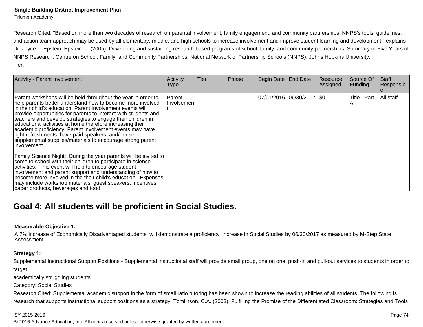Research Cited: "Based on more than two decades of research on parental involvement, family engagement, and community partnerships, NNPS's tools, guidelines,and action team approach may be used by all elementary, middle, and high schools to increase involvement and improve student learning and development," explainsDr. Joyce L. Epstein. Epstein, J. (2005). Developing and sustaining research-based programs of school, family, and community partnerships: Summary of Five Years of NNPS Research, Centre on School, Family, and Community Partnerships. National Network of Partnership Schools (NNPS), Johns Hopkins University.Tier:

| <b>Activity - Parent Involvement</b>                                                                                                                                                                                                                                                                                                                                                                                                                                                                                                                                                      | Activity<br><b>Type</b>     | Tier | <b>Phase</b> | Begin Date End Date           | Resource<br>Assigned | Source Of<br>Funding | <b>Staff</b><br>Responsibl |
|-------------------------------------------------------------------------------------------------------------------------------------------------------------------------------------------------------------------------------------------------------------------------------------------------------------------------------------------------------------------------------------------------------------------------------------------------------------------------------------------------------------------------------------------------------------------------------------------|-----------------------------|------|--------------|-------------------------------|----------------------|----------------------|----------------------------|
| Parent workshops will be held throughout the year in order to<br>help parents better understand how to become more involved<br>in their child's education. Parent Involvement events will<br>provide opportunities for parents to interact with students and<br>teachers and develop strategies to engage their children in<br>educational activities at home therefore increasing their<br>academic proficiency. Parent involvement events may have<br>light refreshments, have paid speakers, and/or use<br>supplemental supplies/materials to encourage strong parent<br>linvolvement. | <b>Parent</b><br>Involvemen |      |              | $ 07/01/2016 06/30/2017 $ \$0 |                      | <b>Title I Part</b>  | All staff                  |
| Family Science Night: During the year parents will be invited to<br>come to school with their children to participate in science<br>activities. This event will help to encourage student<br>involvement and parent support and understanding of how to<br>become more involved in the their child's education. Expenses<br>may include workshop materials, guest speakers, incentives,<br>paper products, beverages and food.                                                                                                                                                            |                             |      |              |                               |                      |                      |                            |

# **Goal 4: All students will be proficient in Social Studies.**

#### **Measurable Objective 1:**

A 7% increase of Economically Disadvantaged students will demonstrate a proficiency increase in Social Studies by 06/30/2017 as measured by M-Step StateAssessment.

#### **Strategy 1:**

Supplemental Instructional Support Positions - Supplemental instructional staff will provide small group, one on one, push-in and pull-out services to students in order totarget

academically struggling students.

Category: Social Studies

Research Cited: Supplemental academic support in the form of small ratio tutoring has been shown to increase the reading abilities of all students. The following is research that supports instructional support positions as a strategy: Tomlinson, C.A. (2003). Fulfilling the Promise of the Differentiated Classroom: Strategies and Tools

#### SY 2015-2016

estimate the contract of the contract of the contract of the contract of the contract of the contract of the contract of the contract of the contract of the contract of the contract of the contract of the contract of the c © 2016 Advance Education, Inc. All rights reserved unless otherwise granted by written agreement.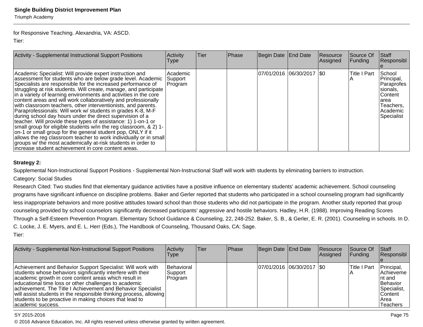for Responsive Teaching. Alexandria, VA: ASCD.

Tier:

| Activity - Supplemental Instructional Support Positions                                                                                                                                                                                                                                                                                                                                                                                                                                                                                                                                                                                                                                                                                                                                                                                                                                                                                                                                           | Activity<br><b>Type</b>         | <b>Tier</b> | Phase | Begin Date End Date         | Resource<br>Assigned | <b>Source Of</b><br> Funding | Staff<br>Responsibl                                                                                                |
|---------------------------------------------------------------------------------------------------------------------------------------------------------------------------------------------------------------------------------------------------------------------------------------------------------------------------------------------------------------------------------------------------------------------------------------------------------------------------------------------------------------------------------------------------------------------------------------------------------------------------------------------------------------------------------------------------------------------------------------------------------------------------------------------------------------------------------------------------------------------------------------------------------------------------------------------------------------------------------------------------|---------------------------------|-------------|-------|-----------------------------|----------------------|------------------------------|--------------------------------------------------------------------------------------------------------------------|
| Academic Specialist: Will provide expert instruction and<br>assessment for students who are below grade level. Academic<br>Specialists are responsible for the increased performance of<br>struggling at risk students. Will create, manage, and participate<br>in a variety of learning environments and activities in the core<br>content areas and will work collaboratively and professionally<br>with classroom teachers, other interventionists, and parents.<br>Paraprofessionals: Will work w/ students in grades K-8, M-F<br>during school day hours under the direct supervision of a<br>teacher. Will provide these types of assistance: 1) 1-on-1 or<br>small group for eligible students w/in the reg classroom, & 2) 1-<br>on-1 or small group for the general student pop, ONLY if it<br>allows the reg classroom teacher to work individually or in small<br>groups w/ the most academically at-risk students in order to<br>lincrease student achievement in core content areas. | Academic<br>Support<br> Program |             |       | 07/01/2016 06/30/2017   \$0 |                      | <b>Title I Part</b>          | School<br>Principal,<br> Paraprofes<br>sionals,<br><b>Content</b><br>larea<br> Teachers,<br>Academic<br>Specialist |

#### **Strategy 2:**

Supplemental Non-Instructional Support Positions - Supplemental Non-Instructional Staff will work with students by eliminating barriers to instruction.

### Category: Social Studies

Research Cited: Two studies find that elementary guidance activities have a positive influence on elementary students' academic achievement. School counseling programs have significant influence on discipline problems. Baker and Gerler reported that students who participated in a school counseling program had significantlyless inappropriate behaviors and more positive attitudes toward school than those students who did not participate in the program. Another study reported that group counseling provided by school counselors significantly decreased participants' aggressive and hostile behaviors. Hadley, H.R. (1988). Improving Reading Scores Through a Self-Esteem Prevention Program. Elementary School Guidance & Counseling, 22, 248-252. Baker, S. B., & Gerler, E. R. (2001). Counseling in schools. In D.C. Locke, J. E. Myers, and E. L. Herr (Eds.), The Handbook of Counseling, Thousand Oaks, CA: Sage.Tier:

| Activity - Supplemental Non-Instructional Support Positions                                                                                                                                                                                                                                                                                                                                                                                                         | Activity<br><b>Type</b>             | Tier | <b>Phase</b> | Begin Date End Date |                            | <b>Resource</b><br>Assigned | <b>Source Of</b><br><b>Funding</b> | Staff<br>Responsibl                                                                                             |
|---------------------------------------------------------------------------------------------------------------------------------------------------------------------------------------------------------------------------------------------------------------------------------------------------------------------------------------------------------------------------------------------------------------------------------------------------------------------|-------------------------------------|------|--------------|---------------------|----------------------------|-----------------------------|------------------------------------|-----------------------------------------------------------------------------------------------------------------|
| Achievement and Behavior Support Specialist: Will work with<br>students whose behaviors significantly interfere with their<br>academic growth in core content areas which result in<br>educational time loss or other challenges to academic<br>achievement. The Title I Achievement and Behavior Specialist<br>will assist students in the responsible thinking process, allowing<br>students to be proactive in making choices that lead to<br>lacademic success. | Behavioral<br> Support <br> Program |      |              |                     | 07/01/2016 06/30/2017 \\$0 |                             | lTitle I Part                      | Principal,<br><b>IAchieveme</b><br>Int and<br>Behavior<br>Specialist,<br>lContent l<br>IArea<br><b>Teachers</b> |

#### SY 2015-2016

estimate the contract of the contract of the contract of the contract of the contract of the contract of the contract of the contract of the contract of the contract of the contract of the contract of the contract of the c © 2016 Advance Education, Inc. All rights reserved unless otherwise granted by written agreement.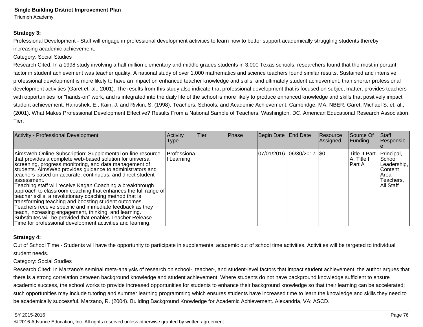Triumph Academy

#### **Strategy 3:**

Professional Development - Staff will engage in professional development activities to learn how to better support academically struggling students therebyincreasing academic achievement.

#### Category: Social Studies

Research Cited: In a 1998 study involving a half million elementary and middle grades students in 3,000 Texas schools, researchers found that the most importantfactor in student achievement was teacher quality. A national study of over 1,000 mathematics and science teachers found similar results. Sustained and intensiveprofessional development is more likely to have an impact on enhanced teacher knowledge and skills, and ultimately student achievement, than shorter professionaldevelopment activities (Garet et. al., 2001). The results from this study also indicate that professional development that is focused on subject matter, provides teacherswith opportunities for "hands-on" work, and is integrated into the daily life of the school is more likely to produce enhanced knowledge and skills that positively impact student achievement. Hanushek, E., Kain, J. and Rivkin, S. (1998). Teachers, Schools, and Academic Achievement. Cambridge, MA. NBER. Garet, Michael S. et. al.,(2001). What Makes Professional Development Effective? Results From a National Sample of Teachers. Washington, DC. American Educational Research Association.Tier:

| <b>Activity - Professional Development</b>                                                                                                                                                                                                                                                                                                                                                                                                                                                                                                                                                                                                                                                                                                                                                                                      | Activity<br>Type        | Tier | Phase | Begin Date End Date         | <b>Resource</b><br>Assigned | Source Of<br> Funding                         | Staff<br>Responsibl                                                                |
|---------------------------------------------------------------------------------------------------------------------------------------------------------------------------------------------------------------------------------------------------------------------------------------------------------------------------------------------------------------------------------------------------------------------------------------------------------------------------------------------------------------------------------------------------------------------------------------------------------------------------------------------------------------------------------------------------------------------------------------------------------------------------------------------------------------------------------|-------------------------|------|-------|-----------------------------|-----------------------------|-----------------------------------------------|------------------------------------------------------------------------------------|
| AimsWeb Online Subscription: Supplemental on-line resource<br>that provides a complete web-based solution for universal<br>screening, progress monitoring, and data management of<br>students. Aims Web provides guidance to administrators and<br>teachers based on accurate, continuous, and direct student<br>lassessment.<br>Teaching staff will receive Kagan Coaching a breakthrough<br>approach to classroom coaching that enhances the full range of<br>teacher skills, a revolutionary coaching method that is<br>transforming teaching and boosting student outcomes.<br>Teachers receive specific and immediate feedback as they<br>teach, increasing engagement, thinking, and learning.<br>Substitutes will be provided that enables Teacher Release<br>Time for professional development activities and learning. | Professiona<br>Learning |      |       | 07/01/2016 06/30/2017   \$0 |                             | <b>Title II Part</b><br>A, Title I<br>IPart A | Principal,<br>School<br>Leadership,<br>lContent<br>lArea<br>Teachers,<br>All Staff |

#### **Strategy 4:**

Out of School Time - Students will have the opportunity to participate in supplemental academic out of school time activities. Activities will be targeted to individualstudent needs.

#### Category: Social Studies

Research Cited: In Marzano's seminal meta-analysis of research on school-, teacher-, and student-level factors that impact student achievement, the author argues that there is a strong correlation between background knowledge and student achievement. Where students do not have background knowledge sufficient to ensureacademic success, the school works to provide increased opportunities for students to enhance their background knowledge so that their learning can be accelerated;such opportunities may include tutoring and summer learning programming which ensures students have increased time to learn the knowledge and skills they need to be academically successful. Marzano, R. (2004). Building Background Knowledge for Academic Achievement. Alexandria, VA: ASCD.

#### SY 2015-2016

en alternative to the contract of the contract of the contract of the contract of the contract of the contract of the contract of the contract of the contract of the contract of the contract of the contract of the contract © 2016 Advance Education, Inc. All rights reserved unless otherwise granted by written agreement.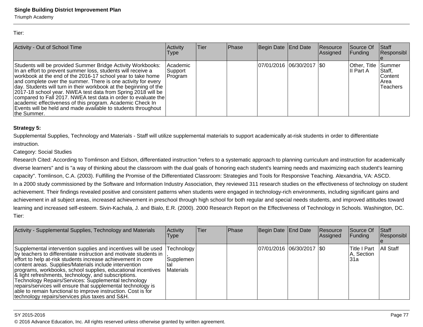Triumph Academy

Tier:

| Activity - Out of School Time                                                                                                                                                                                                                                                                                                                                                                                                                                                                                                                                                                                   | Activity<br><b>Type</b>         | Tier | Phase | Begin Date End Date         | Resource<br>Assigned | <b>Source Of</b><br><b>Funding</b> | <b>Staff</b><br>Responsibl                            |
|-----------------------------------------------------------------------------------------------------------------------------------------------------------------------------------------------------------------------------------------------------------------------------------------------------------------------------------------------------------------------------------------------------------------------------------------------------------------------------------------------------------------------------------------------------------------------------------------------------------------|---------------------------------|------|-------|-----------------------------|----------------------|------------------------------------|-------------------------------------------------------|
| Students will be provided Summer Bridge Activity Workbooks:<br>In an effort to prevent summer loss, students will receive a<br>workbook at the end of the 2016-17 school year to take home<br>and complete over the summer. There is one activity for every<br>day. Students will turn in their workbook at the beginning of the<br>2017-18 school year. NWEA test data from Spring 2018 will be<br>compared to Fall 2017. NWEA test data in order to evaluate the<br>academic effectiveness of this program. Academic Check In<br>Events will be held and made available to students throughout<br>the Summer. | Academic<br>Support<br> Program |      |       | 07/01/2016  06/30/2017  \$0 |                      | Other, Title Summer<br>III Part A  | Staff,<br><b>IContent</b><br>IArea<br><b>Teachers</b> |

#### **Strategy 5:**

Supplemental Supplies, Technology and Materials - Staff will utilize supplemental materials to support academically at-risk students in order to differentiateinstruction.

#### Category: Social Studies

Research Cited: According to Tomlinson and Eidson, differentiated instruction "refers to a systematic approach to planning curriculum and instruction for academicallydiverse learners" and is "a way of thinking about the classroom with the dual goals of honoring each student's learning needs and maximizing each student's learningcapacity". Tomlinson, C.A. (2003). Fulfilling the Promise of the Differentiated Classroom: Strategies and Tools for Responsive Teaching. Alexandria, VA: ASCD.In a 2000 study commissioned by the Software and Information Industry Association, they reviewed 311 research studies on the effectiveness of technology on studentachievement. Their findings revealed positive and consistent patterns when students were engaged in technology-rich environments, including significant gains and achievement in all subject areas, increased achievement in preschool through high school for both regular and special needs students, and improved attitudes toward learning and increased self-esteem. Sivin-Kachala, J. and Bialo, E.R. (2000). 2000 Research Report on the Effectiveness of Technology in Schools. Washington, DC.Tier:

| Activity - Supplemental Supplies, Technology and Materials                                                                                                                                                                                                                                                                                                                                                                                                                                                                                                                                                                        | Activity<br><b>Type</b>                     | <b>Tier</b> | <b>Phase</b> | Begin Date End Date         | <b>Resource</b><br>Assigned | <b>Source Of</b><br> Funding        | Staff<br>Responsibl |
|-----------------------------------------------------------------------------------------------------------------------------------------------------------------------------------------------------------------------------------------------------------------------------------------------------------------------------------------------------------------------------------------------------------------------------------------------------------------------------------------------------------------------------------------------------------------------------------------------------------------------------------|---------------------------------------------|-------------|--------------|-----------------------------|-----------------------------|-------------------------------------|---------------------|
| Supplemental intervention supplies and incentives will be used<br>by teachers to differentiate instruction and motivate students in<br>effort to help at-risk students increase achievement in core<br>content areas. Supplies/Materials include intervention<br>programs, workbooks, school supplies, educational incentives<br>& light refreshments, technology, and subscriptions.<br>Technology Repairs/Services: Supplemental technology<br>repairs/services will ensure that supplemental technology is<br>able to remain functional to improve instruction. Cost is for<br>technology repairs/services plus taxes and S&H. | Fechnology<br>Supplemen<br>tal<br>Materials |             |              | 07/01/2016  06/30/2017  \$0 |                             | lTitle I Part<br>A, Section<br>l31a | All Staff           |

#### SY 2015-2016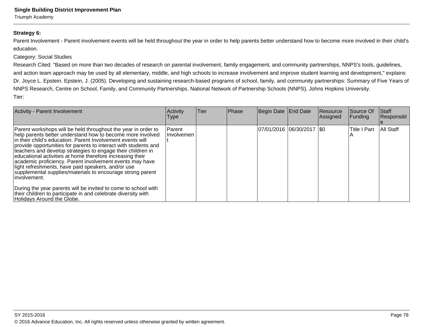Triumph Academy

#### **Strategy 6:**

Parent Involvement - Parent involvement events will be held throughout the year in order to help parents better understand how to become more involved in their child's education.

#### Category: Social Studies

 Research Cited: "Based on more than two decades of research on parental involvement, family engagement, and community partnerships, NNPS's tools, guidelines,and action team approach may be used by all elementary, middle, and high schools to increase involvement and improve student learning and development," explainsDr. Joyce L. Epstein. Epstein, J. (2005). Developing and sustaining research-based programs of school, family, and community partnerships: Summary of Five Years of NNPS Research, Centre on School, Family, and Community Partnerships. National Network of Partnership Schools (NNPS), Johns Hopkins University.Tier:

| Activity - Parent Involvement                                                                                                                                                                                                                                                                                                                                                                                                                                                                                                                                                                                                                                                                                                                              | Activity<br>Type       | Tier | <b>Phase</b> | Begin Date End Date         | Resource<br>Assigned | Source Of<br>Funding | <b>Staff</b><br>Responsibl |
|------------------------------------------------------------------------------------------------------------------------------------------------------------------------------------------------------------------------------------------------------------------------------------------------------------------------------------------------------------------------------------------------------------------------------------------------------------------------------------------------------------------------------------------------------------------------------------------------------------------------------------------------------------------------------------------------------------------------------------------------------------|------------------------|------|--------------|-----------------------------|----------------------|----------------------|----------------------------|
| Parent workshops will be held throughout the year in order to<br>help parents better understand how to become more involved<br>in their child's education. Parent Involvement events will<br>provide opportunities for parents to interact with students and<br>teachers and develop strategies to engage their children in<br>educational activities at home therefore increasing their<br>academic proficiency. Parent involvement events may have<br>light refreshments, have paid speakers, and/or use<br>supplemental supplies/materials to encourage strong parent<br>linvolvement.<br>During the year parents will be invited to come to school with<br>their children to participate in and celebrate diversity with<br>Holidays Around the Globe. | l Parent<br>Involvemen |      |              | 07/01/2016 06/30/2017   \$0 |                      | <b>Title I Part</b>  | All Staff                  |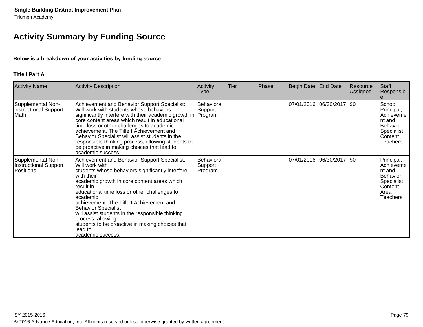# **Activity Summary by Funding Source**

#### **Below is a breakdown of your activities by funding source**

#### **Title I Part A**

| <b>Activity Name</b>                                    | <b>Activity Description</b>                                                                                                                                                                                                                                                                                                                                                                                                                                                                      | Activity<br>Type                 | <b>Tier</b> | Phase | Begin Date | <b>End Date</b>             | Resource<br>Assigned | Staff<br>Responsibl                                                                                 |
|---------------------------------------------------------|--------------------------------------------------------------------------------------------------------------------------------------------------------------------------------------------------------------------------------------------------------------------------------------------------------------------------------------------------------------------------------------------------------------------------------------------------------------------------------------------------|----------------------------------|-------------|-------|------------|-----------------------------|----------------------|-----------------------------------------------------------------------------------------------------|
| Supplemental Non-<br>instructional Support -<br>Math    | Achievement and Behavior Support Specialist:<br>Will work with students whose behaviors<br>significantly interfere with their academic growth in Program<br>core content areas which result in educational<br>time loss or other challenges to academic<br>achievement. The Title I Achievement and<br>Behavior Specialist will assist students in the<br>responsible thinking process, allowing students to<br>be proactive in making choices that lead to<br>lacademic success.                | Behavioral<br>Support            |             |       |            | 07/01/2016 06/30/2017  \$0  |                      | School<br>Principal,<br>Achieveme<br>Int and<br>Behavior<br>Specialist,<br>Content<br>Teachers      |
| Supplemental Non-<br>Instructional Support<br>Positions | Achievement and Behavior Support Specialist:<br>lWill work with<br>students whose behaviors significantly interfere<br>with their<br>academic growth in core content areas which<br>result in<br>educational time loss or other challenges to<br>lacademic<br>achievement. The Title I Achievement and<br><b>Behavior Specialist</b><br>will assist students in the responsible thinking<br>process, allowing<br>students to be proactive in making choices that<br>lead to<br>academic success. | Behavioral<br>Support<br>Program |             |       |            | 07/01/2016  06/30/2017  \$0 |                      | Principal,<br>Achieveme<br>Int and<br>Behavior<br>Specialist,<br>Content<br>Area<br><b>Teachers</b> |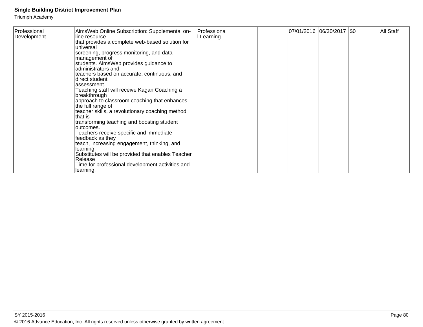| Professional<br>Development | AimsWeb Online Subscription: Supplemental on-<br>line resource<br>that provides a complete web-based solution for<br>universal<br>screening, progress monitoring, and data<br>management of<br>students. AimsWeb provides guidance to<br>administrators and<br>teachers based on accurate, continuous, and<br>direct student<br>assessment.<br>Teaching staff will receive Kagan Coaching a<br>breakthrough<br>approach to classroom coaching that enhances<br>the full range of<br>teacher skills, a revolutionary coaching method<br>that is | Professiona<br>I Learning | 07/01/2016  06/30/2017  \$0 | All Staff |
|-----------------------------|------------------------------------------------------------------------------------------------------------------------------------------------------------------------------------------------------------------------------------------------------------------------------------------------------------------------------------------------------------------------------------------------------------------------------------------------------------------------------------------------------------------------------------------------|---------------------------|-----------------------------|-----------|
|                             | transforming teaching and boosting student<br>outcomes.<br>Teachers receive specific and immediate<br>feedback as they<br>teach, increasing engagement, thinking, and<br>learning.<br>Substitutes will be provided that enables Teacher<br>Release<br>Time for professional development activities and<br>learning.                                                                                                                                                                                                                            |                           |                             |           |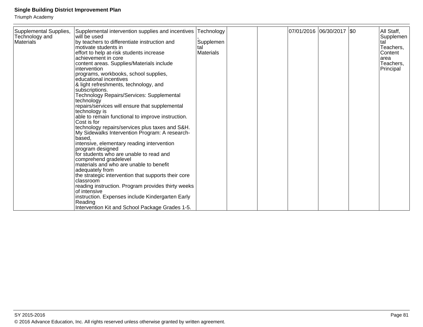| Supplemental Supplies,<br>Technology and<br><b>Materials</b> | Supplemental intervention supplies and incentives<br>will be used<br>by teachers to differentiate instruction and<br>motivate students in<br>effort to help at-risk students increase<br>achievement in core<br>content areas. Supplies/Materials include<br>intervention<br>programs, workbooks, school supplies,<br>educational incentives<br>& light refreshments, technology, and<br>subscriptions.<br>Technology Repairs/Services: Supplemental<br>technology<br>repairs/services will ensure that supplemental<br>technology is<br>able to remain functional to improve instruction.<br>Cost is for<br>technology repairs/services plus taxes and S&H.<br>My Sidewalks Intervention Program: A research-<br>based,<br>intensive, elementary reading intervention<br>program designed<br>for students who are unable to read and<br>comprehend gradelevel<br>materials and who are unable to benefit<br>adequately from<br>the strategic intervention that supports their core<br>classroom<br>reading instruction. Program provides thirty weeks<br>of intensive<br>instruction. Expenses include Kindergarten Early<br>Reading | Technology<br>Supplemen<br>tal<br><b>Materials</b> |  | 07/01/2016  06/30/2017  \$0 | All Staff,<br>Supplemen<br>tal<br>Teachers,<br>Content<br>area<br>Teachers,<br>Principal |
|--------------------------------------------------------------|---------------------------------------------------------------------------------------------------------------------------------------------------------------------------------------------------------------------------------------------------------------------------------------------------------------------------------------------------------------------------------------------------------------------------------------------------------------------------------------------------------------------------------------------------------------------------------------------------------------------------------------------------------------------------------------------------------------------------------------------------------------------------------------------------------------------------------------------------------------------------------------------------------------------------------------------------------------------------------------------------------------------------------------------------------------------------------------------------------------------------------------|----------------------------------------------------|--|-----------------------------|------------------------------------------------------------------------------------------|
|                                                              | Intervention Kit and School Package Grades 1-5.                                                                                                                                                                                                                                                                                                                                                                                                                                                                                                                                                                                                                                                                                                                                                                                                                                                                                                                                                                                                                                                                                       |                                                    |  |                             |                                                                                          |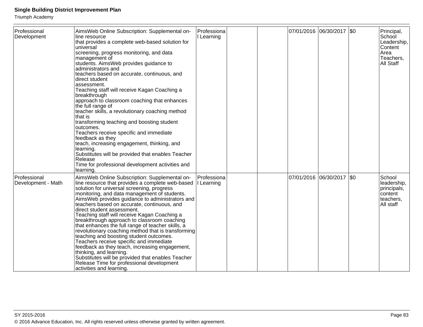| Professional<br>Development        | AimsWeb Online Subscription: Supplemental on-<br>line resource<br>that provides a complete web-based solution for<br>universal<br>screening, progress monitoring, and data<br>management of<br>students. AimsWeb provides guidance to<br>administrators and<br>teachers based on accurate, continuous, and<br>direct student<br>assessment.<br>Teaching staff will receive Kagan Coaching a<br> breakthrough<br>approach to classroom coaching that enhances<br>the full range of<br>teacher skills, a revolutionary coaching method<br>that is<br>transforming teaching and boosting student<br>outcomes.<br>Teachers receive specific and immediate<br>feedback as they<br>teach, increasing engagement, thinking, and<br>learning.<br>Substitutes will be provided that enables Teacher<br>Release<br>Time for professional development activities and<br>learning. | Professiona<br>I Learning |  | 07/01/2016 06/30/2017 \$0   | Principal,<br>School<br>Leadership,<br>Content<br>Area<br>Teachers,<br>All Staff |
|------------------------------------|------------------------------------------------------------------------------------------------------------------------------------------------------------------------------------------------------------------------------------------------------------------------------------------------------------------------------------------------------------------------------------------------------------------------------------------------------------------------------------------------------------------------------------------------------------------------------------------------------------------------------------------------------------------------------------------------------------------------------------------------------------------------------------------------------------------------------------------------------------------------|---------------------------|--|-----------------------------|----------------------------------------------------------------------------------|
| Professional<br>Development - Math | AimsWeb Online Subscription: Supplemental on-<br>line resource that provides a complete web-based<br>solution for universal screening, progress<br>monitoring, and data management of students.<br>AimsWeb provides guidance to administrators and<br>teachers based on accurate, continuous, and<br>direct student assessment.<br>Teaching staff will receive Kagan Coaching a<br>breakthrough approach to classroom coaching<br>that enhances the full range of teacher skills, a<br>revolutionary coaching method that is transforming<br>teaching and boosting student outcomes.<br>Teachers receive specific and immediate<br>feedback as they teach, increasing engagement,<br>thinking, and learning.<br>Substitutes will be provided that enables Teacher<br>Release Time for professional development<br>activities and learning.                             | Professiona<br>I Learning |  | 07/01/2016 06/30/2017   \$0 | School<br>leadership,<br>principals,<br>content<br>teachers,<br>All staff        |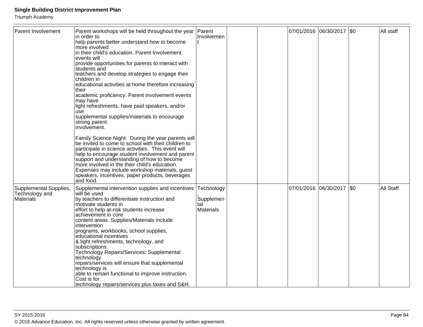| <b>Parent Involvement</b>                             | Parent workshops will be held throughout the year<br>in order to<br>help parents better understand how to become<br>more involved<br>in their child's education. Parent Involvement<br>events will<br>provide opportunities for parents to interact with<br>students and<br>teachers and develop strategies to engage their<br>children in<br>educational activities at home therefore increasing<br>their<br>academic proficiency. Parent involvement events<br>may have<br>light refreshments, have paid speakers, and/or<br>use<br>supplemental supplies/materials to encourage<br>strong parent<br>involvement.<br>Family Science Night: During the year parents will<br>be invited to come to school with their children to<br>participate in science activities. This event will<br>help to encourage student involvement and parent<br>support and understanding of how to become<br>more involved in the their child's education.<br>Expenses may include workshop materials, guest<br>speakers, incentives, paper products, beverages | Parent<br>Involvemen                               |  |            | 07/01/2016 06/30/2017 \$0 |         | All staff |
|-------------------------------------------------------|------------------------------------------------------------------------------------------------------------------------------------------------------------------------------------------------------------------------------------------------------------------------------------------------------------------------------------------------------------------------------------------------------------------------------------------------------------------------------------------------------------------------------------------------------------------------------------------------------------------------------------------------------------------------------------------------------------------------------------------------------------------------------------------------------------------------------------------------------------------------------------------------------------------------------------------------------------------------------------------------------------------------------------------------|----------------------------------------------------|--|------------|---------------------------|---------|-----------|
| Supplemental Supplies,<br>Technology and<br>Materials | and food.<br>Supplemental intervention supplies and incentives<br>will be used<br>by teachers to differentiate instruction and<br>motivate students in<br>effort to help at-risk students increase<br>achievement in core<br>content areas. Supplies/Materials include<br>intervention<br>programs, workbooks, school supplies,<br>educational incentives<br>& light refreshments, technology, and<br>subscriptions.<br>Technology Repairs/Services: Supplemental<br>technology<br>repairs/services will ensure that supplemental<br>technology is<br>able to remain functional to improve instruction.<br>Cost is for<br>technology repairs/services plus taxes and S&H.                                                                                                                                                                                                                                                                                                                                                                      | Technology<br>Supplemen<br>tal<br><b>Materials</b> |  | 07/01/2016 | 06/30/2017                | $ $ \$0 | All Staff |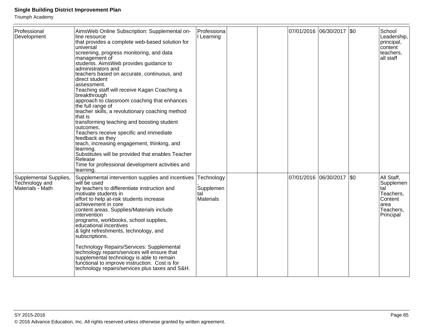| Professional<br>Development                                  | AimsWeb Online Subscription: Supplemental on-<br>line resource<br>that provides a complete web-based solution for<br>universal<br>screening, progress monitoring, and data<br>management of<br>students. AimsWeb provides guidance to<br>administrators and<br>teachers based on accurate, continuous, and<br>direct student<br>assessment.<br>Teaching staff will receive Kagan Coaching a<br>breakthrough<br>approach to classroom coaching that enhances<br>the full range of<br>teacher skills, a revolutionary coaching method<br>that is<br>transforming teaching and boosting student<br>outcomes.<br>Teachers receive specific and immediate<br>feedback as they<br>teach, increasing engagement, thinking, and<br>learning.<br>Substitutes will be provided that enables Teacher<br>Release<br>Time for professional development activities and<br>learning. | Professiona<br>I Learning                          |  | 07/01/2016 06/30/2017 \$0 | School<br>Leadership,<br>principal,<br>content<br>teachers,<br>all staff                 |
|--------------------------------------------------------------|-----------------------------------------------------------------------------------------------------------------------------------------------------------------------------------------------------------------------------------------------------------------------------------------------------------------------------------------------------------------------------------------------------------------------------------------------------------------------------------------------------------------------------------------------------------------------------------------------------------------------------------------------------------------------------------------------------------------------------------------------------------------------------------------------------------------------------------------------------------------------|----------------------------------------------------|--|---------------------------|------------------------------------------------------------------------------------------|
| Supplemental Supplies,<br>Technology and<br>Materials - Math | Supplemental intervention supplies and incentives<br>will be used<br>by teachers to differentiate instruction and<br>motivate students in<br>effort to help at-risk students increase<br>achievement in core<br>content areas. Supplies/Materials include<br>intervention<br>programs, workbooks, school supplies,<br>educational incentives<br>& light refreshments, technology, and<br>subscriptions.<br>Technology Repairs/Services: Supplemental<br>technology repairs/services will ensure that<br>supplemental technology is able to remain<br>functional to improve instruction. Cost is for<br>technology repairs/services plus taxes and S&H.                                                                                                                                                                                                                | Technology<br>Supplemen<br>tal<br><b>Materials</b> |  | 07/01/2016 06/30/2017 \$0 | All Staff,<br>Supplemen<br>tal<br>Teachers,<br>Content<br>area<br>Teachers,<br>Principal |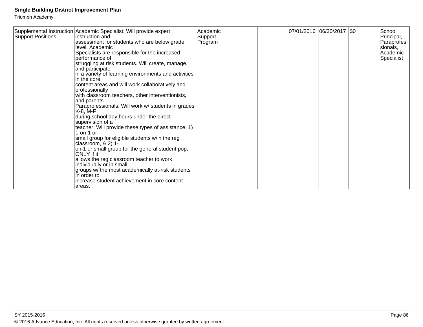| <b>Support Positions</b> | Supplemental Instruction Academic Specialist: Will provide expert<br>linstruction and<br>assessment for students who are below grade<br>level. Academic<br>Specialists are responsible for the increased<br>performance of<br>struggling at risk students. Will create, manage,<br>and participate<br>in a variety of learning environments and activities<br>in the core<br>content areas and will work collaboratively and<br>professionally<br>with classroom teachers, other interventionists,<br>and parents.<br>Paraprofessionals: Will work w/ students in grades<br>$K-8$ , M-F<br>during school day hours under the direct<br>supervision of a<br>teacher. Will provide these types of assistance: 1)<br>$1$ -on-1 or<br>small group for eligible students w/in the reg<br>classroom, $& 2)$ 1-<br>on-1 or small group for the general student pop,<br>ONLY if it<br>allows the reg classroom teacher to work<br>individually or in small<br>groups w/ the most academically at-risk students<br>in order to<br>increase student achievement in core content | Academic<br>Support<br>Program |  | 07/01/2016  06/30/2017  \$0 | School<br>Principal,<br>Paraprofes<br>sionals,<br>l Academic<br>Specialist |
|--------------------------|-----------------------------------------------------------------------------------------------------------------------------------------------------------------------------------------------------------------------------------------------------------------------------------------------------------------------------------------------------------------------------------------------------------------------------------------------------------------------------------------------------------------------------------------------------------------------------------------------------------------------------------------------------------------------------------------------------------------------------------------------------------------------------------------------------------------------------------------------------------------------------------------------------------------------------------------------------------------------------------------------------------------------------------------------------------------------|--------------------------------|--|-----------------------------|----------------------------------------------------------------------------|
|                          | areas.                                                                                                                                                                                                                                                                                                                                                                                                                                                                                                                                                                                                                                                                                                                                                                                                                                                                                                                                                                                                                                                                |                                |  |                             |                                                                            |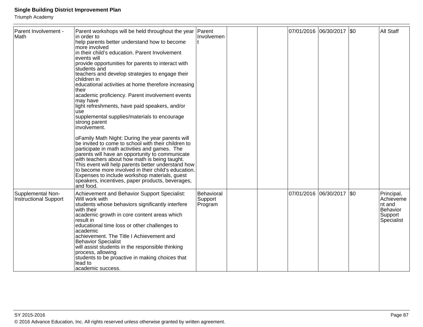| Parent Involvement -<br>Math                      | Parent workshops will be held throughout the year<br>in order to<br>help parents better understand how to become<br>more involved<br>in their child's education. Parent Involvement<br>events will<br>provide opportunities for parents to interact with<br>students and<br>teachers and develop strategies to engage their<br>children in<br>educational activities at home therefore increasing<br>their<br>academic proficiency. Parent involvement events<br>may have<br>light refreshments, have paid speakers, and/or<br><b>use</b><br>supplemental supplies/materials to encourage<br>strong parent<br>involvement.<br>o Family Math Night: During the year parents will<br>be invited to come to school with their children to<br>participate in math activities and games. The<br>parents will have an opportunity to communicate<br>with teachers about how math is being taught.<br>This event will help parents better understand how<br>to become more involved in their child's education.<br>Expenses to include workshop materials, guest<br>speakers, incentives, paper products, beverages,<br>and food. | Parent<br>Involvemen             |  | 07/01/2016 06/30/2017 \$0 | All Staff                                                              |
|---------------------------------------------------|----------------------------------------------------------------------------------------------------------------------------------------------------------------------------------------------------------------------------------------------------------------------------------------------------------------------------------------------------------------------------------------------------------------------------------------------------------------------------------------------------------------------------------------------------------------------------------------------------------------------------------------------------------------------------------------------------------------------------------------------------------------------------------------------------------------------------------------------------------------------------------------------------------------------------------------------------------------------------------------------------------------------------------------------------------------------------------------------------------------------------|----------------------------------|--|---------------------------|------------------------------------------------------------------------|
| Supplemental Non-<br><b>Instructional Support</b> | Achievement and Behavior Support Specialist:<br>Will work with<br>students whose behaviors significantly interfere<br>with their<br>academic growth in core content areas which<br>result in<br>educational time loss or other challenges to<br>academic<br>achievement. The Title I Achievement and<br><b>Behavior Specialist</b><br>will assist students in the responsible thinking<br>process, allowing<br>students to be proactive in making choices that<br>lead to<br>lacademic success.                                                                                                                                                                                                                                                                                                                                                                                                                                                                                                                                                                                                                            | Behavioral<br>Support<br>Program |  | 07/01/2016 06/30/2017 \$0 | Principal,<br>Achieveme<br>nt and<br>Behavior<br>Support<br>Specialist |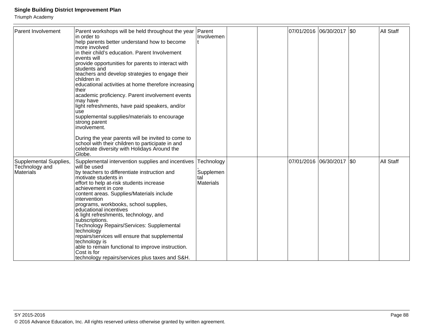| Parent Involvement                                    | Parent workshops will be held throughout the year<br>in order to<br>help parents better understand how to become<br>more involved<br>in their child's education. Parent Involvement<br>events will<br>provide opportunities for parents to interact with<br>students and<br>teachers and develop strategies to engage their<br>children in<br>educational activities at home therefore increasing<br>their<br>academic proficiency. Parent involvement events<br>may have<br>light refreshments, have paid speakers, and/or<br><b>USe</b><br>supplemental supplies/materials to encourage<br>strong parent<br>involvement.<br>During the year parents will be invited to come to<br>school with their children to participate in and<br>celebrate diversity with Holidays Around the<br>Globe. | Parent<br>Involvemen                               |  | 07/01/2016 06/30/2017 \$0   |  | All Staff |
|-------------------------------------------------------|------------------------------------------------------------------------------------------------------------------------------------------------------------------------------------------------------------------------------------------------------------------------------------------------------------------------------------------------------------------------------------------------------------------------------------------------------------------------------------------------------------------------------------------------------------------------------------------------------------------------------------------------------------------------------------------------------------------------------------------------------------------------------------------------|----------------------------------------------------|--|-----------------------------|--|-----------|
| Supplemental Supplies,<br>Technology and<br>Materials | Supplemental intervention supplies and incentives<br>will be used<br>by teachers to differentiate instruction and<br>motivate students in<br>effort to help at-risk students increase<br>achievement in core<br>content areas. Supplies/Materials include<br>intervention<br>programs, workbooks, school supplies,<br>educational incentives<br>& light refreshments, technology, and<br>subscriptions.<br>Technology Repairs/Services: Supplemental<br>technology<br>repairs/services will ensure that supplemental<br>technology is<br>able to remain functional to improve instruction.<br>Cost is for<br>technology repairs/services plus taxes and S&H.                                                                                                                                   | Technology<br>Supplemen<br>tal<br><b>Materials</b> |  | 07/01/2016  06/30/2017  \$0 |  | All Staff |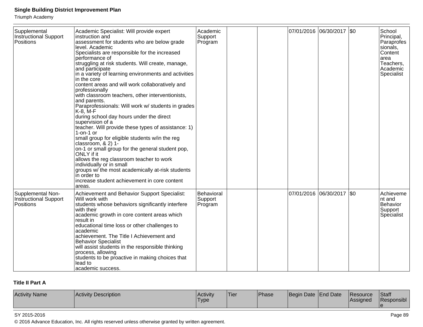Triumph Academy

| Supplemental<br><b>Instructional Support</b><br>Positions      | Academic Specialist: Will provide expert<br>instruction and<br>assessment for students who are below grade<br>level. Academic<br>Specialists are responsible for the increased<br>performance of<br>struggling at risk students. Will create, manage,<br>and participate<br>in a variety of learning environments and activities<br>in the core<br>content areas and will work collaboratively and<br>professionally<br>with classroom teachers, other interventionists,<br>and parents.<br>Paraprofessionals: Will work w/ students in grades<br>$K-8$ , M-F<br>during school day hours under the direct<br>supervision of a<br>teacher. Will provide these types of assistance: 1)<br>$1$ -on-1 or<br>small group for eligible students w/in the reg<br>classroom, $& 2)$ 1-<br>on-1 or small group for the general student pop,<br>ONLY if it<br>allows the reg classroom teacher to work<br>individually or in small<br>groups w/ the most academically at-risk students<br>in order to<br>increase student achievement in core content<br>areas. | Academic<br>Support<br>Program   |  | 07/01/2016 06/30/2017 \$0 | School<br>Principal,<br>Paraprofes<br>sionals,<br>Content<br>area<br>Teachers,<br>Academic<br>Specialist |
|----------------------------------------------------------------|-------------------------------------------------------------------------------------------------------------------------------------------------------------------------------------------------------------------------------------------------------------------------------------------------------------------------------------------------------------------------------------------------------------------------------------------------------------------------------------------------------------------------------------------------------------------------------------------------------------------------------------------------------------------------------------------------------------------------------------------------------------------------------------------------------------------------------------------------------------------------------------------------------------------------------------------------------------------------------------------------------------------------------------------------------|----------------------------------|--|---------------------------|----------------------------------------------------------------------------------------------------------|
| Supplemental Non-<br><b>Instructional Support</b><br>Positions | Achievement and Behavior Support Specialist:<br>Will work with<br>students whose behaviors significantly interfere<br>with their<br>academic growth in core content areas which<br>result in<br>educational time loss or other challenges to<br>academic<br>achievement. The Title I Achievement and<br><b>Behavior Specialist</b><br>will assist students in the responsible thinking<br>process, allowing<br>students to be proactive in making choices that<br>lead to<br>academic success.                                                                                                                                                                                                                                                                                                                                                                                                                                                                                                                                                        | Behavioral<br>Support<br>Program |  | 07/01/2016 06/30/2017 \$0 | Achieveme<br>nt and<br>Behavior<br>Support<br>Specialist                                                 |

## **Title II Part A**

| <b>Activity Name</b><br>Activity Description | Activity<br>'Type | <b>Tier</b> | Phase | <b>Beain</b> | Date End Date | <b>IResource</b><br><b>IAssigned</b> | Staff<br>Responsibl |
|----------------------------------------------|-------------------|-------------|-------|--------------|---------------|--------------------------------------|---------------------|
|----------------------------------------------|-------------------|-------------|-------|--------------|---------------|--------------------------------------|---------------------|

#### SY 2015-2016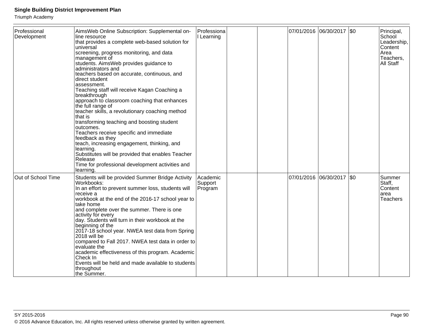| Professional<br>Development | AimsWeb Online Subscription: Supplemental on-<br>line resource<br>that provides a complete web-based solution for<br>universal<br>screening, progress monitoring, and data<br>management of<br>students. AimsWeb provides guidance to<br>administrators and<br>teachers based on accurate, continuous, and<br>direct student<br>assessment.<br>Teaching staff will receive Kagan Coaching a<br>breakthrough<br>approach to classroom coaching that enhances<br>the full range of<br>teacher skills, a revolutionary coaching method<br>that is<br>transforming teaching and boosting student<br>outcomes.<br>Teachers receive specific and immediate<br>feedback as they<br>teach, increasing engagement, thinking, and<br>learning.<br>Substitutes will be provided that enables Teacher<br>Release<br>Time for professional development activities and<br>learning. | Professiona<br>I Learning      |  | 07/01/2016 06/30/2017 \$0 | Principal,<br>School<br>Leadership,<br>Content<br>Area<br>Teachers,<br>All Staff |
|-----------------------------|-----------------------------------------------------------------------------------------------------------------------------------------------------------------------------------------------------------------------------------------------------------------------------------------------------------------------------------------------------------------------------------------------------------------------------------------------------------------------------------------------------------------------------------------------------------------------------------------------------------------------------------------------------------------------------------------------------------------------------------------------------------------------------------------------------------------------------------------------------------------------|--------------------------------|--|---------------------------|----------------------------------------------------------------------------------|
| Out of School Time          | Students will be provided Summer Bridge Activity<br>Workbooks:<br>In an effort to prevent summer loss, students will<br>receive a<br>workbook at the end of the 2016-17 school year to<br>ltake home<br>and complete over the summer. There is one<br>activity for every<br>day. Students will turn in their workbook at the<br>beginning of the<br>2017-18 school year. NWEA test data from Spring<br>2018 will be<br>compared to Fall 2017. NWEA test data in order to<br>evaluate the<br>academic effectiveness of this program. Academic<br>Check In<br>Events will be held and made available to students<br>throughout<br>lthe Summer.                                                                                                                                                                                                                          | Academic<br>Support<br>Program |  | 07/01/2016 06/30/2017 \$0 | Summer<br>Staff,<br>Content<br>larea<br><b>Teachers</b>                          |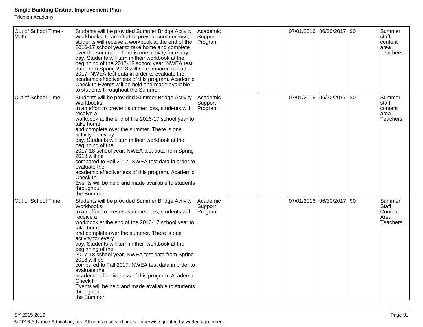| Out of School Time -<br>Math | Students will be provided Summer Bridge Activity<br>Workbooks: In an effort to prevent summer loss,<br>students will receive a workbook at the end of the<br>2016-17 school year to take home and complete<br>over the summer. There is one activity for every<br>day. Students will turn in their workbook at the<br>beginning of the 2017-18 school year. NWEA test<br>data from Spring 2018 will be compared to Fall<br>2017. NWEA test data in order to evaluate the<br>academic effectiveness of this program. Academic<br>Check In Events will be held and made available<br>to students throughout the Summer.                       | Academic<br>Support<br>Program |  | 07/01/2016 06/30/2017 \$0 |     | Summer<br>staff,<br>content<br>area<br><b>Teachers</b> |
|------------------------------|---------------------------------------------------------------------------------------------------------------------------------------------------------------------------------------------------------------------------------------------------------------------------------------------------------------------------------------------------------------------------------------------------------------------------------------------------------------------------------------------------------------------------------------------------------------------------------------------------------------------------------------------|--------------------------------|--|---------------------------|-----|--------------------------------------------------------|
| Out of School Time           | Students will be provided Summer Bridge Activity<br>Workbooks:<br>In an effort to prevent summer loss, students will<br>receive a<br>workbook at the end of the 2016-17 school year to<br>take home<br>and complete over the summer. There is one<br>activity for every<br>day. Students will turn in their workbook at the<br>beginning of the<br>2017-18 school year. NWEA test data from Spring<br>2018 will be<br>compared to Fall 2017. NWEA test data in order to<br>evaluate the<br>academic effectiveness of this program. Academic<br>Check In<br>Events will be held and made available to students<br>throughout<br>the Summer.  | Academic<br>Support<br>Program |  | 07/01/2016 06/30/2017 \$0 |     | Summer<br>staff,<br>content<br>area<br><b>Teachers</b> |
| Out of School Time           | Students will be provided Summer Bridge Activity<br>Workbooks:<br>In an effort to prevent summer loss, students will<br>receive a<br>workbook at the end of the 2016-17 school year to<br>take home<br>and complete over the summer. There is one<br>activity for every<br>day. Students will turn in their workbook at the<br>beginning of the<br>2017-18 school year. NWEA test data from Spring<br>2018 will be<br>compared to Fall 2017. NWEA test data in order to<br>evaluate the<br>academic effectiveness of this program. Academic<br>Check In<br>Events will be held and made available to students<br>throughout<br>lthe Sūmmer. | Academic<br>Support<br>Program |  | 07/01/2016 06/30/2017     | \$0 | Summer<br>Staff,<br>Content<br>Area<br><b>Teachers</b> |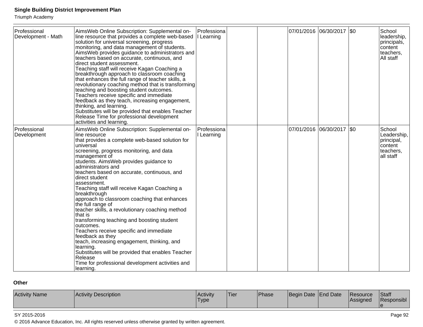Triumph Academy

| Professional<br>Development - Math | AimsWeb Online Subscription: Supplemental on-<br>line resource that provides a complete web-based<br>solution for universal screening, progress<br>monitoring, and data management of students.<br>AimsWeb provides guidance to administrators and<br>teachers based on accurate, continuous, and<br>direct student assessment.<br>Teaching staff will receive Kagan Coaching a<br>breakthrough approach to classroom coaching<br>that enhances the full range of teacher skills, a<br>revolutionary coaching method that is transforming<br>teaching and boosting student outcomes.<br>Teachers receive specific and immediate<br>feedback as they teach, increasing engagement,<br>thinking, and learning.<br>Substitutes will be provided that enables Teacher<br>Release Time for professional development<br>activities and learning.                            | Professiona<br>I Learning |  | 07/01/2016 06/30/2017 \$0 | School<br>leadership,<br>principals,<br>content<br>teachers,<br>All staff |
|------------------------------------|-----------------------------------------------------------------------------------------------------------------------------------------------------------------------------------------------------------------------------------------------------------------------------------------------------------------------------------------------------------------------------------------------------------------------------------------------------------------------------------------------------------------------------------------------------------------------------------------------------------------------------------------------------------------------------------------------------------------------------------------------------------------------------------------------------------------------------------------------------------------------|---------------------------|--|---------------------------|---------------------------------------------------------------------------|
| Professional<br>Development        | AimsWeb Online Subscription: Supplemental on-<br>line resource<br>that provides a complete web-based solution for<br>universal<br>screening, progress monitoring, and data<br>management of<br>students. AimsWeb provides guidance to<br>administrators and<br>teachers based on accurate, continuous, and<br>direct student<br>assessment.<br>Teaching staff will receive Kagan Coaching a<br>breakthrough<br>approach to classroom coaching that enhances<br>the full range of<br>teacher skills, a revolutionary coaching method<br>that is<br>transforming teaching and boosting student<br>outcomes.<br>Teachers receive specific and immediate<br>feedback as they<br>teach, increasing engagement, thinking, and<br>learning.<br>Substitutes will be provided that enables Teacher<br>Release<br>Time for professional development activities and<br>learning. | Professiona<br>Learning   |  | 07/01/2016 06/30/2017 \$0 | School<br>Leadership,<br>principal,<br>content<br>teachers,<br>all staff  |

## **Other**

| <b>Activity Name</b> | <b>Activity Description</b> | <b>Activity</b><br>'Type | 'Tier | Phase | Begin Date   End Date |  | <b>IResource</b><br><b>IAssigned</b> | <b>Staff</b><br><b>Responsibl</b> |
|----------------------|-----------------------------|--------------------------|-------|-------|-----------------------|--|--------------------------------------|-----------------------------------|
|----------------------|-----------------------------|--------------------------|-------|-------|-----------------------|--|--------------------------------------|-----------------------------------|

#### SY 2015-2016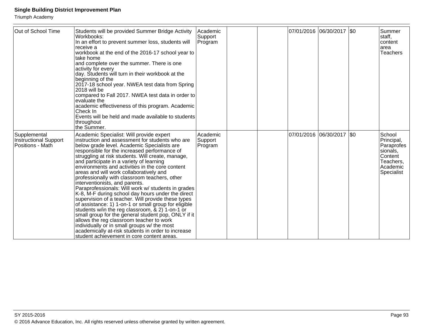| Out of School Time                                        | Students will be provided Summer Bridge Activity<br>Workbooks:<br>In an effort to prevent summer loss, students will<br>receive a<br>workbook at the end of the 2016-17 school year to<br>ltake home<br>and complete over the summer. There is one<br>activity for every<br>day. Students will turn in their workbook at the<br>beginning of the<br>2017-18 school year. NWEA test data from Spring<br>2018 will be<br>compared to Fall 2017. NWEA test data in order to<br>evaluate the<br>academic effectiveness of this program. Academic<br>Check In<br>Events will be held and made available to students<br>throughout<br>the Summer.                                                                                                                                                                                                                                                                                                                                                                       | Academic<br>Support<br>Program   |  | 07/01/2016  06/30/2017  \$0 | Summer<br>staff,<br>Icontent<br>larea<br>Teachers                                                |
|-----------------------------------------------------------|-------------------------------------------------------------------------------------------------------------------------------------------------------------------------------------------------------------------------------------------------------------------------------------------------------------------------------------------------------------------------------------------------------------------------------------------------------------------------------------------------------------------------------------------------------------------------------------------------------------------------------------------------------------------------------------------------------------------------------------------------------------------------------------------------------------------------------------------------------------------------------------------------------------------------------------------------------------------------------------------------------------------|----------------------------------|--|-----------------------------|--------------------------------------------------------------------------------------------------|
| Supplemental<br>Instructional Support<br>Positions - Math | Academic Specialist: Will provide expert<br>instruction and assessment for students who are<br>below grade level. Academic Specialists are<br>responsible for the increased performance of<br>struggling at risk students. Will create, manage,<br>and participate in a variety of learning<br>environments and activities in the core content<br>areas and will work collaboratively and<br>professionally with classroom teachers, other<br>interventionists, and parents.<br>Paraprofessionals: Will work w/ students in grades<br>K-8, M-F during school day hours under the direct<br>supervision of a teacher. Will provide these types<br>of assistance: 1) 1-on-1 or small group for eligible<br>students w/in the reg classroom, $\& 2)$ 1-on-1 or<br>small group for the general student pop, ONLY if it<br>allows the reg classroom teacher to work<br>individually or in small groups w/ the most<br>academically at-risk students in order to increase<br>student achievement in core content areas. | l Academic<br>Support<br>Program |  | 07/01/2016  06/30/2017  \$0 | School<br>Principal,<br>Paraprofes<br>sionals,<br>Content<br>Teachers,<br>Academic<br>Specialist |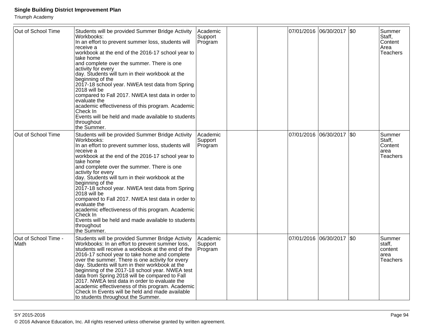| Out of School Time           | Students will be provided Summer Bridge Activity<br>Workbooks:<br>In an effort to prevent summer loss, students will<br>receive a<br>workbook at the end of the 2016-17 school year to<br>take home<br>and complete over the summer. There is one<br>activity for every<br>day. Students will turn in their workbook at the<br>beginning of the<br>2017-18 school year. NWEA test data from Spring<br>2018 will be<br>compared to Fall 2017. NWEA test data in order to<br>evaluate the<br>academic effectiveness of this program. Academic<br>Check In<br>Events will be held and made available to students<br>throughout<br>the Summer. | Academic<br>Support<br>Program |  | 07/01/2016 06/30/2017 \$0 | Summer<br>Staff,<br>Content<br>Area<br>Teachers        |
|------------------------------|--------------------------------------------------------------------------------------------------------------------------------------------------------------------------------------------------------------------------------------------------------------------------------------------------------------------------------------------------------------------------------------------------------------------------------------------------------------------------------------------------------------------------------------------------------------------------------------------------------------------------------------------|--------------------------------|--|---------------------------|--------------------------------------------------------|
| Out of School Time           | Students will be provided Summer Bridge Activity<br>Workbooks:<br>In an effort to prevent summer loss, students will<br>receive a<br>workbook at the end of the 2016-17 school year to<br>take home<br>and complete over the summer. There is one<br>activity for every<br>day. Students will turn in their workbook at the<br>beginning of the<br>2017-18 school year. NWEA test data from Spring<br>2018 will be<br>compared to Fall 2017. NWEA test data in order to<br>evaluate the<br>academic effectiveness of this program. Academic<br>Check In<br>Events will be held and made available to students<br>throughout<br>the Summer. | Academic<br>Support<br>Program |  | 07/01/2016 06/30/2017 \$0 | Summer<br>Staff,<br>Content<br>area<br>Teachers        |
| Out of School Time -<br>Math | Students will be provided Summer Bridge Activity<br>Workbooks: In an effort to prevent summer loss,<br>students will receive a workbook at the end of the<br>2016-17 school year to take home and complete<br>over the summer. There is one activity for every<br>day. Students will turn in their workbook at the<br>beginning of the 2017-18 school year. NWEA test<br>data from Spring 2018 will be compared to Fall<br>2017. NWEA test data in order to evaluate the<br>academic effectiveness of this program. Academic<br>Check In Events will be held and made available<br>to students throughout the Summer.                      | Academic<br>Support<br>Program |  | 07/01/2016 06/30/2017 \$0 | Summer<br>staff,<br>content<br>area<br><b>Teachers</b> |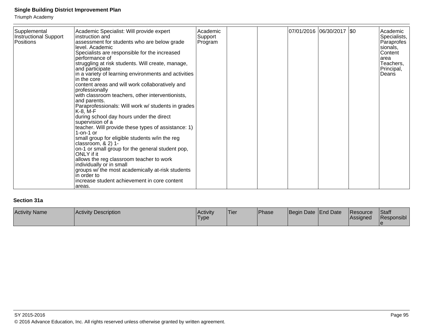Triumph Academy

| Supplemental          | Academic Specialist: Will provide expert                               | Academic |  | 07/01/2016 06/30/2017 \$0 | Academic     |
|-----------------------|------------------------------------------------------------------------|----------|--|---------------------------|--------------|
| Instructional Support | linstruction and                                                       | Support  |  |                           | Specialists, |
| Positions             | assessment for students who are below grade                            | Program  |  |                           | Paraprofes   |
|                       | level. Academic                                                        |          |  |                           | sionals,     |
|                       | Specialists are responsible for the increased                          |          |  |                           | Content      |
|                       | performance of                                                         |          |  |                           | larea        |
|                       | struggling at risk students. Will create, manage,                      |          |  |                           | Teachers,    |
|                       | and participate                                                        |          |  |                           | Principal,   |
|                       | in a variety of learning environments and activities                   |          |  |                           | Deans        |
|                       | lin the core                                                           |          |  |                           |              |
|                       | content areas and will work collaboratively and                        |          |  |                           |              |
|                       | professionally                                                         |          |  |                           |              |
|                       | with classroom teachers, other interventionists,                       |          |  |                           |              |
|                       | and parents.                                                           |          |  |                           |              |
|                       | Paraprofessionals: Will work w/ students in grades<br>K-8, M-F         |          |  |                           |              |
|                       | during school day hours under the direct                               |          |  |                           |              |
|                       | supervision of a                                                       |          |  |                           |              |
|                       | teacher. Will provide these types of assistance: 1)                    |          |  |                           |              |
|                       | $1$ -on-1 or                                                           |          |  |                           |              |
|                       | small group for eligible students w/in the reg<br>classroom, $& 2)$ 1- |          |  |                           |              |
|                       | on-1 or small group for the general student pop,                       |          |  |                           |              |
|                       | ONLY if it                                                             |          |  |                           |              |
|                       | allows the reg classroom teacher to work                               |          |  |                           |              |
|                       | individually or in small                                               |          |  |                           |              |
|                       | groups w/ the most academically at-risk students                       |          |  |                           |              |
|                       | lin order to                                                           |          |  |                           |              |
|                       | increase student achievement in core content                           |          |  |                           |              |
|                       | lareas.                                                                |          |  |                           |              |

## **Section 31a**

| <b>Activity Name</b> | Activity Description | <b>Activity</b><br><b>Type</b> | 'Tier | Phase | Begin Date   End Date | <b>IResource</b><br><b>Assigned</b> | <b>Staff</b><br>Responsibl |
|----------------------|----------------------|--------------------------------|-------|-------|-----------------------|-------------------------------------|----------------------------|
|                      |                      |                                |       |       |                       |                                     |                            |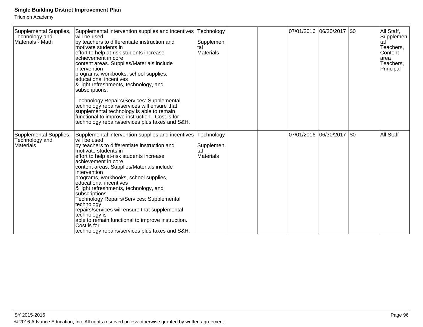| Supplemental Supplies,<br>Technology and<br>Materials - Math | Supplemental intervention supplies and incentives<br>will be used<br>by teachers to differentiate instruction and<br>motivate students in<br>effort to help at-risk students increase<br>achievement in core<br>content areas. Supplies/Materials include<br>intervention<br>programs, workbooks, school supplies,<br>educational incentives<br>& light refreshments, technology, and<br>subscriptions.<br>Technology Repairs/Services: Supplemental<br>technology repairs/services will ensure that<br>supplemental technology is able to remain<br>functional to improve instruction. Cost is for<br>technology repairs/services plus taxes and S&H.       | Technology<br>Supplemen<br>tal<br><b>Materials</b> |  | 07/01/2016  06/30/2017  \$0 |  | All Staff,<br>Supplemen<br>tal<br>Teachers,<br><b>Content</b><br>larea<br>Teachers,<br>Principal |
|--------------------------------------------------------------|--------------------------------------------------------------------------------------------------------------------------------------------------------------------------------------------------------------------------------------------------------------------------------------------------------------------------------------------------------------------------------------------------------------------------------------------------------------------------------------------------------------------------------------------------------------------------------------------------------------------------------------------------------------|----------------------------------------------------|--|-----------------------------|--|--------------------------------------------------------------------------------------------------|
| Supplemental Supplies,<br>Technology and<br><b>Materials</b> | Supplemental intervention supplies and incentives<br>will be used<br>by teachers to differentiate instruction and<br>motivate students in<br>effort to help at-risk students increase<br>achievement in core<br>content areas. Supplies/Materials include<br>intervention<br>programs, workbooks, school supplies,<br>educational incentives<br>& light refreshments, technology, and<br>subscriptions.<br>Technology Repairs/Services: Supplemental<br>technology<br>repairs/services will ensure that supplemental<br>technology is<br>able to remain functional to improve instruction.<br>Cost is for<br>technology repairs/services plus taxes and S&H. | Technology<br>Supplemen<br>tal<br><b>Materials</b> |  | 07/01/2016  06/30/2017  \$0 |  | <b>All Staff</b>                                                                                 |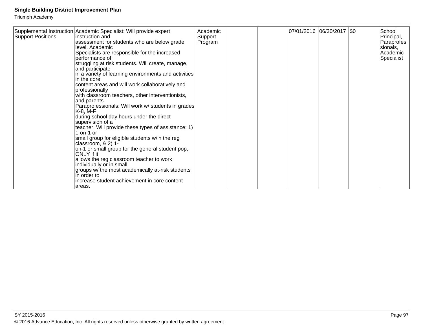| <b>Support Positions</b> | Supplemental Instruction Academic Specialist: Will provide expert<br>linstruction and<br>assessment for students who are below grade<br>level. Academic<br>Specialists are responsible for the increased<br>performance of<br>struggling at risk students. Will create, manage,<br>and participate<br>in a variety of learning environments and activities<br>in the core<br>content areas and will work collaboratively and<br>professionally<br>with classroom teachers, other interventionists,<br>and parents.<br>Paraprofessionals: Will work w/ students in grades<br>$K-8$ , M-F<br>during school day hours under the direct<br>supervision of a<br>teacher. Will provide these types of assistance: 1)<br>$1$ -on-1 or<br>small group for eligible students w/in the reg<br>classroom, $& 2)$ 1-<br>on-1 or small group for the general student pop,<br>ONLY if it<br>allows the reg classroom teacher to work<br>individually or in small<br>groups w/ the most academically at-risk students<br>in order to<br>increase student achievement in core content | Academic<br>Support<br>Program |  | 07/01/2016  06/30/2017  \$0 | School<br>Principal,<br>Paraprofes<br>sionals,<br>l Academic<br>Specialist |
|--------------------------|-----------------------------------------------------------------------------------------------------------------------------------------------------------------------------------------------------------------------------------------------------------------------------------------------------------------------------------------------------------------------------------------------------------------------------------------------------------------------------------------------------------------------------------------------------------------------------------------------------------------------------------------------------------------------------------------------------------------------------------------------------------------------------------------------------------------------------------------------------------------------------------------------------------------------------------------------------------------------------------------------------------------------------------------------------------------------|--------------------------------|--|-----------------------------|----------------------------------------------------------------------------|
|                          | areas.                                                                                                                                                                                                                                                                                                                                                                                                                                                                                                                                                                                                                                                                                                                                                                                                                                                                                                                                                                                                                                                                |                                |  |                             |                                                                            |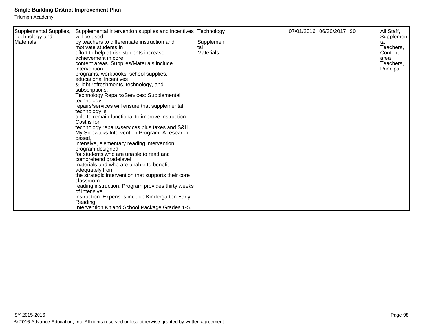| 07/01/2016  06/30/2017  \$0<br>Supplemental Supplies,<br>Supplemental intervention supplies and incentives<br>Technology<br>All Staff,<br>Technology and<br>will be used<br>Supplemen<br><b>Materials</b><br>by teachers to differentiate instruction and<br>Supplemen<br>tal<br>Teachers,<br>motivate students in<br>tal<br><b>Materials</b><br>Content<br>effort to help at-risk students increase<br>achievement in core<br>area<br>content areas. Supplies/Materials include<br>Teachers,<br>intervention<br>Principal<br>programs, workbooks, school supplies,<br>educational incentives<br>& light refreshments, technology, and<br>subscriptions.<br>Technology Repairs/Services: Supplemental<br>technology<br>repairs/services will ensure that supplemental<br>technology is<br>able to remain functional to improve instruction.<br>Cost is for<br>technology repairs/services plus taxes and S&H.<br>My Sidewalks Intervention Program: A research-<br>based,<br>intensive, elementary reading intervention<br>program designed<br>for students who are unable to read and<br>comprehend gradelevel<br>materials and who are unable to benefit<br>adequately from<br>the strategic intervention that supports their core<br>classroom<br>reading instruction. Program provides thirty weeks<br>of intensive<br>instruction. Expenses include Kindergarten Early<br>Reading<br>Intervention Kit and School Package Grades 1-5. |  |  |  |  |  |
|-------------------------------------------------------------------------------------------------------------------------------------------------------------------------------------------------------------------------------------------------------------------------------------------------------------------------------------------------------------------------------------------------------------------------------------------------------------------------------------------------------------------------------------------------------------------------------------------------------------------------------------------------------------------------------------------------------------------------------------------------------------------------------------------------------------------------------------------------------------------------------------------------------------------------------------------------------------------------------------------------------------------------------------------------------------------------------------------------------------------------------------------------------------------------------------------------------------------------------------------------------------------------------------------------------------------------------------------------------------------------------------------------------------------------------------------|--|--|--|--|--|
|                                                                                                                                                                                                                                                                                                                                                                                                                                                                                                                                                                                                                                                                                                                                                                                                                                                                                                                                                                                                                                                                                                                                                                                                                                                                                                                                                                                                                                           |  |  |  |  |  |